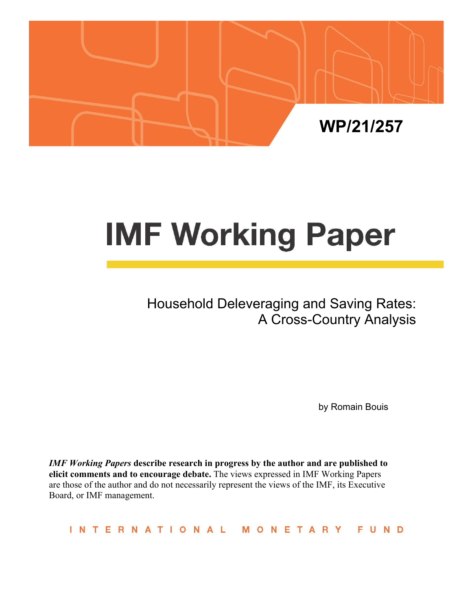

# **IMF Working Paper**

Household Deleveraging and Saving Rates: A Cross-Country Analysis

by Romain Bouis

*IMF Working Papers* **describe research in progress by the author and are published to elicit comments and to encourage debate.** The views expressed in IMF Working Papers are those of the author and do not necessarily represent the views of the IMF, its Executive Board, or IMF management.

INTERNATIONAL **FUND** MONETARY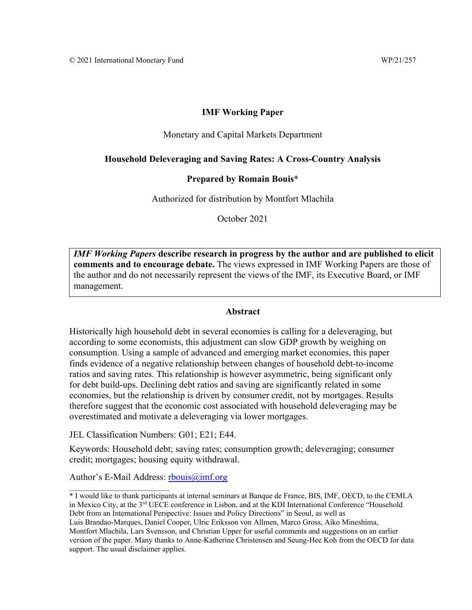# **IMF Working Paper**

#### Monetary and Capital Markets Department

#### **Household Deleveraging and Saving Rates: A Cross-Country Analysis**

#### **Prepared by Romain Bouis\***

Authorized for distribution by Montfort Mlachila

October 2021

*IMF Working Papers* **describe research in progress by the author and are published to elicit comments and to encourage debate.** The views expressed in IMF Working Papers are those of the author and do not necessarily represent the views of the IMF, its Executive Board, or IMF management.

#### **Abstract**

Historically high household debt in several economies is calling for a deleveraging, but according to some economists, this adjustment can slow GDP growth by weighing on consumption. Using a sample of advanced and emerging market economies, this paper finds evidence of a negative relationship between changes of household debt-to-income ratios and saving rates. This relationship is however asymmetric, being significant only for debt build-ups. Declining debt ratios and saving are significantly related in some economies, but the relationship is driven by consumer credit, not by mortgages. Results therefore suggest that the economic cost associated with household deleveraging may be overestimated and motivate a deleveraging via lower mortgages.

JEL Classification Numbers: G01; E21; E44.

Keywords: Household debt; saving rates; consumption growth; deleveraging; consumer credit; mortgages; housing equity withdrawal.

Author's E-Mail Address: rbouis $\omega$ imf.org

Luis Brandao-Marques, Daniel Cooper, Ulric Eriksson von Allmen, Marco Gross, Aiko Mineshima, Montfort Mlachila, Lars Svensson, and Christian Upper for useful comments and suggestions on an earlier version of the paper. Many thanks to Anne-Katherine Christensen and Seung-Hee Koh from the OECD for data support. The usual disclaimer applies.

<sup>\*</sup> I would like to thank participants at internal seminars at Banque de France, BIS, IMF, OECD, to the CEMLA in Mexico City, at the 3<sup>rd</sup> UECE conference in Lisbon, and at the KDI International Conference "Household Debt from an International Perspective: Issues and Policy Directions" in Seoul, as well as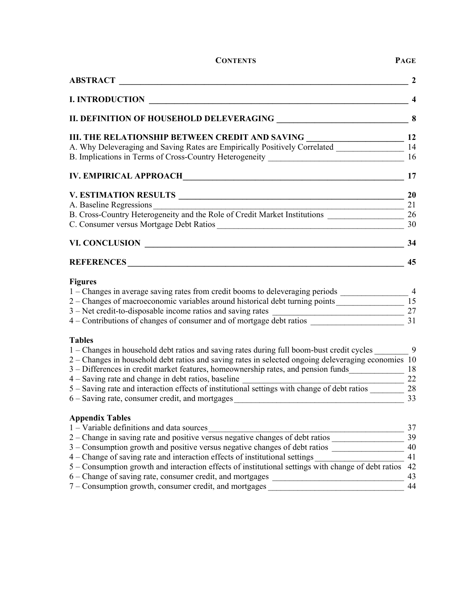| <b>ABSTRACT</b>                                                                                                                                                                                                                                                                                                                                                                                                                                                                                                                                                                                                                              |                                        |
|----------------------------------------------------------------------------------------------------------------------------------------------------------------------------------------------------------------------------------------------------------------------------------------------------------------------------------------------------------------------------------------------------------------------------------------------------------------------------------------------------------------------------------------------------------------------------------------------------------------------------------------------|----------------------------------------|
| <b>I. INTRODUCTION</b>                                                                                                                                                                                                                                                                                                                                                                                                                                                                                                                                                                                                                       | 4                                      |
|                                                                                                                                                                                                                                                                                                                                                                                                                                                                                                                                                                                                                                              | 8                                      |
| III. THE RELATIONSHIP BETWEEN CREDIT AND SAVING<br>A. Why Deleveraging and Saving Rates are Empirically Positively Correlated                                                                                                                                                                                                                                                                                                                                                                                                                                                                                                                | 12                                     |
| B. Implications in Terms of Cross-Country Heterogeneity ________________________                                                                                                                                                                                                                                                                                                                                                                                                                                                                                                                                                             | 14<br>16                               |
|                                                                                                                                                                                                                                                                                                                                                                                                                                                                                                                                                                                                                                              | 17                                     |
| V. ESTIMATION RESULTS                                                                                                                                                                                                                                                                                                                                                                                                                                                                                                                                                                                                                        | <b>20</b>                              |
|                                                                                                                                                                                                                                                                                                                                                                                                                                                                                                                                                                                                                                              | 21                                     |
|                                                                                                                                                                                                                                                                                                                                                                                                                                                                                                                                                                                                                                              | 26                                     |
| C. Consumer versus Mortgage Debt Ratios                                                                                                                                                                                                                                                                                                                                                                                                                                                                                                                                                                                                      | 30                                     |
| VI. CONCLUSION                                                                                                                                                                                                                                                                                                                                                                                                                                                                                                                                                                                                                               | 34                                     |
| REFERENCES CONTRACTES                                                                                                                                                                                                                                                                                                                                                                                                                                                                                                                                                                                                                        | 45                                     |
| <b>Figures</b><br>1 – Changes in average saving rates from credit booms to deleveraging periods ______________________<br>2 - Changes of macroeconomic variables around historical debt turning points<br>3 – Net credit-to-disposable income ratios and saving rates<br>3 – Net credit-to-disposable income ratios and saving rates<br>4 – Contributions of changes of consumer and of mortgage debt ratios                                                                                                                                                                                                                                 | $\overline{4}$<br>15<br>27<br>31       |
| <b>Tables</b><br>1 – Changes in household debt ratios and saving rates during full boom-bust credit cycles<br>2 – Changes in household debt ratios and saving rates in selected ongoing deleveraging economies 10<br>3 - Differences in credit market features, homeownership rates, and pension funds<br>4 – Saving rate and change in debt ratios, baseline<br>5 – Saving rate and interaction effects of institutional settings with change of debt ratios<br>$6 -$ Saving rate, consumer credit, and mortgages<br><u> 1980 - Johann John Stone, markin fizik eta idazlea (</u>                                                           | 9<br>18<br>22<br>28<br>33              |
| <b>Appendix Tables</b><br>1 - Variable definitions and data sources<br>1 – Variable definitions and data sources<br>2 – Change in saving rate and positive versus negative changes of debt ratios<br>3 - Consumption growth and positive versus negative changes of debt ratios ________________________<br>4 – Change of saving rate and interaction effects of institutional settings<br>5 – Consumption growth and interaction effects of institutional settings with change of debt ratios<br>6 - Change of saving rate, consumer credit, and mortgages ______________________<br>7 – Consumption growth, consumer credit, and mortgages | 37<br>39<br>40<br>41<br>42<br>43<br>44 |

**CONTENTS PAGE**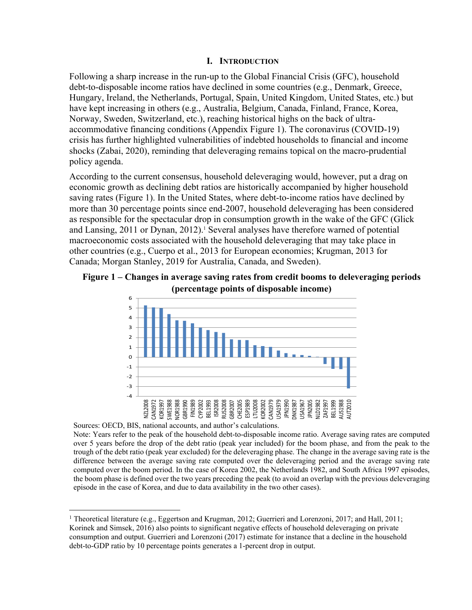#### **I. INTRODUCTION**

Following a sharp increase in the run-up to the Global Financial Crisis (GFC), household debt-to-disposable income ratios have declined in some countries (e.g., Denmark, Greece, Hungary, Ireland, the Netherlands, Portugal, Spain, United Kingdom, United States, etc.) but have kept increasing in others (e.g., Australia, Belgium, Canada, Finland, France, Korea, Norway, Sweden, Switzerland, etc.), reaching historical highs on the back of ultraaccommodative financing conditions (Appendix Figure 1). The coronavirus (COVID-19) crisis has further highlighted vulnerabilities of indebted households to financial and income shocks (Zabai, 2020), reminding that deleveraging remains topical on the macro-prudential policy agenda.

According to the current consensus, household deleveraging would, however, put a drag on economic growth as declining debt ratios are historically accompanied by higher household saving rates (Figure 1). In the United States, where debt-to-income ratios have declined by more than 30 percentage points since end-2007, household deleveraging has been considered as responsible for the spectacular drop in consumption growth in the wake of the GFC (Glick and Lansing, 2011 or Dynan, 2012).<sup>1</sup> Several analyses have therefore warned of potential macroeconomic costs associated with the household deleveraging that may take place in other countries (e.g., Cuerpo et al., 2013 for European economies; Krugman, 2013 for Canada; Morgan Stanley, 2019 for Australia, Canada, and Sweden).

# **Figure 1 – Changes in average saving rates from credit booms to deleveraging periods (percentage points of disposable income)**



Sources: OECD, BIS, national accounts, and author's calculations. Note: Years refer to the peak of the household debt-to-disposable income ratio. Average saving rates are computed over 5 years before the drop of the debt ratio (peak year included) for the boom phase, and from the peak to the trough of the debt ratio (peak year excluded) for the deleveraging phase. The change in the average saving rate is the difference between the average saving rate computed over the deleveraging period and the average saving rate computed over the boom period. In the case of Korea 2002, the Netherlands 1982, and South Africa 1997 episodes, the boom phase is defined over the two years preceding the peak (to avoid an overlap with the previous deleveraging episode in the case of Korea, and due to data availability in the two other cases).

<sup>&</sup>lt;sup>1</sup> Theoretical literature (e.g., Eggertson and Krugman, 2012; Guerrieri and Lorenzoni, 2017; and Hall, 2011; Korinek and Simsek, 2016) also points to significant negative effects of household deleveraging on private consumption and output. Guerrieri and Lorenzoni (2017) estimate for instance that a decline in the household debt-to-GDP ratio by 10 percentage points generates a 1-percent drop in output.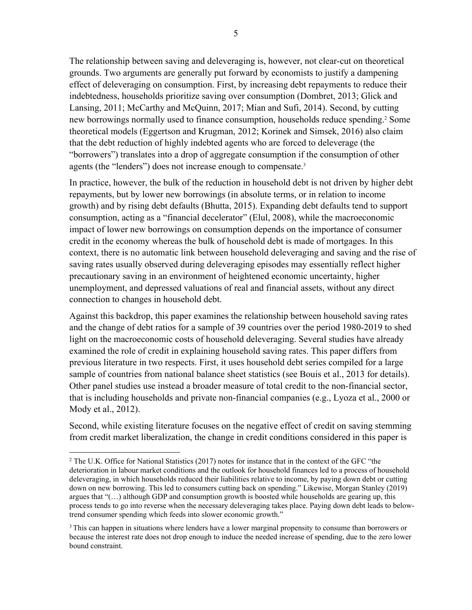The relationship between saving and deleveraging is, however, not clear-cut on theoretical grounds. Two arguments are generally put forward by economists to justify a dampening effect of deleveraging on consumption. First, by increasing debt repayments to reduce their indebtedness, households prioritize saving over consumption (Dombret, 2013; Glick and Lansing, 2011; McCarthy and McQuinn, 2017; Mian and Sufi, 2014). Second, by cutting new borrowings normally used to finance consumption, households reduce spending.<sup>2</sup> Some theoretical models (Eggertson and Krugman, 2012; Korinek and Simsek, 2016) also claim that the debt reduction of highly indebted agents who are forced to deleverage (the "borrowers") translates into a drop of aggregate consumption if the consumption of other agents (the "lenders") does not increase enough to compensate.<sup>3</sup>

In practice, however, the bulk of the reduction in household debt is not driven by higher debt repayments, but by lower new borrowings (in absolute terms, or in relation to income growth) and by rising debt defaults (Bhutta, 2015). Expanding debt defaults tend to support consumption, acting as a "financial decelerator" (Elul, 2008), while the macroeconomic impact of lower new borrowings on consumption depends on the importance of consumer credit in the economy whereas the bulk of household debt is made of mortgages. In this context, there is no automatic link between household deleveraging and saving and the rise of saving rates usually observed during deleveraging episodes may essentially reflect higher precautionary saving in an environment of heightened economic uncertainty, higher unemployment, and depressed valuations of real and financial assets, without any direct connection to changes in household debt.

Against this backdrop, this paper examines the relationship between household saving rates and the change of debt ratios for a sample of 39 countries over the period 1980-2019 to shed light on the macroeconomic costs of household deleveraging. Several studies have already examined the role of credit in explaining household saving rates. This paper differs from previous literature in two respects. First, it uses household debt series compiled for a large sample of countries from national balance sheet statistics (see Bouis et al., 2013 for details). Other panel studies use instead a broader measure of total credit to the non-financial sector, that is including households and private non-financial companies (e.g., Lyoza et al., 2000 or Mody et al., 2012).

Second, while existing literature focuses on the negative effect of credit on saving stemming from credit market liberalization, the change in credit conditions considered in this paper is

<sup>&</sup>lt;sup>2</sup> The U.K. Office for National Statistics (2017) notes for instance that in the context of the GFC "the deterioration in labour market conditions and the outlook for household finances led to a process of household deleveraging, in which households reduced their liabilities relative to income, by paying down debt or cutting down on new borrowing. This led to consumers cutting back on spending." Likewise, Morgan Stanley (2019) argues that " $(...)$  although GDP and consumption growth is boosted while households are gearing up, this process tends to go into reverse when the necessary deleveraging takes place. Paying down debt leads to belowtrend consumer spending which feeds into slower economic growth."

<sup>&</sup>lt;sup>3</sup>This can happen in situations where lenders have a lower marginal propensity to consume than borrowers or because the interest rate does not drop enough to induce the needed increase of spending, due to the zero lower bound constraint.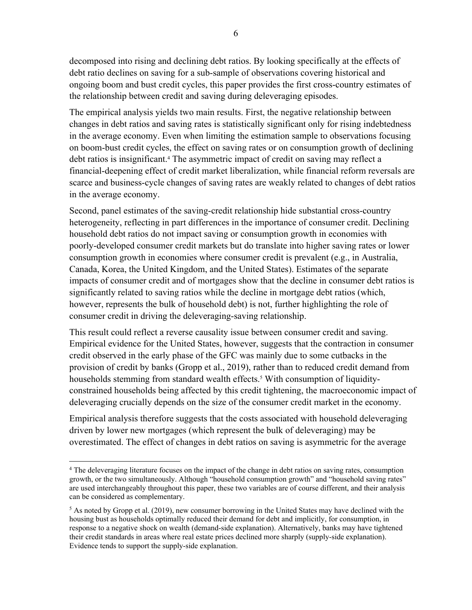decomposed into rising and declining debt ratios. By looking specifically at the effects of debt ratio declines on saving for a sub-sample of observations covering historical and ongoing boom and bust credit cycles, this paper provides the first cross-country estimates of the relationship between credit and saving during deleveraging episodes.

The empirical analysis yields two main results. First, the negative relationship between changes in debt ratios and saving rates is statistically significant only for rising indebtedness in the average economy. Even when limiting the estimation sample to observations focusing on boom-bust credit cycles, the effect on saving rates or on consumption growth of declining debt ratios is insignificant.<sup>4</sup> The asymmetric impact of credit on saving may reflect a financial-deepening effect of credit market liberalization, while financial reform reversals are scarce and business-cycle changes of saving rates are weakly related to changes of debt ratios in the average economy.

Second, panel estimates of the saving-credit relationship hide substantial cross-country heterogeneity, reflecting in part differences in the importance of consumer credit. Declining household debt ratios do not impact saving or consumption growth in economies with poorly-developed consumer credit markets but do translate into higher saving rates or lower consumption growth in economies where consumer credit is prevalent (e.g., in Australia, Canada, Korea, the United Kingdom, and the United States). Estimates of the separate impacts of consumer credit and of mortgages show that the decline in consumer debt ratios is significantly related to saving ratios while the decline in mortgage debt ratios (which, however, represents the bulk of household debt) is not, further highlighting the role of consumer credit in driving the deleveraging-saving relationship.

This result could reflect a reverse causality issue between consumer credit and saving. Empirical evidence for the United States, however, suggests that the contraction in consumer credit observed in the early phase of the GFC was mainly due to some cutbacks in the provision of credit by banks (Gropp et al., 2019), rather than to reduced credit demand from households stemming from standard wealth effects.<sup>5</sup> With consumption of liquidityconstrained households being affected by this credit tightening, the macroeconomic impact of deleveraging crucially depends on the size of the consumer credit market in the economy.

Empirical analysis therefore suggests that the costs associated with household deleveraging driven by lower new mortgages (which represent the bulk of deleveraging) may be overestimated. The effect of changes in debt ratios on saving is asymmetric for the average

<sup>&</sup>lt;sup>4</sup> The deleveraging literature focuses on the impact of the change in debt ratios on saving rates, consumption growth, or the two simultaneously. Although "household consumption growth" and "household saving rates" are used interchangeably throughout this paper, these two variables are of course different, and their analysis can be considered as complementary.

 $<sup>5</sup>$  As noted by Gropp et al. (2019), new consumer borrowing in the United States may have declined with the</sup> housing bust as households optimally reduced their demand for debt and implicitly, for consumption, in response to a negative shock on wealth (demand-side explanation). Alternatively, banks may have tightened their credit standards in areas where real estate prices declined more sharply (supply-side explanation). Evidence tends to support the supply-side explanation.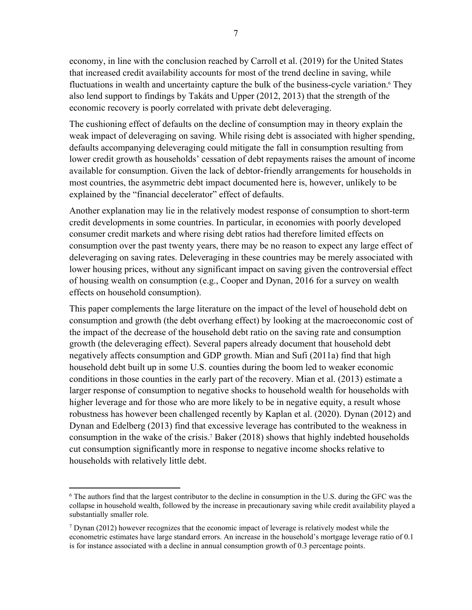economy, in line with the conclusion reached by Carroll et al. (2019) for the United States that increased credit availability accounts for most of the trend decline in saving, while fluctuations in wealth and uncertainty capture the bulk of the business-cycle variation.<sup>6</sup> They also lend support to findings by Takáts and Upper (2012, 2013) that the strength of the economic recovery is poorly correlated with private debt deleveraging.

The cushioning effect of defaults on the decline of consumption may in theory explain the weak impact of deleveraging on saving. While rising debt is associated with higher spending, defaults accompanying deleveraging could mitigate the fall in consumption resulting from lower credit growth as households' cessation of debt repayments raises the amount of income available for consumption. Given the lack of debtor-friendly arrangements for households in most countries, the asymmetric debt impact documented here is, however, unlikely to be explained by the "financial decelerator" effect of defaults.

Another explanation may lie in the relatively modest response of consumption to short-term credit developments in some countries. In particular, in economies with poorly developed consumer credit markets and where rising debt ratios had therefore limited effects on consumption over the past twenty years, there may be no reason to expect any large effect of deleveraging on saving rates. Deleveraging in these countries may be merely associated with lower housing prices, without any significant impact on saving given the controversial effect of housing wealth on consumption (e.g., Cooper and Dynan, 2016 for a survey on wealth effects on household consumption).

This paper complements the large literature on the impact of the level of household debt on consumption and growth (the debt overhang effect) by looking at the macroeconomic cost of the impact of the decrease of the household debt ratio on the saving rate and consumption growth (the deleveraging effect). Several papers already document that household debt negatively affects consumption and GDP growth. Mian and Sufi (2011a) find that high household debt built up in some U.S. counties during the boom led to weaker economic conditions in those counties in the early part of the recovery. Mian et al. (2013) estimate a larger response of consumption to negative shocks to household wealth for households with higher leverage and for those who are more likely to be in negative equity, a result whose robustness has however been challenged recently by Kaplan et al. (2020). Dynan (2012) and Dynan and Edelberg (2013) find that excessive leverage has contributed to the weakness in consumption in the wake of the crisis.<sup>7</sup> Baker (2018) shows that highly indebted households cut consumption significantly more in response to negative income shocks relative to households with relatively little debt.

<sup>&</sup>lt;sup>6</sup> The authors find that the largest contributor to the decline in consumption in the U.S. during the GFC was the collapse in household wealth, followed by the increase in precautionary saving while credit availability played a substantially smaller role.

 $7$  Dynan (2012) however recognizes that the economic impact of leverage is relatively modest while the econometric estimates have large standard errors. An increase in the household's mortgage leverage ratio of 0.1 is for instance associated with a decline in annual consumption growth of 0.3 percentage points.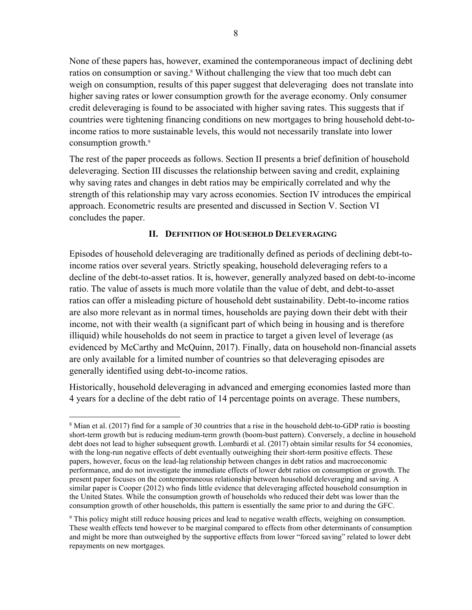None of these papers has, however, examined the contemporaneous impact of declining debt ratios on consumption or saving.<sup>8</sup> Without challenging the view that too much debt can weigh on consumption, results of this paper suggest that deleveraging does not translate into higher saving rates or lower consumption growth for the average economy. Only consumer credit deleveraging is found to be associated with higher saving rates. This suggests that if countries were tightening financing conditions on new mortgages to bring household debt-toincome ratios to more sustainable levels, this would not necessarily translate into lower consumption growth.<sup>9</sup>

The rest of the paper proceeds as follows. Section II presents a brief definition of household deleveraging. Section III discusses the relationship between saving and credit, explaining why saving rates and changes in debt ratios may be empirically correlated and why the strength of this relationship may vary across economies. Section IV introduces the empirical approach. Econometric results are presented and discussed in Section V. Section VI concludes the paper.

# **II. DEFINITION OF HOUSEHOLD DELEVERAGING**

Episodes of household deleveraging are traditionally defined as periods of declining debt-toincome ratios over several years. Strictly speaking, household deleveraging refers to a decline of the debt-to-asset ratios. It is, however, generally analyzed based on debt-to-income ratio. The value of assets is much more volatile than the value of debt, and debt-to-asset ratios can offer a misleading picture of household debt sustainability. Debt-to-income ratios are also more relevant as in normal times, households are paying down their debt with their income, not with their wealth (a significant part of which being in housing and is therefore illiquid) while households do not seem in practice to target a given level of leverage (as evidenced by McCarthy and McQuinn, 2017). Finally, data on household non-financial assets are only available for a limited number of countries so that deleveraging episodes are generally identified using debt-to-income ratios.

Historically, household deleveraging in advanced and emerging economies lasted more than 4 years for a decline of the debt ratio of 14 percentage points on average. These numbers,

<sup>&</sup>lt;sup>8</sup> Mian et al. (2017) find for a sample of 30 countries that a rise in the household debt-to-GDP ratio is boosting short-term growth but is reducing medium-term growth (boom-bust pattern). Conversely, a decline in household debt does not lead to higher subsequent growth. Lombardi et al. (2017) obtain similar results for 54 economies, with the long-run negative effects of debt eventually outweighing their short-term positive effects. These papers, however, focus on the lead-lag relationship between changes in debt ratios and macroeconomic performance, and do not investigate the immediate effects of lower debt ratios on consumption or growth. The present paper focuses on the contemporaneous relationship between household deleveraging and saving. A similar paper is Cooper (2012) who finds little evidence that deleveraging affected household consumption in the United States. While the consumption growth of households who reduced their debt was lower than the consumption growth of other households, this pattern is essentially the same prior to and during the GFC.

<sup>9</sup> This policy might still reduce housing prices and lead to negative wealth effects, weighing on consumption. These wealth effects tend however to be marginal compared to effects from other determinants of consumption and might be more than outweighed by the supportive effects from lower "forced saving" related to lower debt repayments on new mortgages.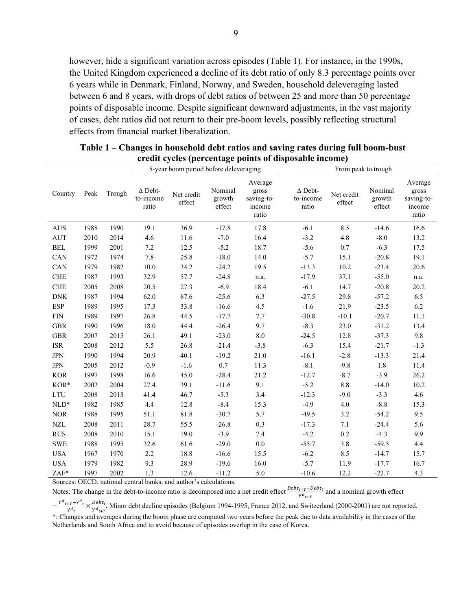however, hide a significant variation across episodes (Table 1). For instance, in the 1990s, the United Kingdom experienced a decline of its debt ratio of only 8.3 percentage points over 6 years while in Denmark, Finland, Norway, and Sweden, household deleveraging lasted between 6 and 8 years, with drops of debt ratios of between 25 and more than 50 percentage points of disposable income. Despite significant downward adjustments, in the vast majority of cases, debt ratios did not return to their pre-boom levels, possibly reflecting structural effects from financial market liberalization.

|                      |      |        |                                      | 5-year boom period before deleveraging                            |                             |                                                   | From peak to trough                  |                      |                             |                                                   |
|----------------------|------|--------|--------------------------------------|-------------------------------------------------------------------|-----------------------------|---------------------------------------------------|--------------------------------------|----------------------|-----------------------------|---------------------------------------------------|
| Country              | Peak | Trough | $\Delta$ Debt-<br>to-income<br>ratio | Net credit<br>effect                                              | Nominal<br>growth<br>effect | Average<br>gross<br>saving-to-<br>income<br>ratio | $\Delta$ Debt-<br>to-income<br>ratio | Net credit<br>effect | Nominal<br>growth<br>effect | Average<br>gross<br>saving-to-<br>income<br>ratio |
| <b>AUS</b>           | 1988 | 1990   | 19.1                                 | 36.9                                                              | $-17.8$                     | 17.8                                              | $-6.1$                               | 8.5                  | $-14.6$                     | 16.6                                              |
| AUT                  | 2010 | 2014   | $4.6\,$                              | 11.6                                                              | $-7.0$                      | 16.4                                              | $-3.2$                               | $4.8\,$              | $-8.0$                      | 13.2                                              |
| $\operatorname{BEL}$ | 1999 | 2001   | $7.2\,$                              | 12.5                                                              | $-5.2$                      | 18.7                                              | $-5.6$                               | $0.7\,$              | $-6.3$                      | 17.5                                              |
| CAN                  | 1972 | 1974   | 7.8                                  | 25.8                                                              | $-18.0$                     | 14.0                                              | $-5.7$                               | 15.1                 | $-20.8$                     | 19.1                                              |
| CAN                  | 1979 | 1982   | 10.0                                 | 34.2                                                              | $-24.2$                     | 19.5                                              | $-13.3$                              | 10.2                 | $-23.4$                     | 20.6                                              |
| <b>CHE</b>           | 1987 | 1993   | 32.9                                 | 57.7                                                              | $-24.8$                     | n.a.                                              | $-17.9$                              | 37.1                 | $-55.0$                     | n.a.                                              |
| <b>CHE</b>           | 2005 | 2008   | 20.5                                 | 27.3                                                              | $-6.9$                      | 18.4                                              | $-6.1$                               | 14.7                 | $-20.8$                     | 20.2                                              |
| ${\rm DNK}$          | 1987 | 1994   | 62.0                                 | 87.6                                                              | $-25.6$                     | 6.3                                               | $-27.5$                              | 29.8                 | $-57.2$                     | 6.5                                               |
| <b>ESP</b>           | 1989 | 1995   | 17.3                                 | 33.8                                                              | $-16.6$                     | 4.5                                               | $-1.6$                               | 21.9                 | $-23.5$                     | 6.2                                               |
| <b>FIN</b>           | 1989 | 1997   | 26.8                                 | 44.5                                                              | $-17.7$                     | 7.7                                               | $-30.8$                              | $-10.1$              | $-20.7$                     | 11.1                                              |
| <b>GBR</b>           | 1990 | 1996   | 18.0                                 | 44.4                                                              | $-26.4$                     | 9.7                                               | $-8.3$                               | 23.0                 | $-31.2$                     | 13.4                                              |
| GBR                  | 2007 | 2015   | 26.1                                 | 49.1                                                              | $-23.0$                     | $8.0\,$                                           | $-24.5$                              | 12.8                 | $-37.3$                     | 9.8                                               |
| $_{\rm ISR}$         | 2008 | 2012   | 5.5                                  | 26.8                                                              | $-21.4$                     | $-3.8$                                            | $-6.3$                               | 15.4                 | $-21.7$                     | $-1.3$                                            |
| <b>JPN</b>           | 1990 | 1994   | 20.9                                 | 40.1                                                              | $-19.2$                     | 21.0                                              | $-16.1$                              | $-2.8$               | $-13.3$                     | 21.4                                              |
| <b>JPN</b>           | 2005 | 2012   | $-0.9$                               | $-1.6$                                                            | $0.7\,$                     | 11.3                                              | $-8.1$                               | $-9.8$               | 1.8                         | 11.4                                              |
| <b>KOR</b>           | 1997 | 1998   | 16.6                                 | 45.0                                                              | $-28.4$                     | 21.2                                              | $-12.7$                              | $-8.7$               | $-3.9$                      | 26.2                                              |
| $KOR*$               | 2002 | 2004   | 27.4                                 | 39.1                                                              | $-11.6$                     | 9.1                                               | $-5.2$                               | $8.8\,$              | $-14.0$                     | 10.2                                              |
| <b>LTU</b>           | 2008 | 2013   | 41.4                                 | 46.7                                                              | $-5.3$                      | 3.4                                               | $-12.3$                              | $-9.0$               | $-3.3$                      | 4.6                                               |
| $NLD*$               | 1982 | 1985   | 4.4                                  | 12.8                                                              | $-8.4$                      | 15.3                                              | $-4.9$                               | 4.0                  | $-8.8$                      | 15.3                                              |
| <b>NOR</b>           | 1988 | 1995   | 51.1                                 | 81.8                                                              | $-30.7$                     | 5.7                                               | $-49.5$                              | 3.2                  | $-54.2$                     | 9.5                                               |
| <b>NZL</b>           | 2008 | 2011   | 28.7                                 | 55.5                                                              | $-26.8$                     | 0.3                                               | $-17.3$                              | 7.1                  | $-24.4$                     | 5.6                                               |
| <b>RUS</b>           | 2008 | 2010   | 15.1                                 | 19.0                                                              | $-3.9$                      | 7.4                                               | $-4.2$                               | $0.2\,$              | $-4.3$                      | 9.9                                               |
| <b>SWE</b>           | 1988 | 1995   | 32.6                                 | 61.6                                                              | $-29.0$                     | 0.0                                               | $-55.7$                              | 3.8                  | $-59.5$                     | 4.4                                               |
| <b>USA</b>           | 1967 | 1970   | 2.2                                  | 18.8                                                              | $-16.6$                     | 15.5                                              | $-6.2$                               | 8.5                  | $-14.7$                     | 15.7                                              |
| <b>USA</b>           | 1979 | 1982   | 9.3                                  | 28.9                                                              | $-19.6$                     | 16.0                                              | $-5.7$                               | 11.9                 | $-17.7$                     | 16.7                                              |
| ZAF*                 | 1997 | 2002   | 1.3                                  | 12.6                                                              | $-11.2$                     | 5.0                                               | $-10.6$                              | 12.2                 | $-22.7$                     | 4.3                                               |
|                      |      |        |                                      | Sources: OECD, national central banks, and author's calculations. |                             |                                                   |                                      |                      |                             |                                                   |

| Table 1 – Changes in household debt ratios and saving rates during full boom-bust |
|-----------------------------------------------------------------------------------|
| credit cycles (percentage points of disposable income)                            |

Notes: The change in the debt-to-income ratio is decomposed into a net credit effect  $\frac{Debt_{t+T}-Debt_t}{\gamma d_{t+T}}$  and a nominal growth effect  $-\frac{Y^d_{t+T}-Y^d_{t}}{Y^d_{t}} \times \frac{Debt_t}{Y^d_{t+T}}$ . Minor debt decline episodes (Belgium 1994-1995, France 2012, and Switzerland (2000-2001) are not reported.

\*: Changes and averages during the boom phase are computed two years before the peak due to data availability in the cases of the Netherlands and South Africa and to avoid because of episodes overlap in the case of Korea.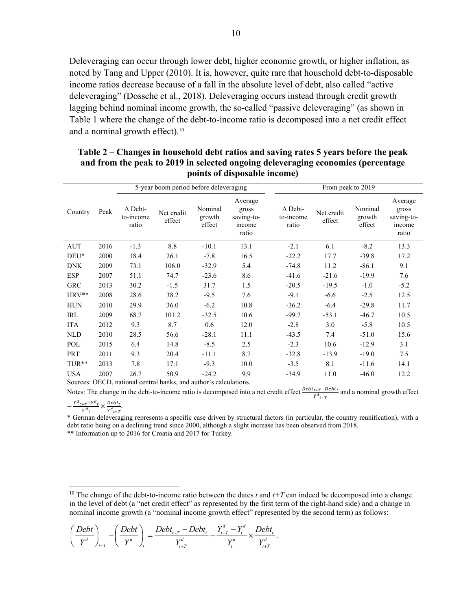Deleveraging can occur through lower debt, higher economic growth, or higher inflation, as noted by Tang and Upper (2010). It is, however, quite rare that household debt-to-disposable income ratios decrease because of a fall in the absolute level of debt, also called "active deleveraging" (Dossche et al., 2018). Deleveraging occurs instead through credit growth lagging behind nominal income growth, the so-called "passive deleveraging" (as shown in Table 1 where the change of the debt-to-income ratio is decomposed into a net credit effect and a nominal growth effect).10

# **Table 2 – Changes in household debt ratios and saving rates 5 years before the peak and from the peak to 2019 in selected ongoing deleveraging economies (percentage points of disposable income)**

|            |      | 5-year boom period before deleveraging |                      |                             |                                                   | From peak to 2019                    |                      |                             |                                                   |  |
|------------|------|----------------------------------------|----------------------|-----------------------------|---------------------------------------------------|--------------------------------------|----------------------|-----------------------------|---------------------------------------------------|--|
| Country    | Peak | $\Delta$ Debt-<br>to-income<br>ratio   | Net credit<br>effect | Nominal<br>growth<br>effect | Average<br>gross<br>saving-to-<br>income<br>ratio | $\Delta$ Debt-<br>to-income<br>ratio | Net credit<br>effect | Nominal<br>growth<br>effect | Average<br>gross<br>saving-to-<br>income<br>ratio |  |
| AUT        | 2016 | $-1.3$                                 | 8.8                  | $-10.1$                     | 13.1                                              | $-2.1$                               | 6.1                  | $-8.2$                      | 13.3                                              |  |
| $DEU*$     | 2000 | 18.4                                   | 26.1                 | $-7.8$                      | 16.5                                              | $-22.2$                              | 17.7                 | $-39.8$                     | 17.2                                              |  |
| <b>DNK</b> | 2009 | 73.1                                   | 106.0                | $-32.9$                     | 5.4                                               | $-74.8$                              | 11.2                 | $-86.1$                     | 9.1                                               |  |
| <b>ESP</b> | 2007 | 51.1                                   | 74.7                 | $-23.6$                     | 8.6                                               | $-41.6$                              | $-21.6$              | $-19.9$                     | 7.6                                               |  |
| <b>GRC</b> | 2013 | 30.2                                   | $-1.5$               | 31.7                        | 1.5                                               | $-20.5$                              | $-19.5$              | $-1.0$                      | $-5.2$                                            |  |
| $HRV**$    | 2008 | 28.6                                   | 38.2                 | $-9.5$                      | 7.6                                               | $-9.1$                               | $-6.6$               | $-2.5$                      | 12.5                                              |  |
| <b>HUN</b> | 2010 | 29.9                                   | 36.0                 | $-6.2$                      | 10.8                                              | $-36.2$                              | $-6.4$               | $-29.8$                     | 11.7                                              |  |
| IRL        | 2009 | 68.7                                   | 101.2                | $-32.5$                     | 10.6                                              | $-99.7$                              | $-53.1$              | $-46.7$                     | 10.5                                              |  |
| <b>ITA</b> | 2012 | 9.3                                    | 8.7                  | 0.6                         | 12.0                                              | $-2.8$                               | 3.0                  | $-5.8$                      | 10.5                                              |  |
| <b>NLD</b> | 2010 | 28.5                                   | 56.6                 | $-28.1$                     | 11.1                                              | $-43.5$                              | 7.4                  | $-51.0$                     | 15.6                                              |  |
| POL        | 2015 | 6.4                                    | 14.8                 | $-8.5$                      | 2.5                                               | $-2.3$                               | 10.6                 | $-12.9$                     | 3.1                                               |  |
| PRT        | 2011 | 9.3                                    | 20.4                 | $-11.1$                     | 8.7                                               | $-32.8$                              | $-13.9$              | $-19.0$                     | 7.5                                               |  |
| $TUR**$    | 2013 | 7.8                                    | 17.1                 | $-9.3$                      | 10.0                                              | $-3.5$                               | 8.1                  | $-11.6$                     | 14.1                                              |  |
| <b>USA</b> | 2007 | 26.7                                   | 50.9                 | $-24.2$                     | 9.9                                               | $-34.9$                              | 11.0                 | $-46.0$                     | 12.2                                              |  |

Sources: OECD, national central banks, and author's calculations.

Notes: The change in the debt-to-income ratio is decomposed into a net credit effect  $\frac{t+T-Debt}{r^d}_{t+T}$  and a nominal growth effect

 $-\frac{Y^{d}{}_{t+T}-Y^{d}{}_{t}}{Y^{d}{}_{t}} \times \frac{Debt_{t}}{Y^{d}{}_{t+T}}.$ 

\* German deleveraging represents a specific case driven by structural factors (in particular, the country reunification), with a debt ratio being on a declining trend since 2000, although a slight increase has been observed from 2018. \*\* Information up to 2016 for Croatia and 2017 for Turkey.

<sup>10</sup> The change of the debt-to-income ratio between the dates  $t$  and  $t+T$  can indeed be decomposed into a change in the level of debt (a "net credit effect" as represented by the first term of the right-hand side) and a change in nominal income growth (a "nominal income growth effect" represented by the second term) as follows:

$$
\left(\frac{Debt}{Y^d}\right)_{t+T} - \left(\frac{Debt}{Y^d}\right)_{t} = \frac{Debt_{t+T} - Debt_t}{Y_{t+T}^d} - \frac{Y_{t+T}^d - Y_t^d}{Y_t^d} \times \frac{Debt_t}{Y_{t+T}^d}.
$$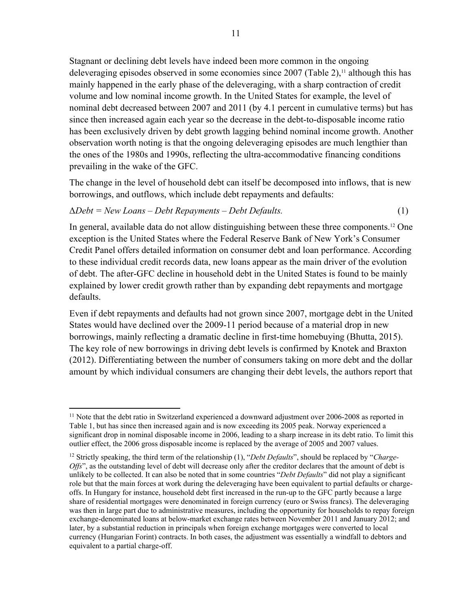Stagnant or declining debt levels have indeed been more common in the ongoing deleveraging episodes observed in some economies since 2007 (Table 2),<sup>11</sup> although this has mainly happened in the early phase of the deleveraging, with a sharp contraction of credit volume and low nominal income growth. In the United States for example, the level of nominal debt decreased between 2007 and 2011 (by 4.1 percent in cumulative terms) but has since then increased again each year so the decrease in the debt-to-disposable income ratio has been exclusively driven by debt growth lagging behind nominal income growth. Another observation worth noting is that the ongoing deleveraging episodes are much lengthier than the ones of the 1980s and 1990s, reflecting the ultra-accommodative financing conditions prevailing in the wake of the GFC.

The change in the level of household debt can itself be decomposed into inflows, that is new borrowings, and outflows, which include debt repayments and defaults:

# Δ*Debt = New Loans – Debt Repayments – Debt Defaults.* (1)

In general, available data do not allow distinguishing between these three components.12 One exception is the United States where the Federal Reserve Bank of New York's Consumer Credit Panel offers detailed information on consumer debt and loan performance. According to these individual credit records data, new loans appear as the main driver of the evolution of debt. The after-GFC decline in household debt in the United States is found to be mainly explained by lower credit growth rather than by expanding debt repayments and mortgage defaults.

Even if debt repayments and defaults had not grown since 2007, mortgage debt in the United States would have declined over the 2009-11 period because of a material drop in new borrowings, mainly reflecting a dramatic decline in first-time homebuying (Bhutta, 2015). The key role of new borrowings in driving debt levels is confirmed by Knotek and Braxton (2012). Differentiating between the number of consumers taking on more debt and the dollar amount by which individual consumers are changing their debt levels, the authors report that

 $11$  Note that the debt ratio in Switzerland experienced a downward adjustment over 2006-2008 as reported in Table 1, but has since then increased again and is now exceeding its 2005 peak. Norway experienced a significant drop in nominal disposable income in 2006, leading to a sharp increase in its debt ratio. To limit this outlier effect, the 2006 gross disposable income is replaced by the average of 2005 and 2007 values.

<sup>12</sup> Strictly speaking, the third term of the relationship (1), "*Debt Defaults*", should be replaced by "*Charge-Offs*", as the outstanding level of debt will decrease only after the creditor declares that the amount of debt is unlikely to be collected. It can also be noted that in some countries "*Debt Defaults*" did not play a significant role but that the main forces at work during the deleveraging have been equivalent to partial defaults or chargeoffs. In Hungary for instance, household debt first increased in the run-up to the GFC partly because a large share of residential mortgages were denominated in foreign currency (euro or Swiss francs). The deleveraging was then in large part due to administrative measures, including the opportunity for households to repay foreign exchange-denominated loans at below-market exchange rates between November 2011 and January 2012; and later, by a substantial reduction in principals when foreign exchange mortgages were converted to local currency (Hungarian Forint) contracts. In both cases, the adjustment was essentially a windfall to debtors and equivalent to a partial charge-off.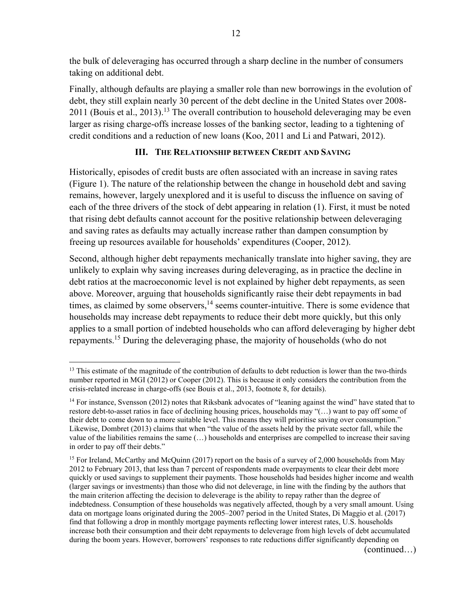the bulk of deleveraging has occurred through a sharp decline in the number of consumers taking on additional debt.

Finally, although defaults are playing a smaller role than new borrowings in the evolution of debt, they still explain nearly 30 percent of the debt decline in the United States over 2008- 2011 (Bouis et al., 2013).<sup>13</sup> The overall contribution to household deleveraging may be even larger as rising charge-offs increase losses of the banking sector, leading to a tightening of credit conditions and a reduction of new loans (Koo, 2011 and Li and Patwari, 2012).

# **III. THE RELATIONSHIP BETWEEN CREDIT AND SAVING**

Historically, episodes of credit busts are often associated with an increase in saving rates (Figure 1). The nature of the relationship between the change in household debt and saving remains, however, largely unexplored and it is useful to discuss the influence on saving of each of the three drivers of the stock of debt appearing in relation (1). First, it must be noted that rising debt defaults cannot account for the positive relationship between deleveraging and saving rates as defaults may actually increase rather than dampen consumption by freeing up resources available for households' expenditures (Cooper, 2012).

Second, although higher debt repayments mechanically translate into higher saving, they are unlikely to explain why saving increases during deleveraging, as in practice the decline in debt ratios at the macroeconomic level is not explained by higher debt repayments, as seen above. Moreover, arguing that households significantly raise their debt repayments in bad times, as claimed by some observers, $14$  seems counter-intuitive. There is some evidence that households may increase debt repayments to reduce their debt more quickly, but this only applies to a small portion of indebted households who can afford deleveraging by higher debt repayments.15 During the deleveraging phase, the majority of households (who do not

(continued…)

<sup>&</sup>lt;sup>13</sup> This estimate of the magnitude of the contribution of defaults to debt reduction is lower than the two-thirds number reported in MGI (2012) or Cooper (2012). This is because it only considers the contribution from the crisis-related increase in charge-offs (see Bouis et al., 2013, footnote 8, for details).

<sup>&</sup>lt;sup>14</sup> For instance, Svensson (2012) notes that Riksbank advocates of "leaning against the wind" have stated that to restore debt-to-asset ratios in face of declining housing prices, households may "(…) want to pay off some of their debt to come down to a more suitable level. This means they will prioritise saving over consumption." Likewise, Dombret (2013) claims that when "the value of the assets held by the private sector fall, while the value of the liabilities remains the same (…) households and enterprises are compelled to increase their saving in order to pay off their debts."

<sup>&</sup>lt;sup>15</sup> For Ireland, McCarthy and McQuinn (2017) report on the basis of a survey of 2,000 households from May 2012 to February 2013, that less than 7 percent of respondents made overpayments to clear their debt more quickly or used savings to supplement their payments. Those households had besides higher income and wealth (larger savings or investments) than those who did not deleverage, in line with the finding by the authors that the main criterion affecting the decision to deleverage is the ability to repay rather than the degree of indebtedness. Consumption of these households was negatively affected, though by a very small amount. Using data on mortgage loans originated during the 2005–2007 period in the United States, Di Maggio et al. (2017) find that following a drop in monthly mortgage payments reflecting lower interest rates, U.S. households increase both their consumption and their debt repayments to deleverage from high levels of debt accumulated during the boom years. However, borrowers' responses to rate reductions differ significantly depending on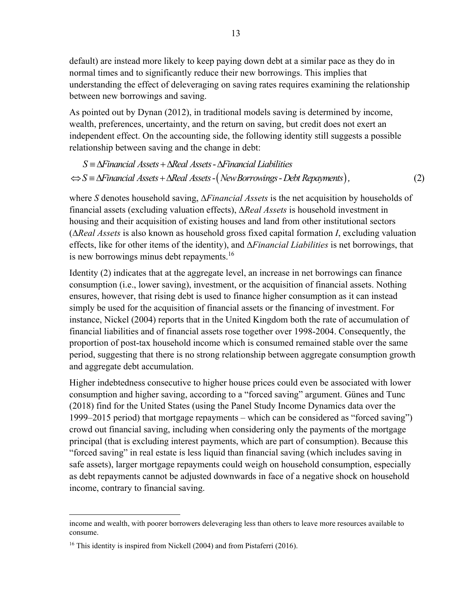default) are instead more likely to keep paying down debt at a similar pace as they do in normal times and to significantly reduce their new borrowings. This implies that understanding the effect of deleveraging on saving rates requires examining the relationship between new borrowings and saving.

As pointed out by Dynan (2012), in traditional models saving is determined by income, wealth, preferences, uncertainty, and the return on saving, but credit does not exert an independent effect. On the accounting side, the following identity still suggests a possible relationship between saving and the change in debt:

 $\Leftrightarrow$   $S = \Delta$ Financial Assets +  $\Delta$ Real Assets - (New Borrowings - Debt Repayments), (2) S =  $\Delta$ Financial Assets +  $\Delta$ Real Assets -  $\Delta$ Financial Liabilities

where *S* denotes household saving, ∆*Financial Assets* is the net acquisition by households of financial assets (excluding valuation effects), ∆*Real Assets* is household investment in housing and their acquisition of existing houses and land from other institutional sectors (∆*Real Assets* is also known as household gross fixed capital formation *I*, excluding valuation effects, like for other items of the identity), and ∆*Financial Liabilities* is net borrowings, that is new borrowings minus debt repayments.<sup>16</sup>

Identity (2) indicates that at the aggregate level, an increase in net borrowings can finance consumption (i.e., lower saving), investment, or the acquisition of financial assets. Nothing ensures, however, that rising debt is used to finance higher consumption as it can instead simply be used for the acquisition of financial assets or the financing of investment. For instance, Nickel (2004) reports that in the United Kingdom both the rate of accumulation of financial liabilities and of financial assets rose together over 1998-2004. Consequently, the proportion of post-tax household income which is consumed remained stable over the same period, suggesting that there is no strong relationship between aggregate consumption growth and aggregate debt accumulation.

Higher indebtedness consecutive to higher house prices could even be associated with lower consumption and higher saving, according to a "forced saving" argument. Günes and Tunc (2018) find for the United States (using the Panel Study Income Dynamics data over the 1999–2015 period) that mortgage repayments – which can be considered as "forced saving") crowd out financial saving, including when considering only the payments of the mortgage principal (that is excluding interest payments, which are part of consumption). Because this "forced saving" in real estate is less liquid than financial saving (which includes saving in safe assets), larger mortgage repayments could weigh on household consumption, especially as debt repayments cannot be adjusted downwards in face of a negative shock on household income, contrary to financial saving.

income and wealth, with poorer borrowers deleveraging less than others to leave more resources available to consume.

<sup>&</sup>lt;sup>16</sup> This identity is inspired from Nickell (2004) and from Pistaferri (2016).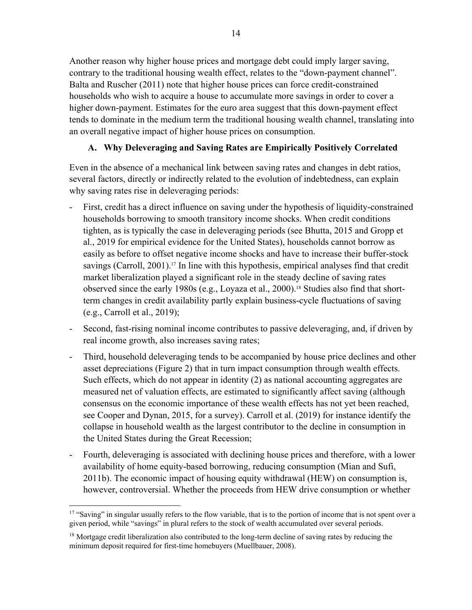Another reason why higher house prices and mortgage debt could imply larger saving, contrary to the traditional housing wealth effect, relates to the "down-payment channel". Balta and Ruscher (2011) note that higher house prices can force credit-constrained households who wish to acquire a house to accumulate more savings in order to cover a higher down-payment. Estimates for the euro area suggest that this down-payment effect tends to dominate in the medium term the traditional housing wealth channel, translating into an overall negative impact of higher house prices on consumption.

# **A. Why Deleveraging and Saving Rates are Empirically Positively Correlated**

Even in the absence of a mechanical link between saving rates and changes in debt ratios, several factors, directly or indirectly related to the evolution of indebtedness, can explain why saving rates rise in deleveraging periods:

- First, credit has a direct influence on saving under the hypothesis of liquidity-constrained households borrowing to smooth transitory income shocks. When credit conditions tighten, as is typically the case in deleveraging periods (see Bhutta, 2015 and Gropp et al., 2019 for empirical evidence for the United States), households cannot borrow as easily as before to offset negative income shocks and have to increase their buffer-stock savings (Carroll, 2001).<sup>17</sup> In line with this hypothesis, empirical analyses find that credit market liberalization played a significant role in the steady decline of saving rates observed since the early 1980s (e.g., Loyaza et al., 2000).18 Studies also find that shortterm changes in credit availability partly explain business-cycle fluctuations of saving (e.g., Carroll et al., 2019);
- Second, fast-rising nominal income contributes to passive deleveraging, and, if driven by real income growth, also increases saving rates;
- Third, household deleveraging tends to be accompanied by house price declines and other asset depreciations (Figure 2) that in turn impact consumption through wealth effects. Such effects, which do not appear in identity (2) as national accounting aggregates are measured net of valuation effects, are estimated to significantly affect saving (although consensus on the economic importance of these wealth effects has not yet been reached, see Cooper and Dynan, 2015, for a survey). Carroll et al. (2019) for instance identify the collapse in household wealth as the largest contributor to the decline in consumption in the United States during the Great Recession;
- Fourth, deleveraging is associated with declining house prices and therefore, with a lower availability of home equity-based borrowing, reducing consumption (Mian and Sufi, 2011b). The economic impact of housing equity withdrawal (HEW) on consumption is, however, controversial. Whether the proceeds from HEW drive consumption or whether

<sup>&</sup>lt;sup>17</sup> "Saving" in singular usually refers to the flow variable, that is to the portion of income that is not spent over a given period, while "savings" in plural refers to the stock of wealth accumulated over several periods.

<sup>&</sup>lt;sup>18</sup> Mortgage credit liberalization also contributed to the long-term decline of saving rates by reducing the minimum deposit required for first-time homebuyers (Muellbauer, 2008).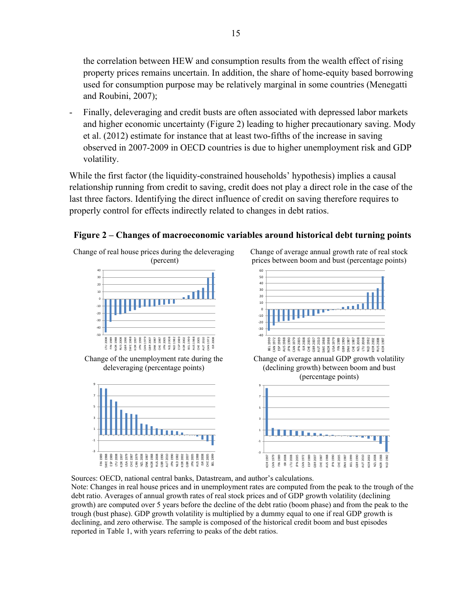the correlation between HEW and consumption results from the wealth effect of rising property prices remains uncertain. In addition, the share of home-equity based borrowing used for consumption purpose may be relatively marginal in some countries (Menegatti and Roubini, 2007);

- Finally, deleveraging and credit busts are often associated with depressed labor markets and higher economic uncertainty (Figure 2) leading to higher precautionary saving. Mody et al. (2012) estimate for instance that at least two-fifths of the increase in saving observed in 2007-2009 in OECD countries is due to higher unemployment risk and GDP volatility.

While the first factor (the liquidity-constrained households' hypothesis) implies a causal relationship running from credit to saving, credit does not play a direct role in the case of the last three factors. Identifying the direct influence of credit on saving therefore requires to properly control for effects indirectly related to changes in debt ratios.

# **Figure 2 – Changes of macroeconomic variables around historical debt turning points**

Change of real house prices during the deleveraging (percent)



Change of the unemployment rate during the deleveraging (percentage points)



Change of average annual growth rate of real stock prices between boom and bust (percentage points)



Change of average annual GDP growth volatility (declining growth) between boom and bust (percentage points)



Sources: OECD, national central banks, Datastream, and author's calculations.

Note: Changes in real house prices and in unemployment rates are computed from the peak to the trough of the debt ratio. Averages of annual growth rates of real stock prices and of GDP growth volatility (declining growth) are computed over 5 years before the decline of the debt ratio (boom phase) and from the peak to the trough (bust phase). GDP growth volatility is multiplied by a dummy equal to one if real GDP growth is declining, and zero otherwise. The sample is composed of the historical credit boom and bust episodes reported in Table 1, with years referring to peaks of the debt ratios.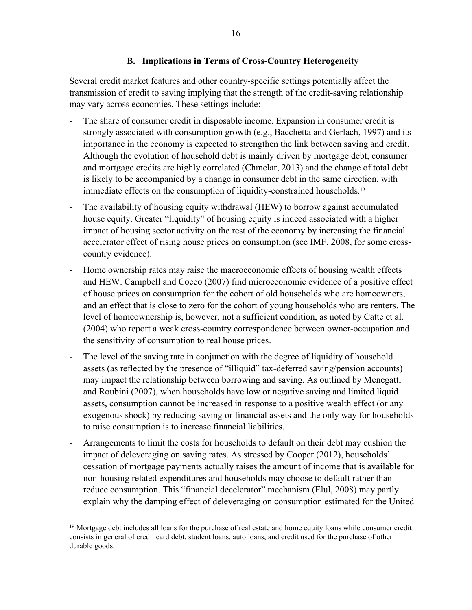# **B. Implications in Terms of Cross-Country Heterogeneity**

Several credit market features and other country-specific settings potentially affect the transmission of credit to saving implying that the strength of the credit-saving relationship may vary across economies. These settings include:

- The share of consumer credit in disposable income. Expansion in consumer credit is strongly associated with consumption growth (e.g., Bacchetta and Gerlach, 1997) and its importance in the economy is expected to strengthen the link between saving and credit. Although the evolution of household debt is mainly driven by mortgage debt, consumer and mortgage credits are highly correlated (Chmelar, 2013) and the change of total debt is likely to be accompanied by a change in consumer debt in the same direction, with immediate effects on the consumption of liquidity-constrained households.<sup>19</sup>
- The availability of housing equity withdrawal (HEW) to borrow against accumulated house equity. Greater "liquidity" of housing equity is indeed associated with a higher impact of housing sector activity on the rest of the economy by increasing the financial accelerator effect of rising house prices on consumption (see IMF, 2008, for some crosscountry evidence).
- Home ownership rates may raise the macroeconomic effects of housing wealth effects and HEW. Campbell and Cocco (2007) find microeconomic evidence of a positive effect of house prices on consumption for the cohort of old households who are homeowners, and an effect that is close to zero for the cohort of young households who are renters. The level of homeownership is, however, not a sufficient condition, as noted by Catte et al. (2004) who report a weak cross-country correspondence between owner-occupation and the sensitivity of consumption to real house prices.
- The level of the saving rate in conjunction with the degree of liquidity of household assets (as reflected by the presence of "illiquid" tax-deferred saving/pension accounts) may impact the relationship between borrowing and saving. As outlined by Menegatti and Roubini (2007), when households have low or negative saving and limited liquid assets, consumption cannot be increased in response to a positive wealth effect (or any exogenous shock) by reducing saving or financial assets and the only way for households to raise consumption is to increase financial liabilities.
- Arrangements to limit the costs for households to default on their debt may cushion the impact of deleveraging on saving rates. As stressed by Cooper (2012), households' cessation of mortgage payments actually raises the amount of income that is available for non-housing related expenditures and households may choose to default rather than reduce consumption. This "financial decelerator" mechanism (Elul, 2008) may partly explain why the damping effect of deleveraging on consumption estimated for the United

 $19$  Mortgage debt includes all loans for the purchase of real estate and home equity loans while consumer credit consists in general of credit card debt, student loans, auto loans, and credit used for the purchase of other durable goods.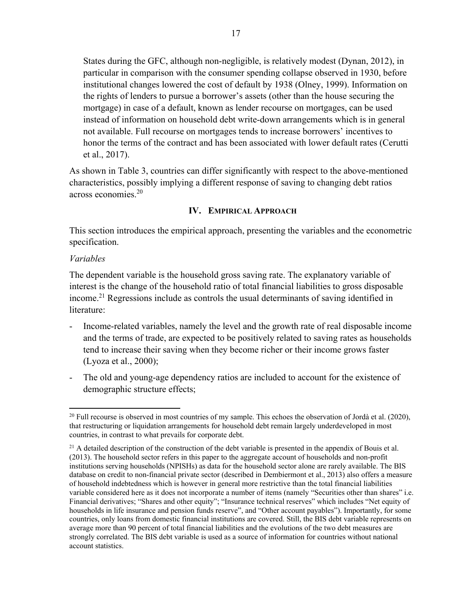States during the GFC, although non-negligible, is relatively modest (Dynan, 2012), in particular in comparison with the consumer spending collapse observed in 1930, before institutional changes lowered the cost of default by 1938 (Olney, 1999). Information on the rights of lenders to pursue a borrower's assets (other than the house securing the mortgage) in case of a default, known as lender recourse on mortgages, can be used instead of information on household debt write-down arrangements which is in general not available. Full recourse on mortgages tends to increase borrowers' incentives to honor the terms of the contract and has been associated with lower default rates (Cerutti et al., 2017).

As shown in Table 3, countries can differ significantly with respect to the above-mentioned characteristics, possibly implying a different response of saving to changing debt ratios across economies.20

# **IV. EMPIRICAL APPROACH**

This section introduces the empirical approach, presenting the variables and the econometric specification.

# *Variables*

The dependent variable is the household gross saving rate. The explanatory variable of interest is the change of the household ratio of total financial liabilities to gross disposable income.21 Regressions include as controls the usual determinants of saving identified in literature:

- Income-related variables, namely the level and the growth rate of real disposable income and the terms of trade, are expected to be positively related to saving rates as households tend to increase their saving when they become richer or their income grows faster (Lyoza et al., 2000);
- The old and young-age dependency ratios are included to account for the existence of demographic structure effects;

 $^{20}$  Full recourse is observed in most countries of my sample. This echoes the observation of Jordà et al. (2020), that restructuring or liquidation arrangements for household debt remain largely underdeveloped in most countries, in contrast to what prevails for corporate debt.

<sup>&</sup>lt;sup>21</sup> A detailed description of the construction of the debt variable is presented in the appendix of Bouis et al. (2013). The household sector refers in this paper to the aggregate account of households and non-profit institutions serving households (NPISHs) as data for the household sector alone are rarely available. The BIS database on credit to non-financial private sector (described in Dembiermont et al., 2013) also offers a measure of household indebtedness which is however in general more restrictive than the total financial liabilities variable considered here as it does not incorporate a number of items (namely "Securities other than shares" i.e. Financial derivatives; "Shares and other equity"; "Insurance technical reserves" which includes "Net equity of households in life insurance and pension funds reserve", and "Other account payables"). Importantly, for some countries, only loans from domestic financial institutions are covered. Still, the BIS debt variable represents on average more than 90 percent of total financial liabilities and the evolutions of the two debt measures are strongly correlated. The BIS debt variable is used as a source of information for countries without national account statistics.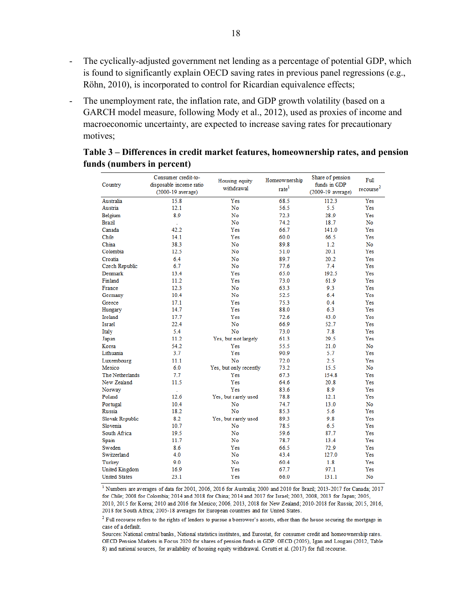- The cyclically-adjusted government net lending as a percentage of potential GDP, which is found to significantly explain OECD saving rates in previous panel regressions (e.g., Röhn, 2010), is incorporated to control for Ricardian equivalence effects;
- The unemployment rate, the inflation rate, and GDP growth volatility (based on a GARCH model measure, following Mody et al., 2012), used as proxies of income and macroeconomic uncertainty, are expected to increase saving rates for precautionary motives;

|                      | Consumer credit-to-     | Housing equity         | Homeownership     | Share of pension     | Full                  |
|----------------------|-------------------------|------------------------|-------------------|----------------------|-----------------------|
| Country              | disposable income ratio | withdrawal             | rate <sup>1</sup> | funds in GDP         | recourse <sup>2</sup> |
|                      | $(2000-19$ average)     |                        |                   | $(2009-19)$ average) |                       |
| Australia            | 15.8                    | Yes                    | 68.5              | 112.3                | Yes                   |
| Austria              | 12.1                    | No                     | 56.5              | 5.5                  | Yes                   |
| Belgium              | 8.9                     | No                     | 72.3              | 28.9                 | Yes                   |
| Brazil               |                         | No                     | 74.2              | 18.7                 | No                    |
| Canada               | 42.2                    | Yes                    | 66.7              | 141.0                | Yes                   |
| Chile                | 14.1                    | Yes                    | 60.0              | 66.5                 | Yes                   |
| China                | 38.3                    | No                     | 89.8              | 1.2                  | No                    |
| Colombia             | 12.5                    | No                     | 51.0              | 20.1                 | Yes                   |
| Croatia              | 6.4                     | No                     | 89.7              | 20.2                 | Yes                   |
| Czech Republic       | 6.7                     | No                     | 77.6              | 7.4                  | Yes                   |
| Denmark              | 13.4                    | Yes                    | 65.0              | 192.5                | Yes                   |
| Finland              | 11.2                    | Yes                    | 73.0              | 61.9                 | Yes                   |
| France               | 12.3                    | No                     | 63.3              | 9.3                  | Yes                   |
| Germany              | 10.4                    | No                     | 52.5              | 6.4                  | Yes                   |
| Greece               | 17.1                    | Yes                    | 75.3              | 0.4                  | Yes                   |
| Hungary              | 14.7                    | Yes                    | 88.0              | 6.3                  | Yes                   |
| Ireland              | 17.7                    | Yes                    | 72.6              | 43.0                 | Yes                   |
| Israel               | 22.4                    | No                     | 66.9              | 52.7                 | Yes                   |
| Italy                | 5.4                     | No                     | 73.0              | 7.8                  | Yes                   |
| Japan                | 11.2                    | Yes, but not largely   | 61.3              | 29.5                 | Yes                   |
| Korea                | 54.2                    | Yes                    | 55.5              | 21.0                 | No                    |
| Lithuania            | 3.7                     | Yes                    | 90.9              | 5.7                  | Yes                   |
| Luxembourg           | 11.1                    | No                     | 72.0              | 2.5                  | Yes                   |
| Mexico               | 6.0                     | Yes, but only recently | 73.2              | 15.5                 | No                    |
| The Netherlands      | 7.7                     | Yes                    | 67.3              | 154.8                | Yes                   |
| New Zealand          | 11.5                    | Yes                    | 64.6              | 20.8                 | Yes                   |
| Norway               | ÷.                      | Yes                    | 83.6              | 8.9                  | Yes                   |
| Poland               | 12.6                    | Yes, but rarely used   | 78.8              | 12.1                 | Yes                   |
| Portugal             | 10.4                    | No                     | 74.7              | 13.0                 | No                    |
| Russia               | 18.2                    | No                     | 85.3              | 5.6                  | Yes                   |
| Slovak Republic      | 8.2                     | Yes, but rarely used   | 89.3              | 9.8                  | Yes                   |
| Slovenia             | 10.7                    | No                     | 78.5              | 6.5                  | Yes                   |
| South Africa         | 19.5                    | No                     | 59.6              | 87.7                 | Yes                   |
| Spain                | 11.7                    | No                     | 78.7              | 13.4                 | Yes                   |
| Sweden               | 8.6                     | Yes                    | 66.5              | 72.9                 | Yes                   |
| Switzerland          | 4.0                     | No                     | 43.4              | 127.0                | Yes                   |
| Turkey               | 9.0                     | No                     | 60.4              | 1.8                  | Yes                   |
| United Kingdom       | 16.9                    | Yes                    | 67.7              | 97.1                 | Yes                   |
| <b>United States</b> | 23.1                    | Yes                    | 66.0              | 131.1                | No                    |

# **Table 3 – Differences in credit market features, homeownership rates, and pension funds (numbers in percent)**

<sup>1</sup> Numbers are averages of data for 2001, 2006, 2016 for Australia; 2000 and 2010 for Brazil; 2013-2017 for Canada; 2017 for Chile; 2008 for Colombia; 2014 and 2018 for China; 2014 and 2017 for Israel; 2003, 2008, 2013 for Japan; 2005, 2010, 2015 for Korea; 2010 and 2016 for Mexico; 2006, 2013, 2018 for New Zealand; 2010-2018 for Russia; 2015, 2016, 2018 for South Africa; 2005-18 averages for European countries and for United States.

 $2$  Full recourse refers to the rights of lenders to pursue a borrower's assets, other than the house securing the mortgage in case of a default.

Sources: National central banks, National statistics institutes, and Eurostat, for consumer credit and homeownership rates. OECD Pension Markets in Focus 2020 for shares of pension funds in GDP. OECD (2005), Igan and Lougani (2012, Table 8) and national sources, for availability of housing equity withdrawal. Cerutti et al. (2017) for full recourse.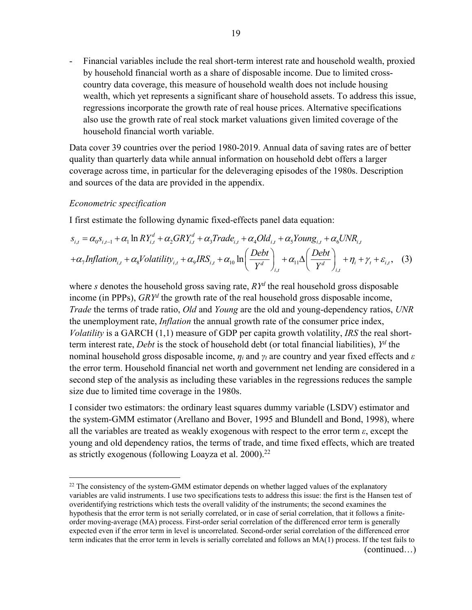- Financial variables include the real short-term interest rate and household wealth, proxied by household financial worth as a share of disposable income. Due to limited crosscountry data coverage, this measure of household wealth does not include housing wealth, which yet represents a significant share of household assets. To address this issue, regressions incorporate the growth rate of real house prices. Alternative specifications also use the growth rate of real stock market valuations given limited coverage of the household financial worth variable.

Data cover 39 countries over the period 1980-2019. Annual data of saving rates are of better quality than quarterly data while annual information on household debt offers a larger coverage across time, in particular for the deleveraging episodes of the 1980s. Description and sources of the data are provided in the appendix.

#### *Econometric specification*

I first estimate the following dynamic fixed-effects panel data equation:

$$
s_{i,t} = \alpha_0 s_{i,t-1} + \alpha_1 \ln R Y_{i,t}^d + \alpha_2 G R Y_{i,t}^d + \alpha_3 Trade_{i,t} + \alpha_4 Old_{i,t} + \alpha_5 Young_{i,t} + \alpha_6 UNR_{i,t}
$$
  
+ $\alpha_7 Inflation_{i,t} + \alpha_8 Volatility_{i,t} + \alpha_9 IRS_{i,t} + \alpha_{10} \ln \left( \frac{Debt}{Y^d} \right)_{i,t} + \alpha_{11} \Delta \left( \frac{Debt}{Y^d} \right)_{i,t} + \eta_i + \gamma_t + \varepsilon_{i,t},$  (3)

where *s* denotes the household gross saving rate, *RYd* the real household gross disposable income (in PPPs), *GRYd* the growth rate of the real household gross disposable income, *Trade* the terms of trade ratio, *Old* and *Young* are the old and young-dependency ratios, *UNR* the unemployment rate, *Inflation* the annual growth rate of the consumer price index, *Volatility* is a GARCH (1,1) measure of GDP per capita growth volatility, *IRS* the real shortterm interest rate, *Debt* is the stock of household debt (or total financial liabilities), *Yd* the nominal household gross disposable income, *ηi* and *γt* are country and year fixed effects and *ε* the error term. Household financial net worth and government net lending are considered in a second step of the analysis as including these variables in the regressions reduces the sample size due to limited time coverage in the 1980s.

I consider two estimators: the ordinary least squares dummy variable (LSDV) estimator and the system-GMM estimator (Arellano and Bover, 1995 and Blundell and Bond, 1998), where all the variables are treated as weakly exogenous with respect to the error term *ε*, except the young and old dependency ratios, the terms of trade, and time fixed effects, which are treated as strictly exogenous (following Loayza et al.  $2000$ ).<sup>22</sup>

 $22$  The consistency of the system-GMM estimator depends on whether lagged values of the explanatory variables are valid instruments. I use two specifications tests to address this issue: the first is the Hansen test of overidentifying restrictions which tests the overall validity of the instruments; the second examines the hypothesis that the error term is not serially correlated, or in case of serial correlation, that it follows a finiteorder moving-average (MA) process. First-order serial correlation of the differenced error term is generally expected even if the error term in level is uncorrelated. Second-order serial correlation of the differenced error term indicates that the error term in levels is serially correlated and follows an MA(1) process. If the test fails to (continued…)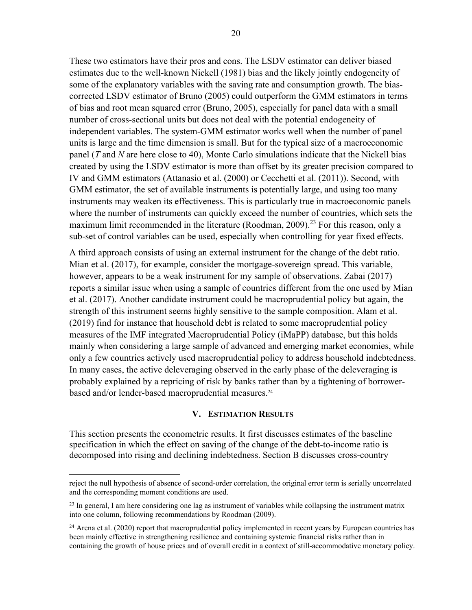These two estimators have their pros and cons. The LSDV estimator can deliver biased estimates due to the well-known Nickell (1981) bias and the likely jointly endogeneity of some of the explanatory variables with the saving rate and consumption growth. The biascorrected LSDV estimator of Bruno (2005) could outperform the GMM estimators in terms of bias and root mean squared error (Bruno, 2005), especially for panel data with a small number of cross-sectional units but does not deal with the potential endogeneity of independent variables. The system-GMM estimator works well when the number of panel units is large and the time dimension is small. But for the typical size of a macroeconomic panel (*T* and *N* are here close to 40), Monte Carlo simulations indicate that the Nickell bias created by using the LSDV estimator is more than offset by its greater precision compared to IV and GMM estimators (Attanasio et al. (2000) or Cecchetti et al. (2011)). Second, with GMM estimator, the set of available instruments is potentially large, and using too many instruments may weaken its effectiveness. This is particularly true in macroeconomic panels where the number of instruments can quickly exceed the number of countries, which sets the maximum limit recommended in the literature (Roodman, 2009).<sup>23</sup> For this reason, only a sub-set of control variables can be used, especially when controlling for year fixed effects.

A third approach consists of using an external instrument for the change of the debt ratio. Mian et al. (2017), for example, consider the mortgage-sovereign spread. This variable, however, appears to be a weak instrument for my sample of observations. Zabai (2017) reports a similar issue when using a sample of countries different from the one used by Mian et al. (2017). Another candidate instrument could be macroprudential policy but again, the strength of this instrument seems highly sensitive to the sample composition. Alam et al. (2019) find for instance that household debt is related to some macroprudential policy measures of the IMF integrated Macroprudential Policy (iMaPP) database, but this holds mainly when considering a large sample of advanced and emerging market economies, while only a few countries actively used macroprudential policy to address household indebtedness. In many cases, the active deleveraging observed in the early phase of the deleveraging is probably explained by a repricing of risk by banks rather than by a tightening of borrowerbased and/or lender-based macroprudential measures.<sup>24</sup>

#### **V. ESTIMATION RESULTS**

This section presents the econometric results. It first discusses estimates of the baseline specification in which the effect on saving of the change of the debt-to-income ratio is decomposed into rising and declining indebtedness. Section B discusses cross-country

reject the null hypothesis of absence of second-order correlation, the original error term is serially uncorrelated and the corresponding moment conditions are used.

 $^{23}$  In general, I am here considering one lag as instrument of variables while collapsing the instrument matrix into one column, following recommendations by Roodman (2009).

<sup>&</sup>lt;sup>24</sup> Arena et al. (2020) report that macroprudential policy implemented in recent years by European countries has been mainly effective in strengthening resilience and containing systemic financial risks rather than in containing the growth of house prices and of overall credit in a context of still-accommodative monetary policy.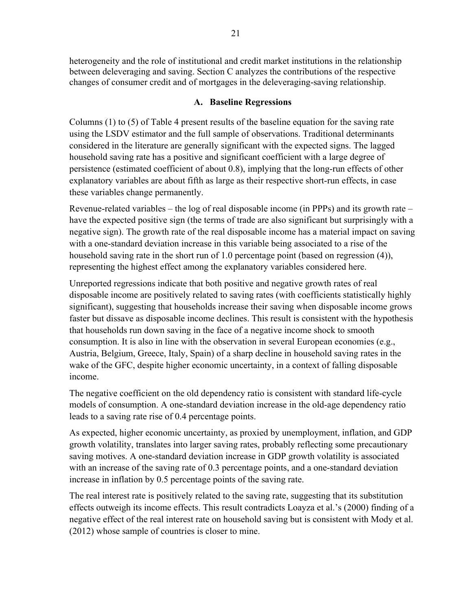heterogeneity and the role of institutional and credit market institutions in the relationship between deleveraging and saving. Section C analyzes the contributions of the respective changes of consumer credit and of mortgages in the deleveraging-saving relationship.

# **A. Baseline Regressions**

Columns (1) to (5) of Table 4 present results of the baseline equation for the saving rate using the LSDV estimator and the full sample of observations. Traditional determinants considered in the literature are generally significant with the expected signs. The lagged household saving rate has a positive and significant coefficient with a large degree of persistence (estimated coefficient of about 0.8), implying that the long-run effects of other explanatory variables are about fifth as large as their respective short-run effects, in case these variables change permanently.

Revenue-related variables – the log of real disposable income (in PPPs) and its growth rate – have the expected positive sign (the terms of trade are also significant but surprisingly with a negative sign). The growth rate of the real disposable income has a material impact on saving with a one-standard deviation increase in this variable being associated to a rise of the household saving rate in the short run of 1.0 percentage point (based on regression (4)), representing the highest effect among the explanatory variables considered here.

Unreported regressions indicate that both positive and negative growth rates of real disposable income are positively related to saving rates (with coefficients statistically highly significant), suggesting that households increase their saving when disposable income grows faster but dissave as disposable income declines. This result is consistent with the hypothesis that households run down saving in the face of a negative income shock to smooth consumption. It is also in line with the observation in several European economies (e.g., Austria, Belgium, Greece, Italy, Spain) of a sharp decline in household saving rates in the wake of the GFC, despite higher economic uncertainty, in a context of falling disposable income.

The negative coefficient on the old dependency ratio is consistent with standard life-cycle models of consumption. A one-standard deviation increase in the old-age dependency ratio leads to a saving rate rise of 0.4 percentage points.

As expected, higher economic uncertainty, as proxied by unemployment, inflation, and GDP growth volatility, translates into larger saving rates, probably reflecting some precautionary saving motives. A one-standard deviation increase in GDP growth volatility is associated with an increase of the saving rate of 0.3 percentage points, and a one-standard deviation increase in inflation by 0.5 percentage points of the saving rate.

The real interest rate is positively related to the saving rate, suggesting that its substitution effects outweigh its income effects. This result contradicts Loayza et al.'s (2000) finding of a negative effect of the real interest rate on household saving but is consistent with Mody et al. (2012) whose sample of countries is closer to mine.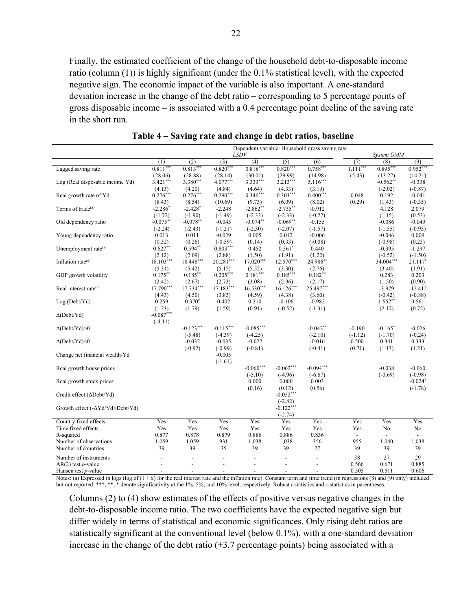Finally, the estimated coefficient of the change of the household debt-to-disposable income ratio (column (1)) is highly significant (under the 0.1% statistical level), with the expected negative sign. The economic impact of the variable is also important. A one-standard deviation increase in the change of the debt ratio – corresponding to 5 percentage points of gross disposable income – is associated with a 0.4 percentage point decline of the saving rate in the short run.

|                                                 |                |                          |                |                          |                       | Dependent variable: Household gross saving rate |                          |                          |                |
|-------------------------------------------------|----------------|--------------------------|----------------|--------------------------|-----------------------|-------------------------------------------------|--------------------------|--------------------------|----------------|
|                                                 |                | LSDV                     |                |                          |                       |                                                 | System GMM               |                          |                |
|                                                 | (1)            | (2)                      | (3)            | (4)                      | (5)                   | (6)                                             | (7)                      | (8)                      | (9)            |
| Lagged saving rate                              | $0.811***$     | $0.813***$               | $0.820***$     | $0.818***$               | $0.820***$            | $0.758***$                                      | $1.111***$               | $0.895***$               | $0.952***$     |
|                                                 | (28.06)        | (28.88)                  | (28.14)        | (30.01)                  | (29.99)               | (14.98)                                         | (5.43)                   | (13.22)                  | (14.21)        |
| Log (Real disposable income Yd)                 | $3.421***$     | 3.380***                 | $4.077***$     | $3.333***$               | $3.213***$            | $5.116***$                                      |                          | $-0.562**$               | $-0.338$       |
|                                                 | (4.13)         | (4.20)                   | (4.84)         | (4.64)                   | (4.33)                | (3.19)                                          |                          | $(-2.02)$                | $(-0.87)$      |
| Real growth rate of Yd                          | $0.276***$     | $0.276***$               | $0.290***$     | $0.346***$               | $0.303***$            | $0.400***$                                      | 0.048                    | 0.192                    | $-0.041$       |
|                                                 | (8.43)         | (8.54)                   | (10.69)        | (9.73)                   | (6.09)                | (8.02)                                          | (0.29)                   | (1.43)                   | $(-0.35)$      |
| Terms of trade <sup>(a)</sup>                   | $-2.286*$      | $-2.428*$                | $-2.248$       | $-2.862**$               | $-2.735***$           | $-0.912$                                        |                          | 4.128                    | 2.079          |
|                                                 | $(-1.72)$      | $(-1.90)$                | $(-1.49)$      | $(-2.33)$                | $(-2.33)$             | $(-0.22)$                                       |                          | (1.15)                   | (0.53)         |
| Old dependency ratio                            | $-0.075***$    | $-0.078***$              | $-0.045$       | $-0.074**$               | $-0.069**$            | $-0.155$                                        |                          | $-0.086$                 | $-0.049$       |
|                                                 | $(-2.24)$      | $(-2.43)$                | $(-1.21)$      | $(-2.30)$                | $(-2.07)$             | $(-1.57)$                                       |                          | $(-1.55)$                | $(-0.95)$      |
| Young dependency ratio                          | 0.013          | 0.011                    | $-0.029$       | 0.005                    | 0.012                 | $-0.006$                                        |                          | $-0.046$                 | 0.009          |
|                                                 | (0.32)         | (0.26)                   | $(-0.59)$      | (0.14)                   | (0.33)                | $(-0.08)$                                       |                          | $(-0.98)$                | (0.23)         |
| Unemployment rate <sup>(a)</sup>                | $0.627**$      | $0.594**$                | $0.803***$     | 0.452                    | $0.561*$              | 0.440                                           |                          | $-0.395$                 | $-1.297$       |
|                                                 | (2.12)         | (2.09)                   | (2.88)         | (1.50)                   | (1.91)                | (1.22)                                          |                          | $(-0.52)$                | $(-1.50)$      |
| Inflation rate $(a)$                            | $18.103***$    | 18.448***                | $20.281***$    | $17.020***$              | $12.570***$           | 24.986**                                        |                          | 34.004***                | 21.117*        |
|                                                 | (5.31)         | (5.42)                   | (5.15)         | (5.52)                   | (3.30)                | (2.76)                                          |                          | (3.40)                   | (1.91)         |
| GDP growth volatility                           | $0.175***$     | $0.185***$               | $0.205***$     | $0.181***$               | $0.185***$            | $0.182**$                                       |                          | 0.283                    | 0.203          |
|                                                 | (2.42)         | (2.67)                   | (2.73)         | (3.08)                   | (2.96)                | (2.17)                                          |                          | (1.50)                   | (0.90)         |
| Real interest rate <sup>(a)</sup>               | 17.790***      | 17.734***                | $17.183***$    | $16.530***$              | $16.126***$           | 25.497***                                       |                          | $-3.979$                 | $-12.412$      |
|                                                 | (4.43)         | (4.50)                   | (3.83)         | (4.59)                   | (4.38)                | (3.60)                                          |                          | $(-0.42)$                | $(-0.88)$      |
| Log (Debt/Yd)                                   | 0.259          | $0.370*$                 | 0.402          | 0.210                    | $-0.106$              | $-0.982$                                        |                          | $1.652**$                | 0.561          |
|                                                 | (1.23)         | (1.79)                   | (1.59)         | (0.91)                   | $(-0.52)$             | $(-1.31)$                                       |                          | (2.17)                   | (0.72)         |
| $\Delta$ (Debt/Yd)                              | $-0.087***$    |                          |                |                          |                       |                                                 |                          |                          |                |
|                                                 | $(-4.11)$      |                          |                |                          |                       |                                                 |                          |                          |                |
| $\Delta(Debt/Yd) > 0$                           |                | $-0.123***$              | $-0.115***$    | $-0.085***$              |                       | $-0.042**$                                      | $-0.190$                 | $-0.165*$                | $-0.026$       |
|                                                 |                | $(-5.48)$                | $(-4.39)$      | $(-4.25)$                |                       | $(-2.10)$                                       | $(-1.12)$                | $(-1.70)$                | $(-0.24)$      |
| $\Delta$ (Debt/Yd)<0                            |                | $-0.032$                 | $-0.035$       | $-0.027$                 |                       | $-0.016$                                        | 0.500                    | 0.341                    | 0.333          |
|                                                 |                | $(-0.92)$                | $(-0.99)$      | $(-0.81)$                |                       | $(-0.41)$                                       | (0.71)                   | (1.13)                   | (1.21)         |
| Change net financial wealth/Yd                  |                |                          | $-0.005$       |                          |                       |                                                 |                          |                          |                |
|                                                 |                |                          |                |                          |                       |                                                 |                          |                          |                |
| Real growth house prices                        |                |                          | $(-1.61)$      | $-0.060***$              | $-0.062***$           | $-0.094***$                                     |                          | $-0.038$                 | $-0.060$       |
|                                                 |                |                          |                | $(-5.10)$                | $(-4.96)$             | $(-6.67)$                                       |                          | $(-0.69)$                | $(-0.98)$      |
| Real growth stock prices                        |                |                          |                | 0.000                    | 0.000                 | 0.003                                           |                          |                          | $-0.024*$      |
|                                                 |                |                          |                | (0.16)                   |                       | (0.56)                                          |                          |                          | $(-1.78)$      |
|                                                 |                |                          |                |                          | (0.12)<br>$-0.052***$ |                                                 |                          |                          |                |
| Credit effect (∆Debt/Yd)                        |                |                          |                |                          | $(-2.82)$             |                                                 |                          |                          |                |
|                                                 |                |                          |                |                          | $-0.122***$           |                                                 |                          |                          |                |
| Growth effect (- $\Delta Yd/Yd\times Debt/Yd$ ) |                |                          |                |                          |                       |                                                 |                          |                          |                |
|                                                 |                |                          |                |                          | $(-2.74)$             |                                                 |                          |                          |                |
| Country fixed effects                           | Yes            | Yes                      | Yes            | Yes                      | Yes                   | Yes                                             | Yes                      | Yes                      | Yes            |
| Time fixed effects                              | Yes            | Yes                      | Yes            | Yes                      | Yes                   | Yes                                             | Yes                      | No                       | No             |
| R-squared                                       | 0.877          | 0.878                    | 0.879          | 0.886                    | 0.886                 | 0.836                                           | $\overline{\phantom{a}}$ | $\overline{\phantom{a}}$ | $\overline{a}$ |
| Number of observations                          | 1,059          | 1,059                    | 931            | 1,038                    | 1,038                 | 356                                             | 955                      | 1,040                    | 1,038          |
| Number of countries                             | 39             | 39                       | 35             | 39                       | 39                    | 27                                              | 39                       | 39                       | 39             |
| Number of instruments                           |                |                          | $\overline{a}$ |                          |                       |                                                 | 38                       | 27                       | 29             |
| $AR(2)$ test <i>p</i> -value                    |                | $\overline{a}$           | $\overline{a}$ | $\overline{\phantom{a}}$ |                       |                                                 | 0.566                    | 0.671                    | 0.885          |
| Hansen test p-value                             | $\overline{a}$ | $\overline{\phantom{a}}$ | $\overline{a}$ | $\overline{a}$           |                       |                                                 | 0.505                    | 0.511                    | 0.606          |

**Table 4 – Saving rate and change in debt ratios, baseline** 

Notes: (a) Expressed in logs (log of  $(1 + x)$  for the real interest rate and the inflation rate). Constant term and time trend (in regressions (8) and (9) only) included but not reported. \*\*\*, \*\*, \* denote significativity at the 1%, 5%, and 10% level, respectively. Robust *t*-statistics and *z*-statistics in parentheses.

Columns (2) to (4) show estimates of the effects of positive versus negative changes in the debt-to-disposable income ratio. The two coefficients have the expected negative sign but differ widely in terms of statistical and economic significances. Only rising debt ratios are statistically significant at the conventional level (below 0.1%), with a one-standard deviation increase in the change of the debt ratio  $(+3.7)$  percentage points) being associated with a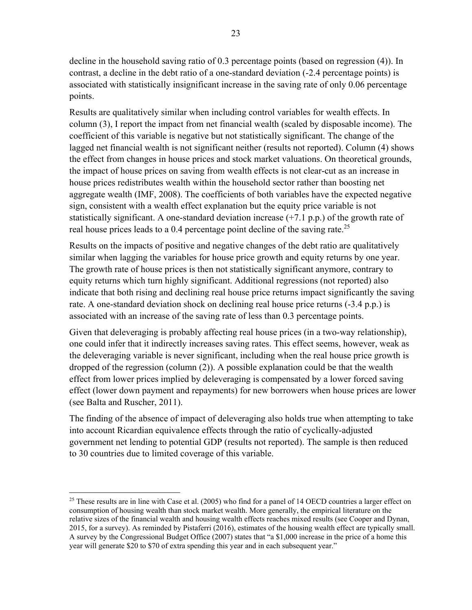decline in the household saving ratio of 0.3 percentage points (based on regression (4)). In contrast, a decline in the debt ratio of a one-standard deviation (-2.4 percentage points) is associated with statistically insignificant increase in the saving rate of only 0.06 percentage points.

Results are qualitatively similar when including control variables for wealth effects. In column (3), I report the impact from net financial wealth (scaled by disposable income). The coefficient of this variable is negative but not statistically significant. The change of the lagged net financial wealth is not significant neither (results not reported). Column (4) shows the effect from changes in house prices and stock market valuations. On theoretical grounds, the impact of house prices on saving from wealth effects is not clear-cut as an increase in house prices redistributes wealth within the household sector rather than boosting net aggregate wealth (IMF, 2008). The coefficients of both variables have the expected negative sign, consistent with a wealth effect explanation but the equity price variable is not statistically significant. A one-standard deviation increase  $(+7.1 \text{ p.p.})$  of the growth rate of real house prices leads to a 0.4 percentage point decline of the saving rate.<sup>25</sup>

Results on the impacts of positive and negative changes of the debt ratio are qualitatively similar when lagging the variables for house price growth and equity returns by one year. The growth rate of house prices is then not statistically significant anymore, contrary to equity returns which turn highly significant. Additional regressions (not reported) also indicate that both rising and declining real house price returns impact significantly the saving rate. A one-standard deviation shock on declining real house price returns (-3.4 p.p.) is associated with an increase of the saving rate of less than 0.3 percentage points.

Given that deleveraging is probably affecting real house prices (in a two-way relationship), one could infer that it indirectly increases saving rates. This effect seems, however, weak as the deleveraging variable is never significant, including when the real house price growth is dropped of the regression (column (2)). A possible explanation could be that the wealth effect from lower prices implied by deleveraging is compensated by a lower forced saving effect (lower down payment and repayments) for new borrowers when house prices are lower (see Balta and Ruscher, 2011).

The finding of the absence of impact of deleveraging also holds true when attempting to take into account Ricardian equivalence effects through the ratio of cyclically-adjusted government net lending to potential GDP (results not reported). The sample is then reduced to 30 countries due to limited coverage of this variable.

<sup>&</sup>lt;sup>25</sup> These results are in line with Case et al. (2005) who find for a panel of 14 OECD countries a larger effect on consumption of housing wealth than stock market wealth. More generally, the empirical literature on the relative sizes of the financial wealth and housing wealth effects reaches mixed results (see Cooper and Dynan, 2015, for a survey). As reminded by Pistaferri (2016), estimates of the housing wealth effect are typically small. A survey by the Congressional Budget Office (2007) states that "a \$1,000 increase in the price of a home this year will generate \$20 to \$70 of extra spending this year and in each subsequent year."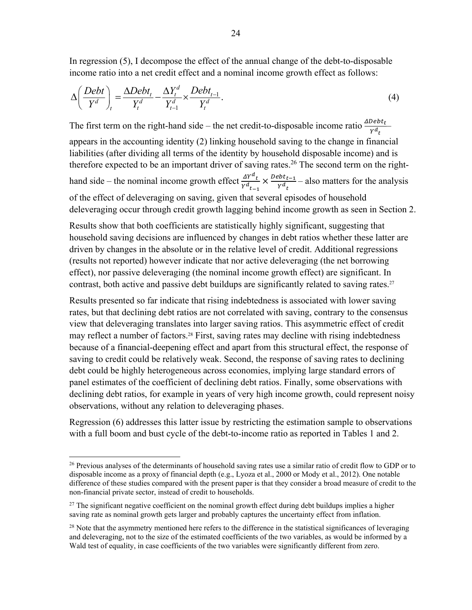In regression (5), I decompose the effect of the annual change of the debt-to-disposable income ratio into a net credit effect and a nominal income growth effect as follows:

$$
\Delta \left( \frac{Debt}{Y^d} \right)_t = \frac{\Delta Debt_t}{Y_t^d} - \frac{\Delta Y_t^d}{Y_{t-1}^d} \times \frac{Debt_{t-1}}{Y_t^d}.
$$
\n<sup>(4)</sup>

The first term on the right-hand side – the net credit-to-disposable income ratio  $\frac{\Delta Debt_t}{\gamma d_t}$ appears in the accounting identity (2) linking household saving to the change in financial liabilities (after dividing all terms of the identity by household disposable income) and is therefore expected to be an important driver of saving rates.<sup>26</sup> The second term on the righthand side – the nominal income growth effect  $\frac{\Delta Y^d_t}{v_d}$  $\frac{\Delta Y^d_t}{Y^d_{t-1}} \times \frac{Debt_{t-1}}{Y^d_{t}}$  $\frac{\partial u_{t-1}}{\partial t}$  – also matters for the analysis of the effect of deleveraging on saving, given that several episodes of household deleveraging occur through credit growth lagging behind income growth as seen in Section 2.

Results show that both coefficients are statistically highly significant, suggesting that household saving decisions are influenced by changes in debt ratios whether these latter are driven by changes in the absolute or in the relative level of credit. Additional regressions (results not reported) however indicate that nor active deleveraging (the net borrowing effect), nor passive deleveraging (the nominal income growth effect) are significant. In contrast, both active and passive debt buildups are significantly related to saving rates.<sup>27</sup>

Results presented so far indicate that rising indebtedness is associated with lower saving rates, but that declining debt ratios are not correlated with saving, contrary to the consensus view that deleveraging translates into larger saving ratios. This asymmetric effect of credit may reflect a number of factors.<sup>28</sup> First, saving rates may decline with rising indebtedness because of a financial-deepening effect and apart from this structural effect, the response of saving to credit could be relatively weak. Second, the response of saving rates to declining debt could be highly heterogeneous across economies, implying large standard errors of panel estimates of the coefficient of declining debt ratios. Finally, some observations with declining debt ratios, for example in years of very high income growth, could represent noisy observations, without any relation to deleveraging phases.

Regression (6) addresses this latter issue by restricting the estimation sample to observations with a full boom and bust cycle of the debt-to-income ratio as reported in Tables 1 and 2.

<sup>&</sup>lt;sup>26</sup> Previous analyses of the determinants of household saving rates use a similar ratio of credit flow to GDP or to disposable income as a proxy of financial depth (e.g., Lyoza et al., 2000 or Mody et al., 2012). One notable difference of these studies compared with the present paper is that they consider a broad measure of credit to the non-financial private sector, instead of credit to households.

<sup>&</sup>lt;sup>27</sup> The significant negative coefficient on the nominal growth effect during debt buildups implies a higher saving rate as nominal growth gets larger and probably captures the uncertainty effect from inflation.

 $^{28}$  Note that the asymmetry mentioned here refers to the difference in the statistical significances of leveraging and deleveraging, not to the size of the estimated coefficients of the two variables, as would be informed by a Wald test of equality, in case coefficients of the two variables were significantly different from zero.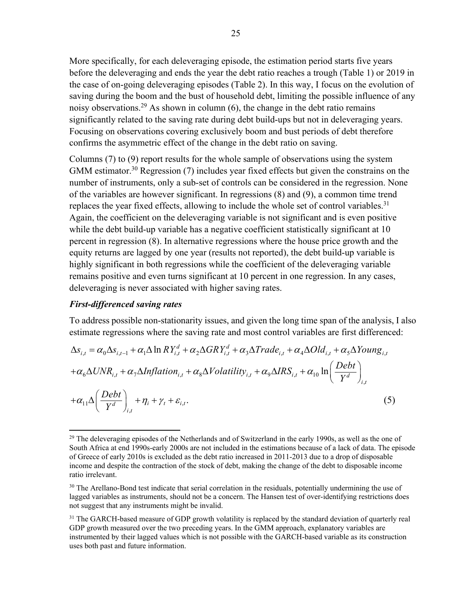More specifically, for each deleveraging episode, the estimation period starts five years before the deleveraging and ends the year the debt ratio reaches a trough (Table 1) or 2019 in the case of on-going deleveraging episodes (Table 2). In this way, I focus on the evolution of saving during the boom and the bust of household debt, limiting the possible influence of any noisy observations.<sup>29</sup> As shown in column  $(6)$ , the change in the debt ratio remains significantly related to the saving rate during debt build-ups but not in deleveraging years. Focusing on observations covering exclusively boom and bust periods of debt therefore confirms the asymmetric effect of the change in the debt ratio on saving.

Columns (7) to (9) report results for the whole sample of observations using the system GMM estimator.<sup>30</sup> Regression (7) includes year fixed effects but given the constrains on the number of instruments, only a sub-set of controls can be considered in the regression. None of the variables are however significant. In regressions (8) and (9), a common time trend replaces the year fixed effects, allowing to include the whole set of control variables.<sup>31</sup> Again, the coefficient on the deleveraging variable is not significant and is even positive while the debt build-up variable has a negative coefficient statistically significant at 10 percent in regression (8). In alternative regressions where the house price growth and the equity returns are lagged by one year (results not reported), the debt build-up variable is highly significant in both regressions while the coefficient of the deleveraging variable remains positive and even turns significant at 10 percent in one regression. In any cases, deleveraging is never associated with higher saving rates.

#### *First-differenced saving rates*

To address possible non-stationarity issues, and given the long time span of the analysis, I also estimate regressions where the saving rate and most control variables are first differenced:

$$
\Delta s_{i,t} = \alpha_0 \Delta s_{i,t-1} + \alpha_1 \Delta \ln R Y_{i,t}^d + \alpha_2 \Delta G R Y_{i,t}^d + \alpha_3 \Delta Trade_{i,t} + \alpha_4 \Delta Old_{i,t} + \alpha_5 \Delta Young_{i,t} \n+ \alpha_6 \Delta U N R_{i,t} + \alpha_7 \Delta Inflation_{i,t} + \alpha_8 \Delta Volatility_{i,t} + \alpha_9 \Delta IRS_{i,t} + \alpha_{10} \ln \left( \frac{Debt}{Y^d} \right)_{i,t} \n+ \alpha_{11} \Delta \left( \frac{Debt}{Y^d} \right)_{i,t} + \eta_i + \gamma_t + \varepsilon_{i,t}.
$$
\n(5)

<sup>&</sup>lt;sup>29</sup> The deleveraging episodes of the Netherlands and of Switzerland in the early 1990s, as well as the one of South Africa at end 1990s-early 2000s are not included in the estimations because of a lack of data. The episode of Greece of early 2010s is excluded as the debt ratio increased in 2011-2013 due to a drop of disposable income and despite the contraction of the stock of debt, making the change of the debt to disposable income ratio irrelevant.

<sup>&</sup>lt;sup>30</sup> The Arellano-Bond test indicate that serial correlation in the residuals, potentially undermining the use of lagged variables as instruments, should not be a concern. The Hansen test of over-identifying restrictions does not suggest that any instruments might be invalid.

<sup>&</sup>lt;sup>31</sup> The GARCH-based measure of GDP growth volatility is replaced by the standard deviation of quarterly real GDP growth measured over the two preceding years. In the GMM approach, explanatory variables are instrumented by their lagged values which is not possible with the GARCH-based variable as its construction uses both past and future information.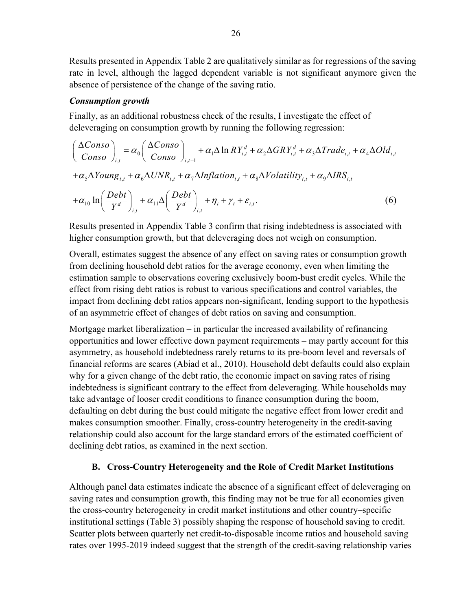Results presented in Appendix Table 2 are qualitatively similar as for regressions of the saving rate in level, although the lagged dependent variable is not significant anymore given the absence of persistence of the change of the saving ratio.

# *Consumption growth*

Finally, as an additional robustness check of the results, I investigate the effect of deleveraging on consumption growth by running the following regression:

$$
\left(\frac{\Delta Conso}{Conso}\right)_{i,t} = \alpha_0 \left(\frac{\Delta Conso}{Conso}\right)_{i,t-1} + \alpha_1 \Delta \ln R Y_{i,t}^d + \alpha_2 \Delta G R Y_{i,t}^d + \alpha_3 \Delta Trade_{i,t} + \alpha_4 \Delta Old_{i,t} + \alpha_5 \Delta Young_{i,t} + \alpha_6 \Delta UNR_{i,t} + \alpha_7 \Delta Inflation_{i,t} + \alpha_8 \Delta Volatility_{i,t} + \alpha_9 \Delta IRS_{i,t} + \alpha_{10} \ln \left(\frac{Debt}{Y^d}\right)_{i,t} + \alpha_{11} \Delta \left(\frac{Debt}{Y^d}\right)_{i,t} + \eta_i + \gamma_t + \varepsilon_{i,t}.
$$
\n(6)

Results presented in Appendix Table 3 confirm that rising indebtedness is associated with higher consumption growth, but that deleveraging does not weigh on consumption.

Overall, estimates suggest the absence of any effect on saving rates or consumption growth from declining household debt ratios for the average economy, even when limiting the estimation sample to observations covering exclusively boom-bust credit cycles. While the effect from rising debt ratios is robust to various specifications and control variables, the impact from declining debt ratios appears non-significant, lending support to the hypothesis of an asymmetric effect of changes of debt ratios on saving and consumption.

Mortgage market liberalization – in particular the increased availability of refinancing opportunities and lower effective down payment requirements – may partly account for this asymmetry, as household indebtedness rarely returns to its pre-boom level and reversals of financial reforms are scares (Abiad et al., 2010). Household debt defaults could also explain why for a given change of the debt ratio, the economic impact on saving rates of rising indebtedness is significant contrary to the effect from deleveraging. While households may take advantage of looser credit conditions to finance consumption during the boom, defaulting on debt during the bust could mitigate the negative effect from lower credit and makes consumption smoother. Finally, cross-country heterogeneity in the credit-saving relationship could also account for the large standard errors of the estimated coefficient of declining debt ratios, as examined in the next section.

# **B. Cross-Country Heterogeneity and the Role of Credit Market Institutions**

Although panel data estimates indicate the absence of a significant effect of deleveraging on saving rates and consumption growth, this finding may not be true for all economies given the cross-country heterogeneity in credit market institutions and other country–specific institutional settings (Table 3) possibly shaping the response of household saving to credit. Scatter plots between quarterly net credit-to-disposable income ratios and household saving rates over 1995-2019 indeed suggest that the strength of the credit-saving relationship varies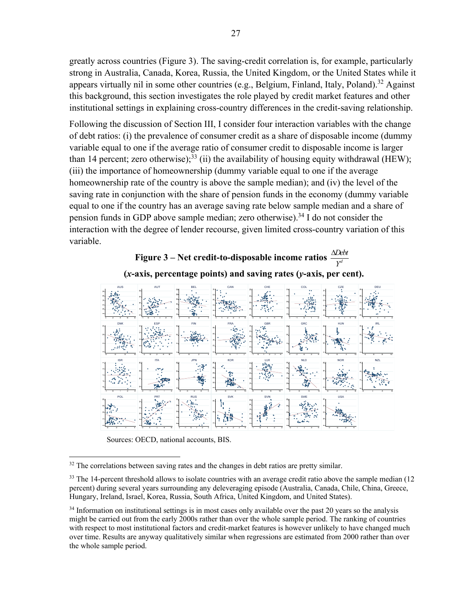greatly across countries (Figure 3). The saving-credit correlation is, for example, particularly strong in Australia, Canada, Korea, Russia, the United Kingdom, or the United States while it appears virtually nil in some other countries (e.g., Belgium, Finland, Italy, Poland).<sup>32</sup> Against this background, this section investigates the role played by credit market features and other institutional settings in explaining cross-country differences in the credit-saving relationship.

Following the discussion of Section III, I consider four interaction variables with the change of debt ratios: (i) the prevalence of consumer credit as a share of disposable income (dummy variable equal to one if the average ratio of consumer credit to disposable income is larger than 14 percent; zero otherwise);<sup>33</sup> (ii) the availability of housing equity withdrawal (HEW); (iii) the importance of homeownership (dummy variable equal to one if the average homeownership rate of the country is above the sample median); and (iv) the level of the saving rate in conjunction with the share of pension funds in the economy (dummy variable equal to one if the country has an average saving rate below sample median and a share of pension funds in GDP above sample median; zero otherwise).34 I do not consider the interaction with the degree of lender recourse, given limited cross-country variation of this variable.

```
Figure 3 – Net credit-to-disposable income ratios d
Debt
                                                                  \frac{\Delta Debt}{Y^d}
```




Sources: OECD, national accounts, BIS.

 $32$  The correlations between saving rates and the changes in debt ratios are pretty similar.

 $33$  The 14-percent threshold allows to isolate countries with an average credit ratio above the sample median (12) percent) during several years surrounding any deleveraging episode (Australia, Canada, Chile, China, Greece, Hungary, Ireland, Israel, Korea, Russia, South Africa, United Kingdom, and United States).

 $34$  Information on institutional settings is in most cases only available over the past 20 years so the analysis might be carried out from the early 2000s rather than over the whole sample period. The ranking of countries with respect to most institutional factors and credit-market features is however unlikely to have changed much over time. Results are anyway qualitatively similar when regressions are estimated from 2000 rather than over the whole sample period.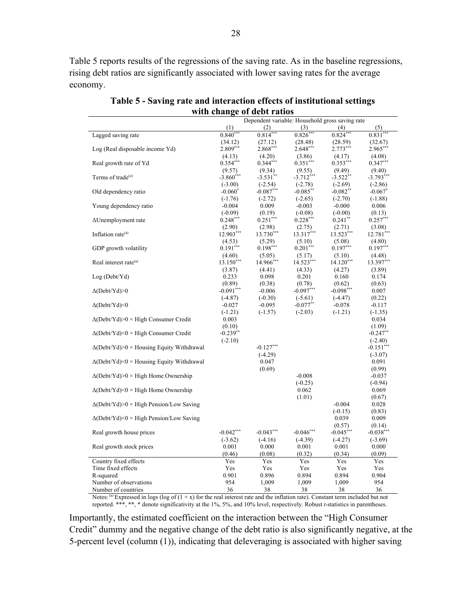Table 5 reports results of the regressions of the saving rate. As in the baseline regressions, rising debt ratios are significantly associated with lower saving rates for the average economy.

|                                                  |             | with Unangu of utbu ratios                      |             |             |             |
|--------------------------------------------------|-------------|-------------------------------------------------|-------------|-------------|-------------|
|                                                  |             | Dependent variable: Household gross saving rate |             |             |             |
|                                                  | (1)         | (2)                                             | (3)         | (4)         | (5)         |
| Lagged saving rate                               | $0.840***$  | $0.814***$                                      | $0.826***$  | $0.824***$  | $0.831***$  |
|                                                  | (34.12)     | (27.12)                                         | (28.48)     | (28.59)     | (32.67)     |
| Log (Real disposable income Yd)                  | $2.809***$  | $2.868***$                                      | $2.648***$  | $2.773***$  | $2.965***$  |
|                                                  | (4.13)      | (4.20)                                          | (3.86)      | (4.17)      | (4.08)      |
| Real growth rate of Yd                           | $0.354***$  | $0.344***$                                      | $0.351***$  | $0.353***$  | $0.347***$  |
|                                                  | (9.57)      | (9.34)                                          | (9.55)      | (9.49)      | (9.40)      |
| Terms of trade <sup>(a)</sup>                    | $-3.860***$ | $-3.531$ <sup>**</sup>                          | $-3.712***$ | $-3.522$ ** | $-3.793***$ |
|                                                  | $(-3.00)$   | $(-2.54)$                                       | $(-2.78)$   | $(-2.69)$   | $(-2.86)$   |
| Old dependency ratio                             | $-0.060*$   | $-0.087***$                                     | $-0.085***$ | $-0.082**$  | $-0.067$ *  |
|                                                  | $(-1.76)$   | $(-2.72)$                                       | $(-2.65)$   | $(-2.70)$   | $(-1.88)$   |
| Young dependency ratio                           | $-0.004$    | 0.009                                           | $-0.003$    | $-0.000$    | 0.006       |
|                                                  | $(-0.09)$   | (0.19)                                          | $(-0.08)$   | $(-0.00)$   | (0.13)      |
| $\Delta$ Unemployment rate                       | $0.248***$  | $0.251***$                                      | $0.228***$  | $0.241$ **  | $0.257***$  |
|                                                  | (2.90)      | (2.98)                                          | (2.75)      | (2.71)      | (3.08)      |
| Inflation rate <sup>(a)</sup>                    | 12.903***   | 13.730***                                       | 13.317***   | 13.523***   | 12.781***   |
|                                                  | (4.53)      | (5.29)                                          | (5.10)      | (5.08)      | (4.80)      |
| GDP growth volatility                            | $0.191***$  | $0.198***$                                      | $0.201***$  | $0.197***$  | $0.197***$  |
|                                                  | (4.60)      | (5.05)                                          | (5.17)      | (5.10)      | (4.48)      |
| Real interest rate <sup>(a)</sup>                | $13.150***$ | 14.966***                                       | 14.523***   | $14.120***$ | 13.397***   |
|                                                  | (3.87)      | (4.41)                                          | (4.33)      | (4.27)      | (3.89)      |
| Log (Debt/Yd)                                    | 0.233       | 0.098                                           | 0.201       | 0.160       | 0.174       |
|                                                  | (0.89)      | (0.38)                                          | (0.78)      | (0.62)      | (0.63)      |
| $\Delta(Debt/Yd) > 0$                            | $-0.091***$ | $-0.006$                                        | $-0.097***$ | $-0.098***$ | 0.007       |
|                                                  | $(-4.87)$   | $(-0.30)$                                       | $(-5.61)$   | $(-4.47)$   | (0.22)      |
| $\Delta$ (Debt/Yd)<0                             | $-0.027$    | $-0.095$                                        | $-0.077**$  | $-0.078$    | $-0.117$    |
|                                                  | $(-1.21)$   | $(-1.57)$                                       | $(-2.03)$   | $(-1.21)$   | $(-1.35)$   |
| $\Delta(Debt/Yd)$ > High Consumer Credit         | 0.003       |                                                 |             |             | 0.034       |
|                                                  | (0.10)      |                                                 |             |             | (1.09)      |
| $\Delta(Debt/Yd)$ <0 × High Consumer Credit      | $-0.239**$  |                                                 |             |             | $-0.247**$  |
|                                                  | $(-2.10)$   |                                                 |             |             | $(-2.40)$   |
| $\Delta(Debt/Yd)$ × Housing Equity Withdrawal    |             | $-0.127***$                                     |             |             | $-0.151***$ |
|                                                  |             | $(-4.29)$                                       |             |             | $(-3.07)$   |
| $\Delta$ (Debt/Yd)<0 × Housing Equity Withdrawal |             | 0.047                                           |             |             | 0.091       |
|                                                  |             | (0.69)                                          |             |             | (0.99)      |
| $\Delta(Debt/Yd)$ × High Home Ownership          |             |                                                 | $-0.008$    |             | $-0.037$    |
|                                                  |             |                                                 | $(-0.25)$   |             | $(-0.94)$   |
| $\Delta(Debt/Yd)$ <0 × High Home Ownership       |             |                                                 | 0.062       |             | 0.069       |
|                                                  |             |                                                 | (1.01)      |             | (0.67)      |
| $\Delta(Debt/Yd)$ > 0 × High Pension/Low Saving  |             |                                                 |             | $-0.004$    | 0.028       |
|                                                  |             |                                                 |             | $(-0.15)$   | (0.83)      |
| $\Delta$ (Debt/Yd)<0 × High Pension/Low Saving   |             |                                                 |             | 0.039       | 0.009       |
|                                                  |             |                                                 |             | (0.57)      | (0.14)      |
| Real growth house prices                         | $-0.042***$ | $-0.043***$                                     | $-0.046***$ | $-0.045***$ | $-0.038***$ |
|                                                  | $(-3.62)$   | $(-4.16)$                                       | $(-4.39)$   | $(-4.27)$   | $(-3.69)$   |
| Real growth stock prices                         | 0.001       | 0.000                                           | 0.001       | 0.001       | 0.000       |
|                                                  | (0.46)      | (0.08)                                          | (0.32)      | (0.34)      | (0.09)      |
| Country fixed effects                            | Yes         | Yes                                             | Yes         | Yes         | Yes         |
| Time fixed effects                               | Yes         | Yes                                             | Yes         | Yes         | Yes         |
| R-squared                                        | 0.901       | 0.896                                           | 0.894       | 0.894       | 0.904       |
| Number of observations                           | 954         | 1,009                                           | 1,009       | 1,009       | 954         |
| Number of countries                              | 36          | 38                                              | 38          | 38          | 36          |

**Table 5 - Saving rate and interaction effects of institutional settings with change of debt ratios** 

Notes: (a) Expressed in logs (log of  $(1 + x)$  for the real interest rate and the inflation rate). Constant term included but not reported. \*\*\*, \*\*, \* denote significativity at the 1%, 5%, and 10% level, respectively. Robust *t*-statistics in parentheses.

Importantly, the estimated coefficient on the interaction between the "High Consumer Credit" dummy and the negative change of the debt ratio is also significantly negative, at the 5-percent level (column (1)), indicating that deleveraging is associated with higher saving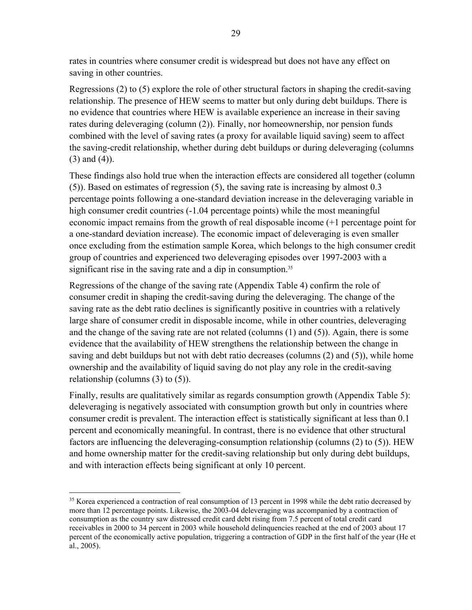rates in countries where consumer credit is widespread but does not have any effect on saving in other countries.

Regressions (2) to (5) explore the role of other structural factors in shaping the credit-saving relationship. The presence of HEW seems to matter but only during debt buildups. There is no evidence that countries where HEW is available experience an increase in their saving rates during deleveraging (column (2)). Finally, nor homeownership, nor pension funds combined with the level of saving rates (a proxy for available liquid saving) seem to affect the saving-credit relationship, whether during debt buildups or during deleveraging (columns (3) and (4)).

These findings also hold true when the interaction effects are considered all together (column (5)). Based on estimates of regression (5), the saving rate is increasing by almost 0.3 percentage points following a one-standard deviation increase in the deleveraging variable in high consumer credit countries (-1.04 percentage points) while the most meaningful economic impact remains from the growth of real disposable income (+1 percentage point for a one-standard deviation increase). The economic impact of deleveraging is even smaller once excluding from the estimation sample Korea, which belongs to the high consumer credit group of countries and experienced two deleveraging episodes over 1997-2003 with a significant rise in the saving rate and a dip in consumption.<sup>35</sup>

Regressions of the change of the saving rate (Appendix Table 4) confirm the role of consumer credit in shaping the credit-saving during the deleveraging. The change of the saving rate as the debt ratio declines is significantly positive in countries with a relatively large share of consumer credit in disposable income, while in other countries, deleveraging and the change of the saving rate are not related (columns (1) and (5)). Again, there is some evidence that the availability of HEW strengthens the relationship between the change in saving and debt buildups but not with debt ratio decreases (columns (2) and (5)), while home ownership and the availability of liquid saving do not play any role in the credit-saving relationship (columns (3) to (5)).

Finally, results are qualitatively similar as regards consumption growth (Appendix Table 5): deleveraging is negatively associated with consumption growth but only in countries where consumer credit is prevalent. The interaction effect is statistically significant at less than 0.1 percent and economically meaningful. In contrast, there is no evidence that other structural factors are influencing the deleveraging-consumption relationship (columns (2) to (5)). HEW and home ownership matter for the credit-saving relationship but only during debt buildups, and with interaction effects being significant at only 10 percent.

<sup>&</sup>lt;sup>35</sup> Korea experienced a contraction of real consumption of 13 percent in 1998 while the debt ratio decreased by more than 12 percentage points. Likewise, the 2003-04 deleveraging was accompanied by a contraction of consumption as the country saw distressed credit card debt rising from 7.5 percent of total credit card receivables in 2000 to 34 percent in 2003 while household delinquencies reached at the end of 2003 about 17 percent of the economically active population, triggering a contraction of GDP in the first half of the year (He et al., 2005).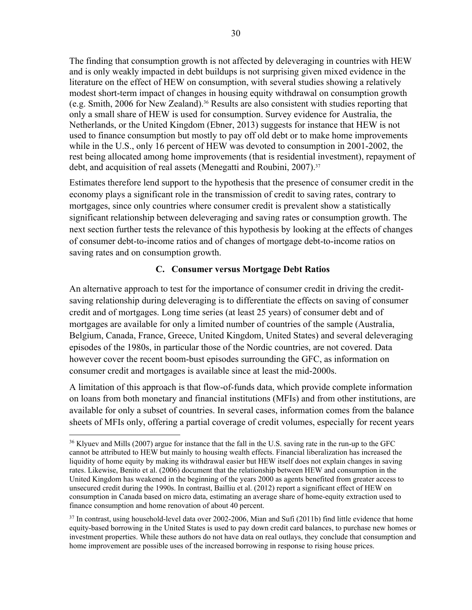The finding that consumption growth is not affected by deleveraging in countries with HEW and is only weakly impacted in debt buildups is not surprising given mixed evidence in the literature on the effect of HEW on consumption, with several studies showing a relatively modest short-term impact of changes in housing equity withdrawal on consumption growth (e.g. Smith, 2006 for New Zealand).<sup>36</sup> Results are also consistent with studies reporting that only a small share of HEW is used for consumption. Survey evidence for Australia, the Netherlands, or the United Kingdom (Ebner, 2013) suggests for instance that HEW is not used to finance consumption but mostly to pay off old debt or to make home improvements while in the U.S., only 16 percent of HEW was devoted to consumption in 2001-2002, the rest being allocated among home improvements (that is residential investment), repayment of debt, and acquisition of real assets (Menegatti and Roubini, 2007).<sup>37</sup>

Estimates therefore lend support to the hypothesis that the presence of consumer credit in the economy plays a significant role in the transmission of credit to saving rates, contrary to mortgages, since only countries where consumer credit is prevalent show a statistically significant relationship between deleveraging and saving rates or consumption growth. The next section further tests the relevance of this hypothesis by looking at the effects of changes of consumer debt-to-income ratios and of changes of mortgage debt-to-income ratios on saving rates and on consumption growth.

# **C. Consumer versus Mortgage Debt Ratios**

An alternative approach to test for the importance of consumer credit in driving the creditsaving relationship during deleveraging is to differentiate the effects on saving of consumer credit and of mortgages. Long time series (at least 25 years) of consumer debt and of mortgages are available for only a limited number of countries of the sample (Australia, Belgium, Canada, France, Greece, United Kingdom, United States) and several deleveraging episodes of the 1980s, in particular those of the Nordic countries, are not covered. Data however cover the recent boom-bust episodes surrounding the GFC, as information on consumer credit and mortgages is available since at least the mid-2000s.

A limitation of this approach is that flow-of-funds data, which provide complete information on loans from both monetary and financial institutions (MFIs) and from other institutions, are available for only a subset of countries. In several cases, information comes from the balance sheets of MFIs only, offering a partial coverage of credit volumes, especially for recent years

<sup>&</sup>lt;sup>36</sup> Klyuev and Mills (2007) argue for instance that the fall in the U.S. saving rate in the run-up to the GFC cannot be attributed to HEW but mainly to housing wealth effects. Financial liberalization has increased the liquidity of home equity by making its withdrawal easier but HEW itself does not explain changes in saving rates. Likewise, Benito et al. (2006) document that the relationship between HEW and consumption in the United Kingdom has weakened in the beginning of the years 2000 as agents benefited from greater access to unsecured credit during the 1990s. In contrast, Bailliu et al. (2012) report a significant effect of HEW on consumption in Canada based on micro data, estimating an average share of home-equity extraction used to finance consumption and home renovation of about 40 percent.

<sup>&</sup>lt;sup>37</sup> In contrast, using household-level data over 2002-2006, Mian and Sufi (2011b) find little evidence that home equity-based borrowing in the United States is used to pay down credit card balances, to purchase new homes or investment properties. While these authors do not have data on real outlays, they conclude that consumption and home improvement are possible uses of the increased borrowing in response to rising house prices.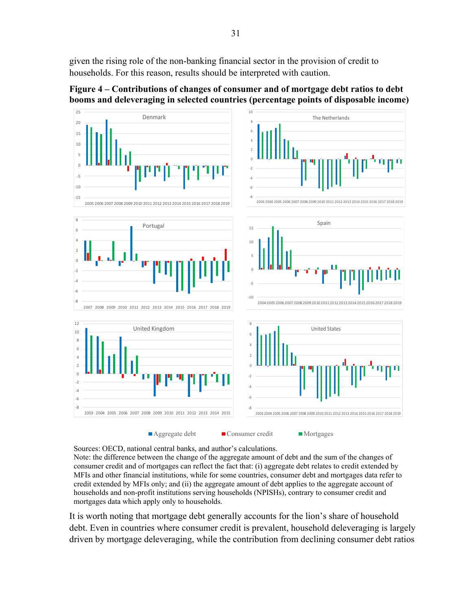given the rising role of the non-banking financial sector in the provision of credit to households. For this reason, results should be interpreted with caution.

‐15 ‐10 ‐5 0 5 10 15 20 25 2005 2006 2007 2008 2009 2010 2011 2012 2013 2014 2015 2016 2017 2018 2019 Denmark ‐8 ‐6 ‐4 ‐2 2 4 6 8 10 2003 2004 2005 2006 2007 2008 2009 2010 2011 2012 2013 2014 2015 2016 2017 2018 2019 The Netherlands ‐8 ‐6 ‐4 ‐2 0 2 4 6 8 2007 2008 2009 2010 2011 2012 2013 2014 2015 2016 2017 2018 2019 Portugal ‐10 ‐5 0 5 10 15 2004 2005 2006 2007 2008 2009 2010 2011 2012 2013 2014 2015 2016 2017 2018 2019 Spain ‐8 ‐6 ‐4 ‐2 0 2 4 6 8 10 12 2003 2004 2005 2006 2007 2008 2009 2010 2011 2012 2013 2014 2015 United Kingdom ‐8 ‐6 ‐4 ‐2 2 4 6 8 2003 2004 2005 2006 2007 2008 2009 2010 2011 2012 2013 2014 2015 2016 2017 2018 2019 United States Aggregate debt Consumer credit Mortgages

**Figure 4 – Contributions of changes of consumer and of mortgage debt ratios to debt booms and deleveraging in selected countries (percentage points of disposable income)** 

Sources: OECD, national central banks, and author's calculations.

Note: the difference between the change of the aggregate amount of debt and the sum of the changes of consumer credit and of mortgages can reflect the fact that: (i) aggregate debt relates to credit extended by MFIs and other financial institutions, while for some countries, consumer debt and mortgages data refer to credit extended by MFIs only; and (ii) the aggregate amount of debt applies to the aggregate account of households and non-profit institutions serving households (NPISHs), contrary to consumer credit and mortgages data which apply only to households.

It is worth noting that mortgage debt generally accounts for the lion's share of household debt. Even in countries where consumer credit is prevalent, household deleveraging is largely driven by mortgage deleveraging, while the contribution from declining consumer debt ratios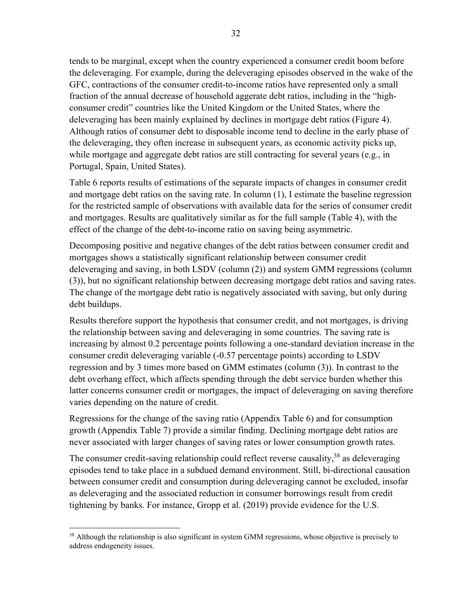tends to be marginal, except when the country experienced a consumer credit boom before the deleveraging. For example, during the deleveraging episodes observed in the wake of the GFC, contractions of the consumer credit-to-income ratios have represented only a small fraction of the annual decrease of household aggerate debt ratios, including in the "highconsumer credit" countries like the United Kingdom or the United States, where the deleveraging has been mainly explained by declines in mortgage debt ratios (Figure 4). Although ratios of consumer debt to disposable income tend to decline in the early phase of the deleveraging, they often increase in subsequent years, as economic activity picks up, while mortgage and aggregate debt ratios are still contracting for several years (e.g., in Portugal, Spain, United States).

Table 6 reports results of estimations of the separate impacts of changes in consumer credit and mortgage debt ratios on the saving rate. In column (1), I estimate the baseline regression for the restricted sample of observations with available data for the series of consumer credit and mortgages. Results are qualitatively similar as for the full sample (Table 4), with the effect of the change of the debt-to-income ratio on saving being asymmetric.

Decomposing positive and negative changes of the debt ratios between consumer credit and mortgages shows a statistically significant relationship between consumer credit deleveraging and saving, in both LSDV (column (2)) and system GMM regressions (column (3)), but no significant relationship between decreasing mortgage debt ratios and saving rates. The change of the mortgage debt ratio is negatively associated with saving, but only during debt buildups.

Results therefore support the hypothesis that consumer credit, and not mortgages, is driving the relationship between saving and deleveraging in some countries. The saving rate is increasing by almost 0.2 percentage points following a one-standard deviation increase in the consumer credit deleveraging variable (-0.57 percentage points) according to LSDV regression and by 3 times more based on GMM estimates (column (3)). In contrast to the debt overhang effect, which affects spending through the debt service burden whether this latter concerns consumer credit or mortgages, the impact of deleveraging on saving therefore varies depending on the nature of credit.

Regressions for the change of the saving ratio (Appendix Table 6) and for consumption growth (Appendix Table 7) provide a similar finding. Declining mortgage debt ratios are never associated with larger changes of saving rates or lower consumption growth rates.

The consumer credit-saving relationship could reflect reverse causality,  $38$  as deleveraging episodes tend to take place in a subdued demand environment. Still, bi-directional causation between consumer credit and consumption during deleveraging cannot be excluded, insofar as deleveraging and the associated reduction in consumer borrowings result from credit tightening by banks. For instance, Gropp et al. (2019) provide evidence for the U.S.

 $38$  Although the relationship is also significant in system GMM regressions, whose objective is precisely to address endogeneity issues.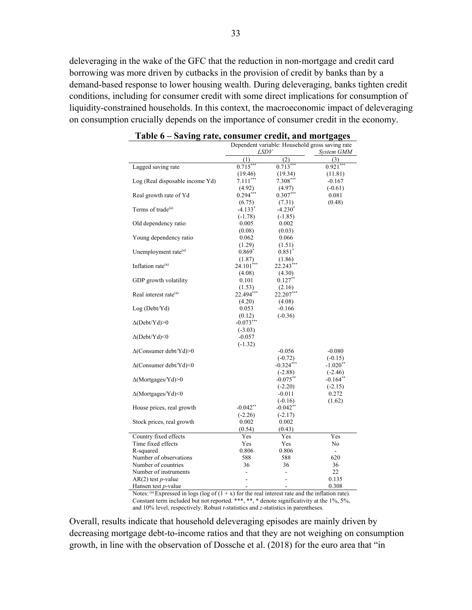deleveraging in the wake of the GFC that the reduction in non-mortgage and credit card borrowing was more driven by cutbacks in the provision of credit by banks than by a demand-based response to lower housing wealth. During deleveraging, banks tighten credit conditions, including for consumer credit with some direct implications for consumption of liquidity-constrained households. In this context, the macroeconomic impact of deleveraging on consumption crucially depends on the importance of consumer credit in the economy.

|                                     | Dependent variable: Household gross saving rate |                          |                      |  |  |
|-------------------------------------|-------------------------------------------------|--------------------------|----------------------|--|--|
|                                     | LSDV                                            |                          | System GMM           |  |  |
|                                     | (1)                                             | (2)                      | (3)                  |  |  |
| Lagged saving rate                  | $0.715***$                                      | $0.713***$               | $0.921***$           |  |  |
|                                     | (19.46)                                         | (19.34)                  | (11.81)              |  |  |
| Log (Real disposable income Yd)     | $7.111***$                                      | $7.308***$               | $-0.167$             |  |  |
|                                     | (4.92)                                          | (4.97)                   | $(-0.61)$            |  |  |
| Real growth rate of Yd              | $0.294***$                                      | $0.307***$               | 0.081                |  |  |
|                                     | (6.75)                                          | (7.31)                   | (0.48)               |  |  |
| Terms of trade <sup>(a)</sup>       | $-4.133*$                                       | $-4.230^*$               |                      |  |  |
|                                     | $(-1.78)$                                       | $(-1.85)$                |                      |  |  |
| Old dependency ratio                | 0.005                                           | 0.002                    |                      |  |  |
|                                     | (0.08)                                          | (0.03)                   |                      |  |  |
| Young dependency ratio              | 0.062                                           | 0.066                    |                      |  |  |
|                                     | (1.29)                                          | (1.51)                   |                      |  |  |
| Unemployment rate <sup>(a)</sup>    | $0.869*$                                        | $0.851*$                 |                      |  |  |
|                                     | (1.87)                                          | (1.86)                   |                      |  |  |
| Inflation rate $(a)$                | 24.101***                                       | 22.243***                |                      |  |  |
|                                     | (4.08)                                          | (4.30)                   |                      |  |  |
| GDP growth volatility               | 0.101                                           | $0.127$ <sup>**</sup>    |                      |  |  |
|                                     | (1.53)                                          | (2.16)                   |                      |  |  |
| Real interest rate <sup>(a)</sup>   | 22.494***                                       | 22.207***                |                      |  |  |
|                                     | (4.20)                                          | (4.08)                   |                      |  |  |
| Log (Debt/Yd)                       | 0.053                                           | $-0.166$                 |                      |  |  |
|                                     | (0.12)                                          | $(-0.36)$                |                      |  |  |
| $\Delta(Debt/Yd) > 0$               | $-0.073***$                                     |                          |                      |  |  |
|                                     | $(-3.03)$                                       |                          |                      |  |  |
| $\Delta(Debt/Yd)$ <0                | $-0.057$                                        |                          |                      |  |  |
|                                     | $(-1.32)$                                       |                          |                      |  |  |
| $\Delta$ (Consumer debt/Yd)>0       |                                                 | $-0.056$                 | $-0.080$             |  |  |
|                                     |                                                 | $(-0.72)$                | $(-0.15)$            |  |  |
| $\Delta$ (Consumer debt/Yd)<0       |                                                 | $-0.324***$              | $-1.020**$           |  |  |
|                                     |                                                 | $(-2.88)$                | $(-2.46)$            |  |  |
| $\Delta$ (Mortgages/Yd)>0           |                                                 | $-0.075***$              | $-0.164**$           |  |  |
|                                     |                                                 | $(-2.20)$                | $(-2.15)$            |  |  |
| $\Delta$ (Mortgages/Yd)<0           |                                                 | $-0.011$                 | 0.272                |  |  |
|                                     |                                                 | $(-0.16)$                | (1.62)               |  |  |
| House prices, real growth           | $-0.042$ **                                     | $-0.042$ **              |                      |  |  |
|                                     | $(-2.26)$                                       | $(-2.17)$                |                      |  |  |
| Stock prices, real growth           | 0.002                                           | 0.002                    |                      |  |  |
|                                     | (0.54)                                          | (0.43)                   |                      |  |  |
| Country fixed effects               | Yes                                             | Yes                      | Yes                  |  |  |
| Time fixed effects                  | Yes                                             | Yes                      | No                   |  |  |
| R-squared<br>Number of observations | 0.806                                           | 0.806                    | $\frac{1}{2}$<br>620 |  |  |
|                                     | 588                                             | 588                      |                      |  |  |
| Number of countries                 | 36<br>L,                                        | 36                       | 36<br>22             |  |  |
| Number of instruments               |                                                 | $\overline{\phantom{0}}$ |                      |  |  |
| $AR(2)$ test <i>p</i> -value        |                                                 | L,                       | 0.135                |  |  |
| Hansen test p-value                 | L,                                              | ÷,                       | 0.308                |  |  |

**Table 6 – Saving rate, consumer credit, and mortgages** 

Notes: (a) Expressed in logs (log of  $(1 + x)$  for the real interest rate and the inflation rate). Constant term included but not reported. \*\*\*, \*\*, \* denote significativity at the 1%, 5%, and 10% level, respectively. Robust *t*-statistics and *z*-statistics in parentheses.

Overall, results indicate that household deleveraging episodes are mainly driven by decreasing mortgage debt-to-income ratios and that they are not weighing on consumption growth, in line with the observation of Dossche et al. (2018) for the euro area that "in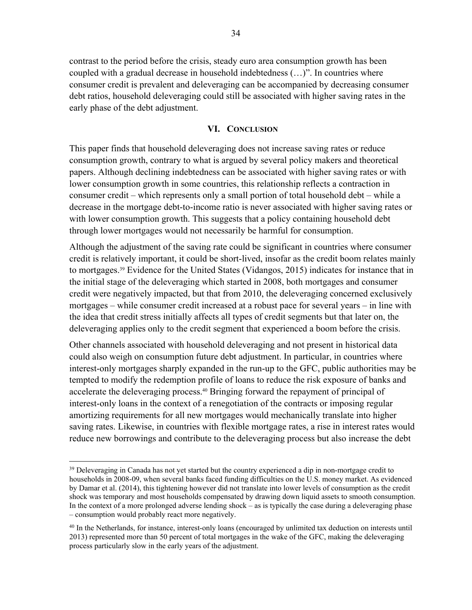contrast to the period before the crisis, steady euro area consumption growth has been coupled with a gradual decrease in household indebtedness (…)". In countries where consumer credit is prevalent and deleveraging can be accompanied by decreasing consumer debt ratios, household deleveraging could still be associated with higher saving rates in the early phase of the debt adjustment.

#### **VI. CONCLUSION**

This paper finds that household deleveraging does not increase saving rates or reduce consumption growth, contrary to what is argued by several policy makers and theoretical papers. Although declining indebtedness can be associated with higher saving rates or with lower consumption growth in some countries, this relationship reflects a contraction in consumer credit – which represents only a small portion of total household debt – while a decrease in the mortgage debt-to-income ratio is never associated with higher saving rates or with lower consumption growth. This suggests that a policy containing household debt through lower mortgages would not necessarily be harmful for consumption.

Although the adjustment of the saving rate could be significant in countries where consumer credit is relatively important, it could be short-lived, insofar as the credit boom relates mainly to mortgages.39 Evidence for the United States (Vidangos, 2015) indicates for instance that in the initial stage of the deleveraging which started in 2008, both mortgages and consumer credit were negatively impacted, but that from 2010, the deleveraging concerned exclusively mortgages – while consumer credit increased at a robust pace for several years – in line with the idea that credit stress initially affects all types of credit segments but that later on, the deleveraging applies only to the credit segment that experienced a boom before the crisis.

Other channels associated with household deleveraging and not present in historical data could also weigh on consumption future debt adjustment. In particular, in countries where interest-only mortgages sharply expanded in the run-up to the GFC, public authorities may be tempted to modify the redemption profile of loans to reduce the risk exposure of banks and accelerate the deleveraging process.<sup>40</sup> Bringing forward the repayment of principal of interest-only loans in the context of a renegotiation of the contracts or imposing regular amortizing requirements for all new mortgages would mechanically translate into higher saving rates. Likewise, in countries with flexible mortgage rates, a rise in interest rates would reduce new borrowings and contribute to the deleveraging process but also increase the debt

 $39$  Deleveraging in Canada has not yet started but the country experienced a dip in non-mortgage credit to households in 2008-09, when several banks faced funding difficulties on the U.S. money market. As evidenced by Damar et al. (2014), this tightening however did not translate into lower levels of consumption as the credit shock was temporary and most households compensated by drawing down liquid assets to smooth consumption. In the context of a more prolonged adverse lending shock – as is typically the case during a deleveraging phase – consumption would probably react more negatively.

<sup>&</sup>lt;sup>40</sup> In the Netherlands, for instance, interest-only loans (encouraged by unlimited tax deduction on interests until 2013) represented more than 50 percent of total mortgages in the wake of the GFC, making the deleveraging process particularly slow in the early years of the adjustment.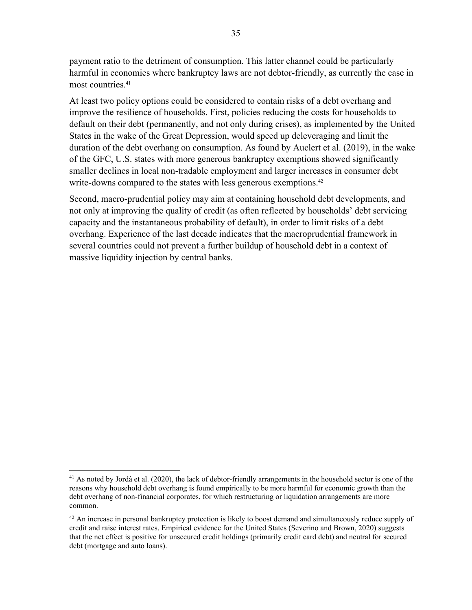payment ratio to the detriment of consumption. This latter channel could be particularly harmful in economies where bankruptcy laws are not debtor-friendly, as currently the case in most countries.41

At least two policy options could be considered to contain risks of a debt overhang and improve the resilience of households. First, policies reducing the costs for households to default on their debt (permanently, and not only during crises), as implemented by the United States in the wake of the Great Depression, would speed up deleveraging and limit the duration of the debt overhang on consumption. As found by Auclert et al. (2019), in the wake of the GFC, U.S. states with more generous bankruptcy exemptions showed significantly smaller declines in local non-tradable employment and larger increases in consumer debt write-downs compared to the states with less generous exemptions.<sup>42</sup>

Second, macro-prudential policy may aim at containing household debt developments, and not only at improving the quality of credit (as often reflected by households' debt servicing capacity and the instantaneous probability of default), in order to limit risks of a debt overhang. Experience of the last decade indicates that the macroprudential framework in several countries could not prevent a further buildup of household debt in a context of massive liquidity injection by central banks.

 $41$  As noted by Jordà et al. (2020), the lack of debtor-friendly arrangements in the household sector is one of the reasons why household debt overhang is found empirically to be more harmful for economic growth than the debt overhang of non-financial corporates, for which restructuring or liquidation arrangements are more common.

 $42$  An increase in personal bankruptcy protection is likely to boost demand and simultaneously reduce supply of credit and raise interest rates. Empirical evidence for the United States (Severino and Brown, 2020) suggests that the net effect is positive for unsecured credit holdings (primarily credit card debt) and neutral for secured debt (mortgage and auto loans).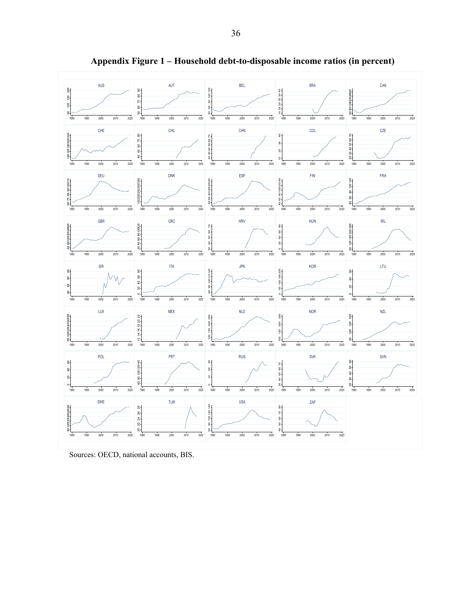

**Appendix Figure 1 – Household debt-to-disposable income ratios (in percent)** 

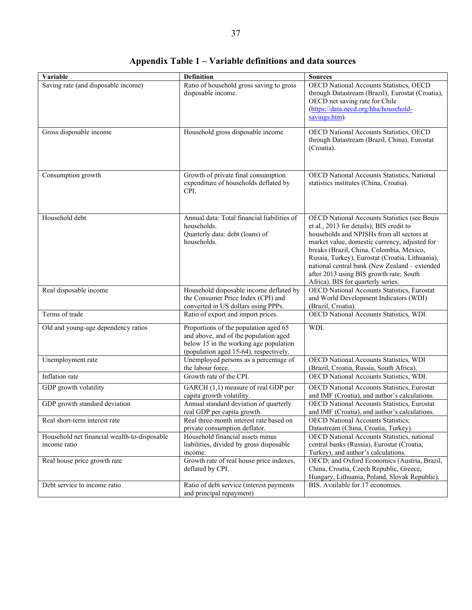| Variable                                                     | <b>Definition</b>                                                                                                                                                  | <b>Sources</b>                                                                                                                                                                                                                                                                                                                                                                                                          |
|--------------------------------------------------------------|--------------------------------------------------------------------------------------------------------------------------------------------------------------------|-------------------------------------------------------------------------------------------------------------------------------------------------------------------------------------------------------------------------------------------------------------------------------------------------------------------------------------------------------------------------------------------------------------------------|
| Saving rate (and disposable income)                          | Ratio of household gross saving to gross<br>disposable income.                                                                                                     | OECD National Accounts Statistics, OECD<br>through Datastream (Brazil), Eurostat (Croatia),<br>OECD net saving rate for Chile<br>(https://data.oecd.org/hha/household-<br>savings.htm).                                                                                                                                                                                                                                 |
| Gross disposable income                                      | Household gross disposable income                                                                                                                                  | OECD National Accounts Statistics, OECD<br>through Datastream (Brazil, China), Eurostat<br>(Croatia).                                                                                                                                                                                                                                                                                                                   |
| Consumption growth                                           | Growth of private final consumption<br>expenditure of households deflated by<br>CPI.                                                                               | OECD National Accounts Statistics, National<br>statistics institutes (China, Croatia).                                                                                                                                                                                                                                                                                                                                  |
| Household debt                                               | Annual data: Total financial liabilities of<br>households.<br>Quarterly data: debt (loans) of<br>households.                                                       | OECD National Accounts Statistics (see Bouis<br>et al., 2013 for details); BIS credit to<br>households and NPISHs from all sectors at<br>market value, domestic currency, adjusted for<br>breaks (Brazil, China, Colombia, Mexico,<br>Russia, Turkey), Eurostat (Croatia, Lithuania),<br>national central bank (New Zealand - extended<br>after 2013 using BIS growth rate; South<br>Africa). BIS for quarterly series. |
| Real disposable income                                       | Household disposable income deflated by<br>the Consumer Price Index (CPI) and<br>converted in US dollars using PPPs.                                               | <b>OECD National Accounts Statistics, Eurostat</b><br>and World Development Indicators (WDI)<br>(Brazil, Croatia).                                                                                                                                                                                                                                                                                                      |
| Terms of trade                                               | Ratio of export and import prices.                                                                                                                                 | OECD National Accounts Statistics, WDI.                                                                                                                                                                                                                                                                                                                                                                                 |
| Old and young-age dependency ratios                          | Proportions of the population aged 65<br>and above, and of the population aged<br>below 15 in the working age population<br>(population aged 15-64), respectively. | WDI.                                                                                                                                                                                                                                                                                                                                                                                                                    |
| Unemployment rate                                            | Unemployed persons as a percentage of<br>the labour force.                                                                                                         | OECD National Accounts Statistics, WDI<br>(Brazil, Croatia, Russia, South Africa).                                                                                                                                                                                                                                                                                                                                      |
| Inflation rate                                               | Growth rate of the CPI.                                                                                                                                            | OECD National Accounts Statistics, WDI.                                                                                                                                                                                                                                                                                                                                                                                 |
| GDP growth volatility                                        | GARCH (1,1) measure of real GDP per<br>capita growth volatility.                                                                                                   | OECD National Accounts Statistics, Eurostat<br>and IMF (Croatia), and author's calculations.                                                                                                                                                                                                                                                                                                                            |
| GDP growth standard deviation                                | Annual standard deviation of quarterly<br>real GDP per capita growth.                                                                                              | OECD National Accounts Statistics, Eurostat<br>and IMF (Croatia), and author's calculations.                                                                                                                                                                                                                                                                                                                            |
| Real short-term interest rate                                | Real three-month interest rate based on<br>private consumption deflator.                                                                                           | <b>OECD</b> National Accounts Statistics;<br>Datastream (China, Croatia, Turkey).                                                                                                                                                                                                                                                                                                                                       |
| Household net financial wealth-to-disposable<br>income ratio | Household financial assets minus<br>liabilities, divided by gross disposable<br>income.                                                                            | OECD National Accounts Statistics, national<br>central banks (Russia), Eurostat (Croatia,<br>Turkey), and author's calculations.                                                                                                                                                                                                                                                                                        |
| Real house price growth rate                                 | Growth rate of real house price indexes,<br>deflated by CPI.                                                                                                       | OECD; and Oxford Economics (Austria, Brazil,<br>China, Croatia, Czech Republic, Greece,<br>Hungary, Lithuania, Poland, Slovak Republic).                                                                                                                                                                                                                                                                                |
| Debt service to income ratio                                 | Ratio of debt service (interest payments<br>and principal repayment)                                                                                               | BIS. Available for 17 economies.                                                                                                                                                                                                                                                                                                                                                                                        |

# **Appendix Table 1 – Variable definitions and data sources**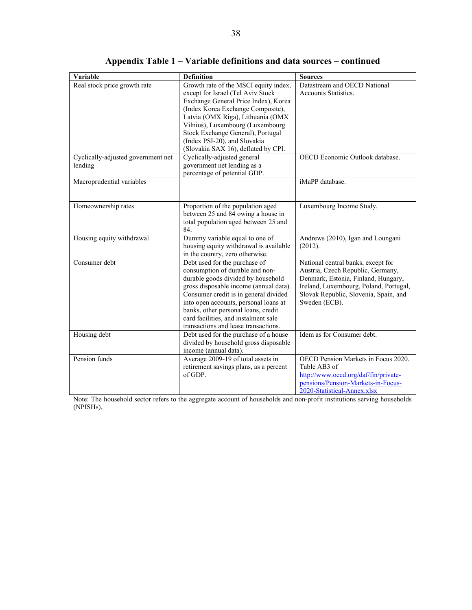| Variable                                      | <b>Definition</b>                                                                                                                                                                                                                                                                                                                                         | <b>Sources</b>                                                                                                                                                                                                     |
|-----------------------------------------------|-----------------------------------------------------------------------------------------------------------------------------------------------------------------------------------------------------------------------------------------------------------------------------------------------------------------------------------------------------------|--------------------------------------------------------------------------------------------------------------------------------------------------------------------------------------------------------------------|
| Real stock price growth rate                  | Growth rate of the MSCI equity index,<br>except for Israel (Tel Aviv Stock<br>Exchange General Price Index), Korea<br>(Index Korea Exchange Composite),<br>Latvia (OMX Riga), Lithuania (OMX<br>Vilnius), Luxembourg (Luxembourg<br>Stock Exchange General), Portugal<br>(Index PSI-20), and Slovakia<br>(Slovakia SAX 16), deflated by CPI.              | Datastream and OECD National<br><b>Accounts Statistics.</b>                                                                                                                                                        |
| Cyclically-adjusted government net<br>lending | Cyclically-adjusted general<br>government net lending as a<br>percentage of potential GDP.                                                                                                                                                                                                                                                                | OECD Economic Outlook database.                                                                                                                                                                                    |
| Macroprudential variables                     |                                                                                                                                                                                                                                                                                                                                                           | iMaPP database.                                                                                                                                                                                                    |
| Homeownership rates                           | Proportion of the population aged<br>between 25 and 84 owing a house in<br>total population aged between 25 and<br>84.                                                                                                                                                                                                                                    | Luxembourg Income Study.                                                                                                                                                                                           |
| Housing equity withdrawal                     | Dummy variable equal to one of<br>housing equity withdrawal is available<br>in the country, zero otherwise.                                                                                                                                                                                                                                               | Andrews (2010), Igan and Loungani<br>(2012).                                                                                                                                                                       |
| Consumer debt                                 | Debt used for the purchase of<br>consumption of durable and non-<br>durable goods divided by household<br>gross disposable income (annual data).<br>Consumer credit is in general divided<br>into open accounts, personal loans at<br>banks, other personal loans, credit<br>card facilities, and instalment sale<br>transactions and lease transactions. | National central banks, except for<br>Austria, Czech Republic, Germany,<br>Denmark, Estonia, Finland, Hungary,<br>Ireland, Luxembourg, Poland, Portugal,<br>Slovak Republic, Slovenia, Spain, and<br>Sweden (ECB). |
| Housing debt                                  | Debt used for the purchase of a house<br>divided by household gross disposable<br>income (annual data).                                                                                                                                                                                                                                                   | Idem as for Consumer debt.                                                                                                                                                                                         |
| Pension funds                                 | Average 2009-19 of total assets in<br>retirement savings plans, as a percent<br>of GDP.                                                                                                                                                                                                                                                                   | OECD Pension Markets in Focus 2020.<br>Table AB3 of<br>http://www.oecd.org/daf/fin/private-<br>pensions/Pension-Markets-in-Focus-<br>2020-Statistical-Annex.xlsx                                                   |

**Appendix Table 1 – Variable definitions and data sources – continued**

Note: The household sector refers to the aggregate account of households and non-profit institutions serving households (NPISHs).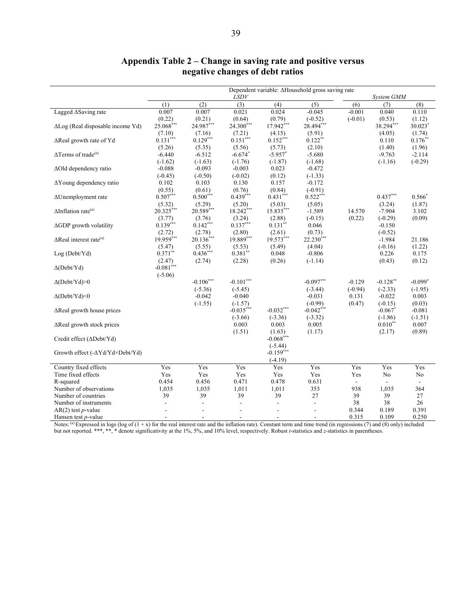|                                                       |                                    |                                    | LSDV                                      |                                            | Dependent variable: ∆Household gross saving rate |                       | System GMM                         |                          |
|-------------------------------------------------------|------------------------------------|------------------------------------|-------------------------------------------|--------------------------------------------|--------------------------------------------------|-----------------------|------------------------------------|--------------------------|
|                                                       | (1)                                | (2)                                | (3)                                       | (4)                                        | (5)                                              | (6)                   | (7)                                | (8)                      |
| Lagged ASaving rate                                   | 0.007                              | 0.007                              | 0.021                                     | 0.024                                      | $-0.045$                                         | $-0.001$              | 0.040                              | 0.110                    |
| $\Delta$ Log (Real disposable income Yd)              | (0.22)<br>25.068***                | (0.21)<br>24.987***                | (0.64)<br>24.300***                       | (0.79)<br>17.942***                        | $(-0.52)$<br>28.494***                           | $(-0.01)$             | (0.53)<br>38.294***                | (1.12)<br>30.023*        |
| ∆Real growth rate of Yd                               | (7.10)<br>$0.131***$               | (7.16)<br>$0.129***$               | (7.21)<br>$0.151***$                      | (4.15)<br>$0.152***$                       | (5.91)<br>$0.122***$                             |                       | (4.05)<br>0.110                    | (1.74)<br>$0.176^{**}$   |
| $\Delta$ Terms of trade <sup>(a)</sup>                | (5.26)<br>$-6.440$                 | (5.35)<br>$-6.512$                 | (5.56)<br>$-6.674*$                       | (5.73)<br>$-5.957$ *                       | (2.10)<br>$-5.680$                               |                       | (1.40)<br>$-9.763$                 | (1.96)<br>$-2.114$       |
| ∆Old dependency ratio                                 | $(-1.62)$<br>$-0.088$<br>$(-0.45)$ | $(-1.63)$<br>$-0.093$<br>$(-0.50)$ | $(-1.76)$<br>$-0.003$<br>$(-0.02)$        | $(-1.87)$<br>0.023<br>(0.12)               | $(-1.68)$<br>$-0.472$<br>$(-1.33)$               |                       | $(-1.16)$                          | $(-0.29)$                |
| $\Delta$ Young dependency ratio                       | 0.102<br>(0.55)                    | 0.103<br>(0.61)                    | 0.130<br>(0.76)                           | 0.157<br>(0.84)                            | $-0.172$<br>$(-0.91)$                            |                       |                                    |                          |
| $\Delta$ Unemployment rate                            | $0.507***$<br>(5.32)               | $0.500***$<br>(5.29)               | $0.439***$<br>(5.20)                      | $0.431***$<br>(5.03)                       | $0.522***$<br>(5.05)                             |                       | $0.437***$<br>(3.24)               | $0.566*$<br>(1.87)       |
| $\Delta$ Inflation rate <sup>(a)</sup>                | 20.325***<br>(3.77)                | 20.589***<br>(3.76)                | $18.242***$<br>(3.24)                     | 15.835***<br>(2.88)                        | $-1.589$<br>$(-0.15)$                            | 14.570<br>(0.22)      | $-7.904$<br>$(-0.29)$              | 3.102<br>(0.09)          |
| $\Delta$ GDP growth volatility                        | $0.139***$<br>(2.72)               | $0.142***$<br>(2.78)               | $0.137***$<br>(2.80)                      | $0.131$ **<br>(2.61)                       | 0.046<br>(0.73)                                  |                       | $-0.150$<br>$(-0.52)$              |                          |
| $\Delta$ Real interest rate <sup>(a)</sup>            | 19.959***<br>(5.47)                | $20.136***$<br>(5.55)              | 19.889***<br>(5.53)                       | 19.573***<br>(5.49)                        | $22.230***$<br>(4.04)                            |                       | $-1.984$<br>$(-0.16)$              | 21.186<br>(1.22)         |
| Log (Debt/Yd)                                         | $0.371**$<br>(2.47)                | $0.436***$<br>(2.74)               | $0.381**$<br>(2.28)                       | 0.048<br>(0.26)                            | $-0.806$<br>$(-1.14)$                            |                       | 0.226<br>(0.43)                    | 0.175<br>(0.12)          |
| $\Delta$ (Debt/Yd)                                    | $-0.081***$<br>$(-5.06)$           |                                    |                                           |                                            |                                                  |                       |                                    |                          |
| $\Delta(Debt/Yd) > 0$                                 |                                    | $-0.106***$<br>$(-5.36)$           | $-0.101***$<br>$(-5.45)$                  |                                            | $-0.097***$<br>$(-3.44)$                         | $-0.129$<br>$(-0.94)$ | $-0.128***$<br>$(-2.33)$           | $-0.099*$<br>$(-1.95)$   |
| $\Delta(Debt/Yd)$ <0                                  |                                    | $-0.042$<br>$(-1.55)$              | $-0.040$<br>$(-1.57)$                     |                                            | $-0.031$<br>$(-0.99)$                            | 0.131<br>(0.47)       | $-0.022$<br>$(-0.15)$              | 0.003<br>(0.03)          |
| $\Delta$ Real growth house prices                     |                                    |                                    | $-0.035***$<br>$(-3.66)$                  | $-0.032***$<br>$(-3.36)$                   | $-0.042***$<br>$(-3.32)$                         |                       | $-0.067$ <sup>*</sup><br>$(-1.86)$ | $-0.081$<br>$(-1.51)$    |
| ∆Real growth stock prices                             |                                    |                                    | 0.003<br>(1.51)                           | 0.003<br>(1.63)                            | 0.005<br>(1.17)                                  |                       | $0.010**$<br>(2.17)                | 0.007<br>(0.89)          |
| Credit effect (∆Debt/Yd)                              |                                    |                                    |                                           | $-0.068***$<br>$(-5.44)$                   |                                                  |                       |                                    |                          |
| Growth effect (-∆Yd/Yd×Debt/Yd)                       |                                    |                                    |                                           | $-0.159***$<br>$(-4.19)$                   |                                                  |                       |                                    |                          |
| Country fixed effects                                 | Yes                                | Yes                                | Yes                                       | Yes                                        | Yes                                              | Yes                   | Yes                                | Yes                      |
| Time fixed effects                                    | Yes                                | Yes                                | Yes                                       | Yes                                        | Yes                                              | Yes                   | No                                 | No                       |
| R-squared                                             | 0.454                              | 0.456                              | 0.471                                     | 0.478                                      | 0.631                                            | $\blacksquare$        | ÷.                                 | $\overline{\phantom{a}}$ |
| Number of observations                                | 1,035                              | 1,035<br>39                        | 1,011                                     | 1,011                                      | 353                                              | 938                   | 1,035                              | 364                      |
| Number of countries                                   | 39                                 |                                    | 39                                        | 39                                         | 27                                               | 39<br>38              | 39<br>38                           | 27<br>26                 |
| Number of instruments<br>$AR(2)$ test <i>p</i> -value | $\overline{a}$<br>÷,               | ÷,<br>$\blacksquare$               | $\frac{1}{2}$<br>$\overline{\phantom{a}}$ | $\overline{\phantom{a}}$                   | $\blacksquare$<br>$\overline{\phantom{a}}$       | 0.344                 | 0.189                              | 0.391                    |
| Hansen test $p$ -value                                | $\overline{a}$                     | $\blacksquare$                     | $\overline{\phantom{a}}$                  | $\overline{\phantom{a}}$<br>$\blacksquare$ | $\sim$                                           | 0.315                 | 0.109                              | 0.250                    |

# **Appendix Table 2 – Change in saving rate and positive versus negative changes of debt ratios**

Notes: (a) Expressed in logs (log of  $(1 + x)$  for the real interest rate and the inflation rate). Constant term and time trend (in regressions (7) and (8) only) included but not reported. \*\*\*, \*\*, \* denote significativity at the 1%, 5%, and 10% level, respectively. Robust *t*-statistics and *z*-statistics in parentheses.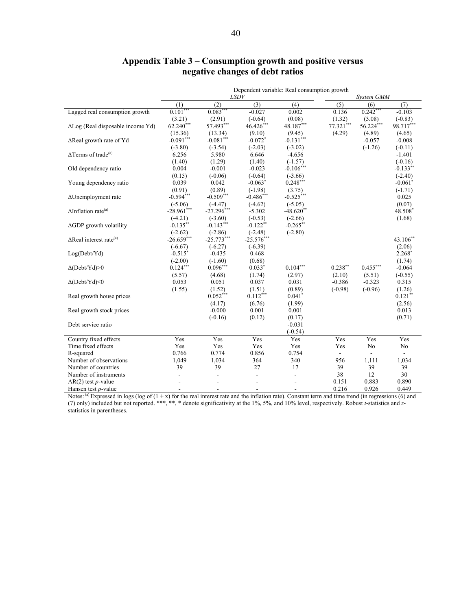|                                            | Dependent variable: Real consumption growth |                |                       |                          |            |            |                       |  |  |
|--------------------------------------------|---------------------------------------------|----------------|-----------------------|--------------------------|------------|------------|-----------------------|--|--|
|                                            |                                             |                | <i>LSDV</i>           |                          |            | System GMM |                       |  |  |
|                                            | (1)                                         | (2)            | (3)                   | (4)                      | (5)        | (6)        | (7)                   |  |  |
| Lagged real consumption growth             | $0.101***$                                  | $0.083***$     | $-0.027$              | 0.002                    | 0.136      | $0.242***$ | $-0.103$              |  |  |
|                                            | (3.21)                                      | (2.91)         | $(-0.64)$             | (0.08)                   | (1.32)     | (3.08)     | $(-0.83)$             |  |  |
| $\Delta$ Log (Real disposable income Yd)   | $62.240***$                                 | 57.493***      | $46.426***$           | 48.187***                | 77.321***  | 56.224***  | 98.717***             |  |  |
|                                            | (15.36)                                     | (13.34)        | (9.10)                | (9.45)                   | (4.29)     | (4.89)     | (4.65)                |  |  |
| ∆Real growth rate of Yd                    | $-0.091***$                                 | $-0.081***$    | $-0.072$ <sup>*</sup> | $-0.131***$              |            | $-0.057$   | $-0.008$              |  |  |
|                                            | $(-3.80)$                                   | $(-3.54)$      | $(-2.03)$             | $(-3.02)$                |            | $(-1.26)$  | $(-0.11)$             |  |  |
| $\Delta$ Terms of trade <sup>(a)</sup>     | 6.256                                       | 5.980          | 6.646                 | $-4.656$                 |            |            | $-1.401$              |  |  |
|                                            | (1.40)                                      | (1.29)         | (1.40)                | $(-1.57)$                |            |            | $(-0.16)$             |  |  |
| Old dependency ratio                       | 0.004                                       | $-0.001$       | $-0.023$              | $-0.106***$              |            |            | $-0.133$ **           |  |  |
|                                            | (0.15)                                      | $(-0.06)$      | $(-0.64)$             | $(-3.66)$                |            |            | $(-2.40)$             |  |  |
| Young dependency ratio                     | 0.039                                       | 0.042          | $-0.063*$             | $0.248***$               |            |            | $-0.061$ <sup>*</sup> |  |  |
|                                            | (0.91)                                      | (0.89)         | $(-1.98)$             | (3.75)                   |            |            | $(-1.71)$             |  |  |
| ΔUnemployment rate                         | $-0.594***$                                 | $-0.509***$    | $-0.486***$           | $-0.525***$              |            |            | 0.025                 |  |  |
|                                            | $(-5.06)$                                   | $(-4.47)$      | $(-4.62)$             | $(-5.05)$                |            |            | (0.07)                |  |  |
| $\Delta$ Inflation rate <sup>(a)</sup>     | $-28.961$ ***                               | $-27.296***$   | $-5.302$              | $-48.620$ **             |            |            | 48.508*               |  |  |
|                                            | $(-4.21)$                                   | $(-3.60)$      | $(-0.53)$             | $(-2.66)$                |            |            | (1.68)                |  |  |
| $\Delta$ GDP growth volatility             | $-0.135***$                                 | $-0.143***$    | $-0.122$ **           | $-0.265$ **              |            |            |                       |  |  |
|                                            | $(-2.62)$                                   | $(-2.86)$      | $(-2.48)$             | $(-2.80)$                |            |            |                       |  |  |
| $\Delta$ Real interest rate <sup>(a)</sup> | $-26.659***$                                | $-25.773***$   | $-25.576***$          |                          |            |            | 43.106**              |  |  |
|                                            | $(-6.67)$                                   | $(-6.27)$      | $(-6.39)$             |                          |            |            | (2.06)                |  |  |
| Log(Debt/Yd)                               | $-0.515^*$                                  | $-0.435$       | 0.468                 |                          |            |            | $2.268*$              |  |  |
|                                            | $(-2.00)$                                   | $(-1.60)$      | (0.68)                |                          |            |            | (1.74)                |  |  |
| $\Delta(Debt/Yd) > 0$                      | $0.124***$                                  | $0.096***$     | $0.033*$              | $0.104***$               | $0.238***$ | $0.455***$ | $-0.064$              |  |  |
|                                            | (5.57)                                      | (4.68)         | (1.74)                | (2.97)                   | (2.10)     | (5.51)     | $(-0.55)$             |  |  |
| $\Delta$ (Debt/Yd)<0                       | 0.053                                       | 0.051          | 0.037                 | 0.031                    | $-0.386$   | $-0.323$   | 0.315                 |  |  |
|                                            | (1.55)                                      | (1.52)         | (1.51)                | (0.89)                   | $(-0.98)$  | $(-0.96)$  | (1.26)                |  |  |
| Real growth house prices                   |                                             | $0.052***$     | $0.112***$            | $0.041$ <sup>*</sup>     |            |            | $0.121***$            |  |  |
|                                            |                                             | (4.17)         | (6.76)                | (1.99)                   |            |            | (2.56)                |  |  |
| Real growth stock prices                   |                                             | $-0.000$       | 0.001                 | 0.001                    |            |            | 0.013                 |  |  |
|                                            |                                             | $(-0.16)$      | (0.12)                | (0.17)                   |            |            | (0.71)                |  |  |
| Debt service ratio                         |                                             |                |                       | $-0.031$                 |            |            |                       |  |  |
|                                            |                                             |                |                       | $(-0.54)$                |            |            |                       |  |  |
| Country fixed effects                      | Yes                                         | Yes            | Yes                   | Yes                      | Yes        | Yes        | Yes                   |  |  |
| Time fixed effects                         | Yes                                         | Yes            | Yes                   | Yes                      | Yes        | No         | No                    |  |  |
| R-squared                                  | 0.766                                       | 0.774          | 0.856                 | 0.754                    | $\sim$     | ÷.         |                       |  |  |
| Number of observations                     | 1,049                                       | 1,034          | 364                   | 340                      | 956        | 1,111      | 1,034                 |  |  |
| Number of countries                        | 39                                          | 39             | 27                    | 17                       | 39         | 39         | 39                    |  |  |
| Number of instruments                      | $\overline{\phantom{a}}$                    | $\overline{a}$ | $\overline{a}$        | $\bar{\phantom{a}}$      | 38         | 12         | 30                    |  |  |
| $AR(2)$ test p-value                       |                                             |                |                       |                          | 0.151      | 0.883      | 0.890                 |  |  |
| Hansen test $p$ -value                     | $\blacksquare$                              | $\overline{a}$ | ٠                     | $\overline{\phantom{a}}$ | 0.216      | 0.926      | 0.449                 |  |  |

# **Appendix Table 3 – Consumption growth and positive versus negative changes of debt ratios**

Notes: (a) Expressed in logs (log of  $(1 + x)$  for the real interest rate and the inflation rate). Constant term and time trend (in regressions (6) and (7) only) included but not reported. \*\*\*, \*\*, \* denote significativity at the 1%, 5%, and 10% level, respectively. Robust *t*-statistics and *z*statistics in parentheses.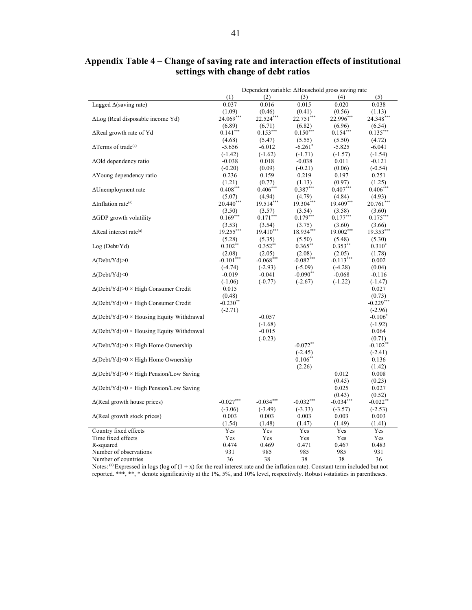|                                                  | Dependent variable: ∆Household gross saving rate |             |                         |             |             |
|--------------------------------------------------|--------------------------------------------------|-------------|-------------------------|-------------|-------------|
|                                                  | (1)                                              | (2)         | (3)                     | (4)         | (5)         |
| Lagged $\Delta$ (saving rate)                    | 0.037                                            | 0.016       | 0.015                   | 0.020       | 0.038       |
|                                                  | (1.09)                                           | (0.46)      | (0.41)                  | (0.56)      | (1.13)      |
| ΔLog (Real disposable income Yd)                 | 24.069***                                        | 22.524***   | $22.751$ <sup>***</sup> | 22.996***   | 24.348***   |
|                                                  | (6.89)                                           | (6.71)      | (6.82)                  | (6.96)      | (6.54)      |
| ∆Real growth rate of Yd                          | $0.141***$                                       | $0.153***$  | $0.150***$              | $0.154***$  | $0.135***$  |
|                                                  | (4.68)                                           | (5.47)      | (5.55)                  | (5.50)      | (4.72)      |
| $\Delta$ Terms of trade <sup>(a)</sup>           | $-5.656$                                         | $-6.012$    | $-6.261$ <sup>*</sup>   | $-5.825$    | $-6.041$    |
|                                                  | $(-1.42)$                                        | $(-1.62)$   | $(-1.71)$               | $(-1.57)$   | $(-1.54)$   |
| $\Delta$ Old dependency ratio                    | $-0.038$                                         | 0.018       | $-0.038$                | 0.011       | $-0.121$    |
|                                                  | $(-0.20)$                                        | (0.09)      | $(-0.21)$               | (0.06)      | $(-0.54)$   |
| $\Delta$ Young dependency ratio                  | 0.236                                            | 0.159       | 0.219                   | 0.197       | 0.251       |
|                                                  | (1.21)                                           | (0.77)      | (1.13)                  | (0.97)      | (1.25)      |
| $\Delta$ Unemployment rate                       | $0.408***$                                       | $0.406***$  | $0.387***$              | $0.407***$  | $0.406***$  |
|                                                  | (5.07)                                           | (4.94)      | (4.79)                  | (4.84)      | (4.93)      |
| $\Delta$ Inflation rate <sup>(a)</sup>           | 20.440***                                        | 19.514***   | 19.304***               | 19.409***   | $20.761***$ |
|                                                  | (3.50)                                           | (3.57)      | (3.54)                  | (3.58)      | (3.60)      |
| $\Delta GDP$ growth volatility                   | $0.169***$                                       | $0.171***$  | $0.179***$              | $0.177***$  | $0.175***$  |
|                                                  | (3.53)                                           | (3.54)      | (3.75)                  | (3.60)      | (3.66)      |
| $\Delta$ Real interest rate <sup>(a)</sup>       | 19.255***                                        | $19.410***$ | 18.934***               | 19.002***   | 19.353***   |
|                                                  | (5.28)                                           | (5.35)      | (5.50)                  | (5.48)      | (5.30)      |
| Log (Debt/Yd)                                    | $0.302**$                                        | $0.352$ **  | $0.365***$              | $0.353**$   | $0.310^*$   |
|                                                  | (2.08)                                           | (2.05)      | (2.08)                  | (2.05)      | (1.78)      |
| $\Delta(Debt/Yd) > 0$                            | $-0.101***$                                      | $-0.068***$ | $-0.082***$             | $-0.113***$ | 0.002       |
|                                                  | $(-4.74)$                                        | $(-2.93)$   | $(-5.09)$               | $(-4.28)$   | (0.04)      |
| $\Delta(Debt/Yd)$ <0                             | $-0.019$                                         | $-0.041$    | $-0.090**$              | $-0.068$    | $-0.116$    |
|                                                  | $(-1.06)$                                        | $(-0.77)$   | $(-2.67)$               | $(-1.22)$   | $(-1.47)$   |
| $\Delta(Debt/Yd)$ > 0 × High Consumer Credit     | 0.015                                            |             |                         |             | 0.027       |
|                                                  | (0.48)                                           |             |                         |             | (0.73)      |
| $\Delta$ (Debt/Yd)<0 × High Consumer Credit      | $-0.230**$                                       |             |                         |             | $-0.229***$ |
|                                                  | $(-2.71)$                                        |             |                         |             | $(-2.96)$   |
| $\Delta$ (Debt/Yd)>0 × Housing Equity Withdrawal |                                                  | $-0.057$    |                         |             | $-0.106*$   |
|                                                  |                                                  | $(-1.68)$   |                         |             | $(-1.92)$   |
| $\Delta$ (Debt/Yd)<0 × Housing Equity Withdrawal |                                                  | $-0.015$    |                         |             | 0.064       |
|                                                  |                                                  | $(-0.23)$   |                         |             | (0.71)      |
| $\Delta(Debt/Yd)$ > High Home Ownership          |                                                  |             | $-0.072**$              |             | $-0.102**$  |
|                                                  |                                                  |             | $(-2.45)$               |             | $(-2.41)$   |
| $\Delta(Debt/Yd) < 0 \times$ High Home Ownership |                                                  |             | $0.106**$               |             | 0.136       |
|                                                  |                                                  |             | (2.26)                  |             | (1.42)      |
| $\Delta$ (Debt/Yd)>0 × High Pension/Low Saving   |                                                  |             |                         | 0.012       | 0.008       |
|                                                  |                                                  |             |                         | (0.45)      | (0.23)      |
| $\Delta$ (Debt/Yd)<0 × High Pension/Low Saving   |                                                  |             |                         | 0.025       | 0.027       |
|                                                  |                                                  |             |                         | (0.43)      | (0.52)      |
| $\Delta$ (Real growth house prices)              | $-0.027***$                                      | $-0.034***$ | $-0.032***$             | $-0.034***$ | $-0.022$ ** |
|                                                  | $(-3.06)$                                        | $(-3.49)$   | $(-3.33)$               | $(-3.57)$   | $(-2.53)$   |
| $\Delta$ (Real growth stock prices)              | 0.003                                            | 0.003       | 0.003                   | 0.003       | 0.003       |
|                                                  | (1.54)                                           | (1.48)      | (1.47)                  | (1.49)      | (1.41)      |
| Country fixed effects                            | Yes                                              | Yes         | Yes                     | Yes         | Yes         |
| Time fixed effects                               | Yes                                              | Yes         | Yes                     | Yes         | Yes         |
| R-squared                                        | 0.474                                            | 0.469       | 0.471                   | 0.467       | 0.483       |
| Number of observations                           | 931                                              | 985         | 985                     | 985         | 931         |
| Number of countries                              | 36                                               | 38          | 38                      | 38          | 36          |

**Appendix Table 4 – Change of saving rate and interaction effects of institutional settings with change of debt ratios** 

Notes: (a) Expressed in logs (log of  $(1 + x)$  for the real interest rate and the inflation rate). Constant term included but not reported. \*\*\*, \*\*, \* denote significativity at the 1%, 5%, and 10% level, respectively. Robust *t*-statistics in parentheses.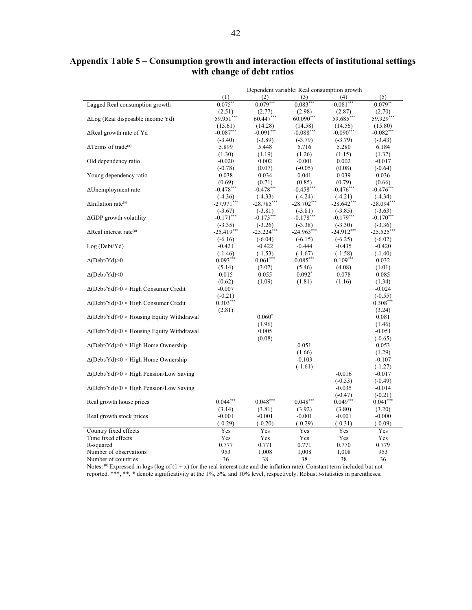# **Appendix Table 5 – Consumption growth and interaction effects of institutional settings with change of debt ratios**

|                                                        |              |              |              | Dependent variable: Real consumption growth |                    |
|--------------------------------------------------------|--------------|--------------|--------------|---------------------------------------------|--------------------|
|                                                        | (1)          | (2)          | (3)          | (4)                                         | (5)                |
| Lagged Real consumption growth                         | $0.075$ **   | $0.079***$   | $0.083***$   | $0.081***$                                  | $0.079*$           |
|                                                        | (2.51)       | (2.77)       | (2.98)       | (2.87)                                      | (2.70)             |
| $\Delta$ Log (Real disposable income Yd)               | 59.951***    | 60.447***    | $60.090***$  | 59.685***                                   | 59.929***          |
|                                                        | (15.61)      | (14.28)      | (14.58)      | (14.56)                                     | (15.80)            |
| $\Delta$ Real growth rate of Yd                        | $-0.087***$  | $-0.091***$  | $-0.088***$  | $-0.090***$                                 | $-0.082***$        |
|                                                        | $(-3.40)$    | $(-3.89)$    | $(-3.79)$    | $(-3.79)$                                   | $(-3.43)$          |
| $\Delta$ Terms of trade <sup>(a)</sup>                 | 5.899        | 5.448        | 5.716        | 5.280                                       | 6.184              |
|                                                        | (1.30)       | (1.19)       | (1.26)       | (1.15)                                      | (1.37)             |
| Old dependency ratio                                   | $-0.020$     | 0.002        | $-0.001$     | 0.002                                       | $-0.017$           |
|                                                        | $(-0.78)$    | (0.07)       | $(-0.05)$    | (0.08)                                      | $(-0.64)$          |
| Young dependency ratio                                 | 0.038        | 0.034        | 0.041        | 0.039                                       | 0.036              |
|                                                        | (0.69)       | (0.71)       | (0.85)       | (0.79)                                      | (0.66)             |
| ∆Unemployment rate                                     | $-0.478***$  | $-0.478***$  | $-0.458***$  | $-0.476***$                                 | $-0.476***$        |
|                                                        | $(-4.36)$    | $(-4.33)$    | $(-4.24)$    | $(-4.21)$                                   | $(-4.34)$          |
| $\Delta$ Inflation rate <sup>(a)</sup>                 | $-27.971***$ | $-28.785***$ | $-28.702***$ | $-28.642$ ***                               | $-28.094***$       |
|                                                        | $(-3.67)$    | $(-3.81)$    | $(-3.81)$    | $(-3.85)$                                   | $(-3.63)$          |
| $\Delta$ GDP growth volatility                         | $-0.171***$  | $-0.173***$  | $-0.178***$  | $-0.179***$                                 | $-0.170***$        |
|                                                        | $(-3.35)$    | $(-3.26)$    | $(-3.38)$    | $(-3.30)$                                   | $(-3.36)$          |
| $\Delta$ Real interest rate <sup>(a)</sup>             | $-25.419***$ | $-25.224***$ | -24.963***   | $-24.912***$                                | $-25.525***$       |
|                                                        | $(-6.16)$    | $(-6.04)$    | $(-6.15)$    | $(-6.25)$                                   | $(-6.02)$          |
| Log (Debt/Yd)                                          | $-0.421$     | $-0.422$     | $-0.444$     | $-0.435$                                    | $-0.420$           |
|                                                        | $(-1.46)$    | $(-1.53)$    | $(-1.67)$    | $(-1.58)$                                   | $(-1.40)$          |
| $\Delta(Debt/Yd) > 0$                                  | $0.093***$   | $0.061***$   | $0.085***$   | $0.109***$                                  | 0.032              |
|                                                        | (5.14)       | (3.07)       | (5.46)       | (4.08)                                      | (1.01)             |
| $\Delta(Debt/Yd)$ <0                                   | 0.015        | 0.055        | $0.092*$     | 0.078                                       | 0.085              |
|                                                        | (0.62)       | (1.09)       | (1.81)       | (1.16)                                      | (1.34)             |
| $\Delta$ (Debt/Yd)>0 × High Consumer Credit            | $-0.007$     |              |              |                                             | $-0.024$           |
|                                                        | $(-0.21)$    |              |              |                                             | $(-0.55)$          |
| $\Delta$ (Debt/Yd)<0 × High Consumer Credit            | $0.303***$   |              |              |                                             | $0.308***$         |
|                                                        |              |              |              |                                             |                    |
| $\Delta(Debt/Yd) > 0 \times$ Housing Equity Withdrawal | (2.81)       | $0.060*$     |              |                                             | (3.24)<br>0.081    |
|                                                        |              | (1.96)       |              |                                             |                    |
| $\Delta$ (Debt/Yd)<0 × Housing Equity Withdrawal       |              | 0.005        |              |                                             | (1.46)<br>$-0.051$ |
|                                                        |              |              |              |                                             |                    |
| $\Delta(Debt/Yd)$ > 0 × High Home Ownership            |              | (0.08)       | 0.051        |                                             | $(-0.65)$<br>0.053 |
|                                                        |              |              |              |                                             |                    |
|                                                        |              |              | (1.66)       |                                             | (1.29)             |
| $\Delta(Debt/Yd)$ <0 × High Home Ownership             |              |              | $-0.103$     |                                             | $-0.107$           |
| $\Delta$ (Debt/Yd)>0 × High Pension/Low Saving         |              |              | $(-1.61)$    | $-0.016$                                    | $(-1.27)$          |
|                                                        |              |              |              |                                             | $-0.017$           |
|                                                        |              |              |              | $(-0.53)$                                   | $(-0.49)$          |
| $\Delta$ (Debt/Yd)<0 × High Pension/Low Saving         |              |              |              | $-0.035$                                    | $-0.014$           |
|                                                        |              |              |              | $(-0.47)$                                   | $(-0.21)$          |
| Real growth house prices                               | $0.044***$   | $0.048***$   | $0.048***$   | $0.049***$                                  | $0.041***$         |
|                                                        | (3.14)       | (3.81)       | (3.92)       | (3.80)                                      | (3.20)             |
| Real growth stock prices                               | $-0.001$     | $-0.001$     | $-0.001$     | $-0.001$                                    | $-0.000$           |
|                                                        | $(-0.29)$    | $(-0.20)$    | $(-0.29)$    | $(-0.31)$                                   | $(-0.09)$          |
| Country fixed effects                                  | Yes          | Yes          | Yes          | Yes                                         | Yes                |
| Time fixed effects                                     | Yes          | Yes          | Yes          | Yes                                         | Yes                |
| R-squared                                              | 0.777        | 0.771        | 0.771        | 0.770                                       | 0.779              |
| Number of observations                                 | 953          | 1,008        | 1,008        | 1,008                                       | 953                |
| Number of countries                                    | 36           | 38           | 38           | 38                                          | 36                 |

Notes: (a) Expressed in logs (log of  $(1 + x)$  for the real interest rate and the inflation rate). Constant term included but not reported. \*\*\*, \*\*, \* denote significativity at the 1%, 5%, and 10% level, respectively. Robust *t*-statistics in parentheses.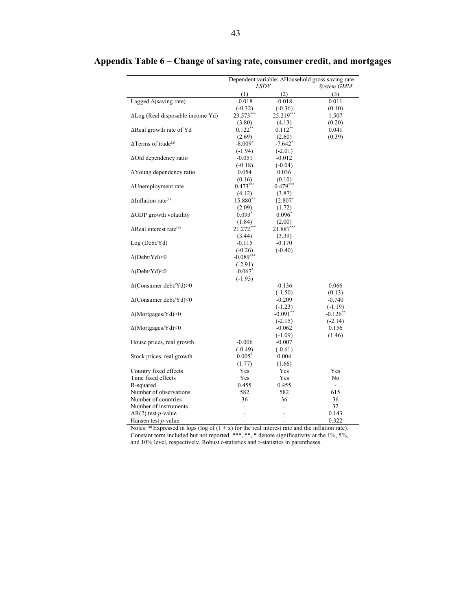|                                            | Dependent variable: ∆Household gross saving rate |             |             |  |
|--------------------------------------------|--------------------------------------------------|-------------|-------------|--|
|                                            | LSDV                                             |             | System GMM  |  |
|                                            | (1)                                              | (2)         | (3)         |  |
| Lagged $\Delta$ (saving rate)              | $-0.018$                                         | $-0.018$    | 0.011       |  |
|                                            | $(-0.32)$                                        | $(-0.36)$   | (0.10)      |  |
| $\Delta$ Log (Real disposable income Yd)   | 23.573***                                        | $25.219***$ | 1.507       |  |
|                                            | (3.80)                                           | (4.13)      | (0.20)      |  |
| $\Delta$ Real growth rate of Yd            | $0.122**$                                        | $0.112***$  | 0.041       |  |
|                                            | (2.69)                                           | (2.60)      | (0.39)      |  |
| $\Delta$ Terms of trade <sup>(a)</sup>     | $-8.009^{\circ}$                                 | -7.642*     |             |  |
|                                            | $(-1.94)$                                        | $(-2.01)$   |             |  |
| ∆Old dependency ratio                      | $-0.051$                                         | $-0.012$    |             |  |
|                                            | $(-0.18)$                                        | $(-0.04)$   |             |  |
| AYoung dependency ratio                    | 0.054                                            | 0.036       |             |  |
|                                            | (0.16)                                           | (0.10)      |             |  |
| $\Delta$ Unemployment rate                 | $0.473***$                                       | $0.479***$  |             |  |
|                                            | (4.12)                                           | (3.87)      |             |  |
| $\Delta$ Inflation rate <sup>(a)</sup>     | $15.880**$                                       | 12.807*     |             |  |
|                                            | (2.09)                                           | (1.72)      |             |  |
| $\Delta$ GDP growth volatility             | $0.093^*$                                        | $0.096^*$   |             |  |
|                                            | (1.84)                                           | (2.00)      |             |  |
| $\Delta$ Real interest rate <sup>(a)</sup> | 21.272***                                        | $21.887***$ |             |  |
|                                            | (3.44)                                           | (3.39)      |             |  |
| Log (Debt/Yd)                              | $-0.115$                                         | $-0.170$    |             |  |
|                                            | $(-0.26)$                                        | $(-0.40)$   |             |  |
| $\Delta(Debt/Yd) > 0$                      | $-0.089***$                                      |             |             |  |
|                                            | $(-2.91)$                                        |             |             |  |
| $\Delta$ (Debt/Yd)<0                       | $-0.067$ *                                       |             |             |  |
|                                            | $(-1.93)$                                        |             |             |  |
| $\Delta$ (Consumer debt/Yd)>0              |                                                  | $-0.136$    | 0.066       |  |
|                                            |                                                  | $(-1.50)$   | (0.13)      |  |
| $\Delta$ (Consumer debt/Yd)<0              |                                                  | $-0.209$    | $-0.740$    |  |
|                                            |                                                  | $(-1.23)$   | $(-1.19)$   |  |
| $\Delta$ (Mortgages/Yd)>0                  |                                                  | $-0.091**$  | $-0.126$ ** |  |
|                                            |                                                  | $(-2.15)$   | $(-2.14)$   |  |
| $\Delta$ (Mortgages/Yd)<0                  |                                                  | $-0.062$    | 0.156       |  |
|                                            |                                                  | $(-1.09)$   | (1.46)      |  |
| House prices, real growth                  | $-0.006$                                         | $-0.007$    |             |  |
|                                            | $(-0.49)$                                        | $(-0.61)$   |             |  |
| Stock prices, real growth                  | $0.005^*$                                        | 0.004       |             |  |
|                                            | (1.77)                                           | (1.66)      |             |  |
| Country fixed effects                      | Yes                                              | Yes         | Yes         |  |
| Time fixed effects                         | Yes                                              | Yes         | No          |  |
| R-squared                                  | 0.455                                            | 0.455       | ÷.          |  |
| Number of observations                     | 582                                              | 582         | 615         |  |
| Number of countries                        | 36                                               | 36          | 36          |  |
| Number of instruments                      |                                                  |             | 32          |  |
| $AR(2)$ test <i>p</i> -value               |                                                  |             | 0.143       |  |
| Hansen test <i>p</i> -value                |                                                  |             | 0.322       |  |

# **Appendix Table 6 – Change of saving rate, consumer credit, and mortgages**

Notes: (a) Expressed in logs (log of  $(1 + x)$  for the real interest rate and the inflation rate). Constant term included but not reported. \*\*\*, \*\*, \* denote significativity at the 1%, 5%, and 10% level, respectively. Robust *t*-statistics and *z*-statistics in parentheses.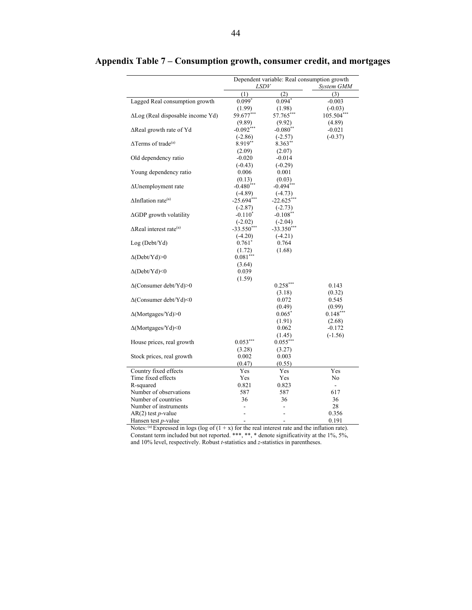|                                            | Dependent variable: Real consumption growth |              |                          |  |
|--------------------------------------------|---------------------------------------------|--------------|--------------------------|--|
|                                            | <i>LSDV</i>                                 |              | System GMM               |  |
|                                            | (1)                                         | (2)          | (3)                      |  |
| Lagged Real consumption growth             | $0.099*$                                    | $0.094*$     | $-0.003$                 |  |
|                                            | (1.99)                                      | (1.98)       | $(-0.03)$                |  |
| $\Delta$ Log (Real disposable income Yd)   | 59.677***                                   | 57.765**     | 105.504***               |  |
|                                            | (9.89)                                      | (9.92)       | (4.89)                   |  |
| $\Delta$ Real growth rate of Yd            | $-0.092***$                                 | $-0.080**$   | $-0.021$                 |  |
|                                            | $(-2.86)$                                   | $(-2.57)$    | $(-0.37)$                |  |
| $\Delta$ Terms of trade <sup>(a)</sup>     | 8.919**                                     | $8.363**$    |                          |  |
|                                            | (2.09)                                      | (2.07)       |                          |  |
| Old dependency ratio                       | $-0.020$                                    | $-0.014$     |                          |  |
|                                            | $(-0.43)$                                   | $(-0.29)$    |                          |  |
| Young dependency ratio                     | 0.006                                       | 0.001        |                          |  |
|                                            | (0.13)                                      | (0.03)       |                          |  |
| ∆Unemployment rate                         | $-0.480$ ***                                | $-0.494***$  |                          |  |
|                                            | $(-4.89)$                                   | $(-4.73)$    |                          |  |
| $\Delta$ Inflation rate <sup>(a)</sup>     | $-25.694***$                                | -22.625*     |                          |  |
|                                            | $(-2.87)$                                   | $(-2.73)$    |                          |  |
| ∆GDP growth volatility                     | $-0.110^*$                                  | $-0.108**$   |                          |  |
|                                            | $(-2.02)$                                   | $(-2.04)$    |                          |  |
| $\Delta$ Real interest rate <sup>(a)</sup> | $-33.550$ ***                               | $-33.350***$ |                          |  |
|                                            | $(-4.20)$                                   | $(-4.21)$    |                          |  |
| Log (Debt/Yd)                              | $0.761^*$                                   | 0.764        |                          |  |
|                                            | (1.72)                                      | (1.68)       |                          |  |
| $\Delta(Debt/Yd) > 0$                      | $0.081***$                                  |              |                          |  |
|                                            | (3.64)                                      |              |                          |  |
| $\Delta(Debt/Yd)$ <0                       | 0.039                                       |              |                          |  |
|                                            | (1.59)                                      |              |                          |  |
| $\Delta$ (Consumer debt/Yd)>0              |                                             | $0.258***$   | 0.143                    |  |
|                                            |                                             | (3.18)       | (0.32)                   |  |
| ∆(Consumer debt/Yd)<0                      |                                             | 0.072        | 0.545                    |  |
|                                            |                                             | (0.49)       | (0.99)                   |  |
| $\Delta$ (Mortgages/Yd)>0                  |                                             | $0.065^*$    | $0.148***$               |  |
|                                            |                                             | (1.91)       | (2.68)                   |  |
| $\Delta$ (Mortgages/Yd)<0                  |                                             | 0.062        | $-0.172$                 |  |
|                                            |                                             | (1.45)       | $(-1.56)$                |  |
| House prices, real growth                  | $0.053***$                                  | $0.055***$   |                          |  |
|                                            | (3.28)                                      | (3.27)       |                          |  |
| Stock prices, real growth                  | 0.002                                       | 0.003        |                          |  |
|                                            | (0.47)                                      | (0.55)       |                          |  |
| Country fixed effects                      | Yes                                         | Yes          | Yes                      |  |
| Time fixed effects                         | Yes                                         | Yes          | No                       |  |
| R-squared                                  | 0.821                                       | 0.823        | $\overline{\phantom{a}}$ |  |
| Number of observations                     | 587                                         | 587          | 617                      |  |
| Number of countries                        | 36                                          | 36           | 36                       |  |
| Number of instruments                      |                                             |              | 28                       |  |
| AR(2) test <i>p</i> -value                 |                                             |              | 0.356                    |  |
| Hansen test <i>p</i> -value                |                                             |              | 0.191                    |  |

**Appendix Table 7 – Consumption growth, consumer credit, and mortgages** 

Notes: (a) Expressed in logs (log of  $(1 + x)$  for the real interest rate and the inflation rate). Constant term included but not reported. \*\*\*, \*\*, \* denote significativity at the 1%, 5%, and 10% level, respectively. Robust *t*-statistics and *z*-statistics in parentheses.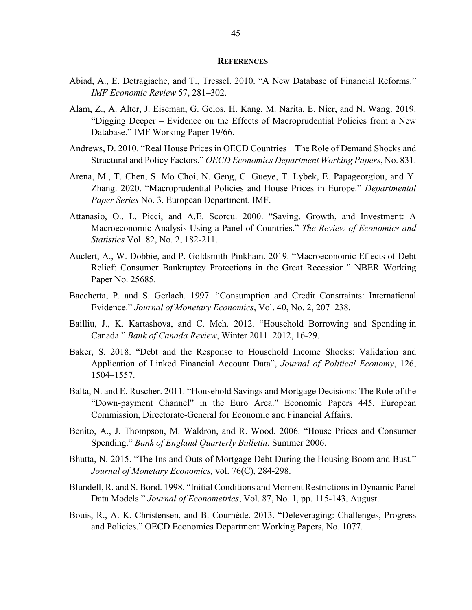#### **REFERENCES**

- Abiad, A., E. Detragiache, and T., Tressel. 2010. "A New Database of Financial Reforms." *IMF Economic Review* 57, 281–302.
- Alam, Z., A. Alter, J. Eiseman, G. Gelos, H. Kang, M. Narita, E. Nier, and N. Wang. 2019. "Digging Deeper – Evidence on the Effects of Macroprudential Policies from a New Database." IMF Working Paper 19/66.
- Andrews, D. 2010. "Real House Prices in OECD Countries The Role of Demand Shocks and Structural and Policy Factors." *OECD Economics Department Working Papers*, No. 831.
- Arena, M., T. Chen, S. Mo Choi, N. Geng, C. Gueye, T. Lybek, E. Papageorgiou, and Y. Zhang. 2020. "Macroprudential Policies and House Prices in Europe." *Departmental Paper Series* No. 3. European Department. IMF.
- Attanasio, O., L. Picci, and A.E. Scorcu. 2000. "Saving, Growth, and Investment: A Macroeconomic Analysis Using a Panel of Countries." *The Review of Economics and Statistics* Vol. 82, No. 2, 182-211.
- Auclert, A., W. Dobbie, and P. Goldsmith-Pinkham. 2019. "Macroeconomic Effects of Debt Relief: Consumer Bankruptcy Protections in the Great Recession." NBER Working Paper No. 25685.
- Bacchetta, P. and S. Gerlach. 1997. "Consumption and Credit Constraints: International Evidence." *Journal of Monetary Economics*, Vol. 40, No. 2, 207–238.
- Bailliu, J., K. Kartashova, and C. Meh. 2012. "Household Borrowing and Spending in Canada." *Bank of Canada Review*, Winter 2011–2012, 16-29.
- Baker, S. 2018. "Debt and the Response to Household Income Shocks: Validation and Application of Linked Financial Account Data", *Journal of Political Economy*, 126, 1504–1557.
- Balta, N. and E. Ruscher. 2011. "Household Savings and Mortgage Decisions: The Role of the "Down-payment Channel" in the Euro Area." Economic Papers 445, European Commission, Directorate-General for Economic and Financial Affairs.
- Benito, A., J. Thompson, M. Waldron, and R. Wood. 2006. "House Prices and Consumer Spending." *Bank of England Quarterly Bulletin*, Summer 2006.
- Bhutta, N. 2015. "The Ins and Outs of Mortgage Debt During the Housing Boom and Bust." *Journal of Monetary Economics,* vol. 76(C), 284-298.
- Blundell, R. and S. Bond. 1998. "Initial Conditions and Moment Restrictions in Dynamic Panel Data Models." *Journal of Econometrics*, Vol. 87, No. 1, pp. 115-143, August.
- Bouis, R., A. K. Christensen, and B. Cournède. 2013. "Deleveraging: Challenges, Progress and Policies." OECD Economics Department Working Papers, No. 1077.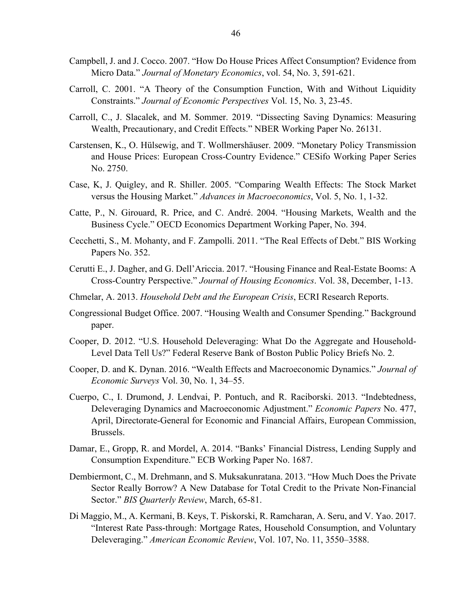- Campbell, J. and J. Cocco. 2007. "How Do House Prices Affect Consumption? Evidence from Micro Data." *Journal of Monetary Economics*, vol. 54, No. 3, 591-621.
- Carroll, C. 2001. "A Theory of the Consumption Function, With and Without Liquidity Constraints." *Journal of Economic Perspectives* Vol. 15, No. 3, 23-45.
- Carroll, C., J. Slacalek, and M. Sommer. 2019. "Dissecting Saving Dynamics: Measuring Wealth, Precautionary, and Credit Effects." NBER Working Paper No. 26131.
- Carstensen, K., O. Hülsewig, and T. Wollmershäuser. 2009. "Monetary Policy Transmission and House Prices: European Cross-Country Evidence." CESifo Working Paper Series No. 2750.
- Case, K, J. Quigley, and R. Shiller. 2005. "Comparing Wealth Effects: The Stock Market versus the Housing Market." *Advances in Macroeconomics*, Vol. 5, No. 1, 1-32.
- Catte, P., N. Girouard, R. Price, and C. André. 2004. "Housing Markets, Wealth and the Business Cycle." OECD Economics Department Working Paper, No. 394.
- Cecchetti, S., M. Mohanty, and F. Zampolli. 2011. "The Real Effects of Debt." BIS Working Papers No. 352.
- Cerutti E., J. Dagher, and G. Dell'Ariccia. 2017. "Housing Finance and Real-Estate Booms: A Cross-Country Perspective." *Journal of Housing Economics*. Vol. 38, December, 1-13.
- Chmelar, A. 2013. *Household Debt and the European Crisis*, ECRI Research Reports.
- Congressional Budget Office. 2007. "Housing Wealth and Consumer Spending." Background paper.
- Cooper, D. 2012. "U.S. Household Deleveraging: What Do the Aggregate and Household-Level Data Tell Us?" Federal Reserve Bank of Boston Public Policy Briefs No. 2.
- Cooper, D. and K. Dynan. 2016. "Wealth Effects and Macroeconomic Dynamics." *Journal of Economic Surveys* Vol. 30, No. 1, 34–55.
- Cuerpo, C., I. Drumond, J. Lendvai, P. Pontuch, and R. Raciborski. 2013. "Indebtedness, Deleveraging Dynamics and Macroeconomic Adjustment." *Economic Papers* No. 477, April, Directorate-General for Economic and Financial Affairs, European Commission, Brussels.
- Damar, E., Gropp, R. and Mordel, A. 2014. "Banks' Financial Distress, Lending Supply and Consumption Expenditure." ECB Working Paper No. 1687.
- Dembiermont, C., M. Drehmann, and S. Muksakunratana. 2013. "How Much Does the Private Sector Really Borrow? A New Database for Total Credit to the Private Non-Financial Sector." *BIS Quarterly Review*, March, 65-81.
- Di Maggio, M., A. Kermani, B. Keys, T. Piskorski, R. Ramcharan, A. Seru, and V. Yao. 2017. "Interest Rate Pass-through: Mortgage Rates, Household Consumption, and Voluntary Deleveraging." *American Economic Review*, Vol. 107, No. 11, 3550–3588.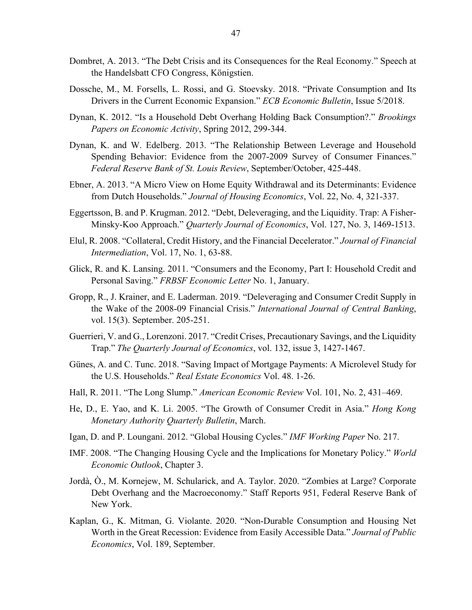- Dombret, A. 2013. "The Debt Crisis and its Consequences for the Real Economy." Speech at the Handelsbatt CFO Congress, Königstien.
- Dossche, M., M. Forsells, L. Rossi, and G. Stoevsky. 2018. "Private Consumption and Its Drivers in the Current Economic Expansion." *ECB Economic Bulletin*, Issue 5/2018.
- Dynan, K. 2012. "Is a Household Debt Overhang Holding Back Consumption?." *Brookings Papers on Economic Activity*, Spring 2012, 299-344.
- Dynan, K. and W. Edelberg. 2013. "The Relationship Between Leverage and Household Spending Behavior: Evidence from the 2007-2009 Survey of Consumer Finances." *Federal Reserve Bank of St. Louis Review*, September/October, 425-448.
- Ebner, A. 2013. "A Micro View on Home Equity Withdrawal and its Determinants: Evidence from Dutch Households." *Journal of Housing Economics*, Vol. 22, No. 4, 321-337.
- Eggertsson, B. and P. Krugman. 2012. "Debt, Deleveraging, and the Liquidity. Trap: A Fisher-Minsky-Koo Approach." *Quarterly Journal of Economics*, Vol. 127, No. 3, 1469-1513.
- Elul, R. 2008. "Collateral, Credit History, and the Financial Decelerator." *Journal of Financial Intermediation*, Vol. 17, No. 1, 63-88.
- Glick, R. and K. Lansing. 2011. "Consumers and the Economy, Part I: Household Credit and Personal Saving." *FRBSF Economic Letter* No. 1, January.
- Gropp, R., J. Krainer, and E. Laderman. 2019. "Deleveraging and Consumer Credit Supply in the Wake of the 2008-09 Financial Crisis." *International Journal of Central Banking*, vol. 15(3). September. 205-251.
- Guerrieri, V. and G., Lorenzoni. 2017. "Credit Crises, Precautionary Savings, and the Liquidity Trap." *The Quarterly Journal of Economics*, vol. 132, issue 3, 1427-1467.
- Günes, A. and C. Tunc. 2018. "Saving Impact of Mortgage Payments: A Microlevel Study for the U.S. Households." *Real Estate Economics* Vol. 48. 1-26.
- Hall, R. 2011. "The Long Slump." *American Economic Review* Vol. 101, No. 2, 431–469.
- He, D., E. Yao, and K. Li. 2005. "The Growth of Consumer Credit in Asia." *Hong Kong Monetary Authority Quarterly Bulletin*, March.
- Igan, D. and P. Loungani. 2012. "Global Housing Cycles." *IMF Working Paper* No. 217.
- IMF. 2008. "The Changing Housing Cycle and the Implications for Monetary Policy." *World Economic Outlook*, Chapter 3.
- Jordà, Ò., M. Kornejew, M. Schularick, and A. Taylor. 2020. "Zombies at Large? Corporate Debt Overhang and the Macroeconomy." Staff Reports 951, Federal Reserve Bank of New York.
- Kaplan, G., K. Mitman, G. Violante. 2020. "Non-Durable Consumption and Housing Net Worth in the Great Recession: Evidence from Easily Accessible Data." *Journal of Public Economics*, Vol. 189, September.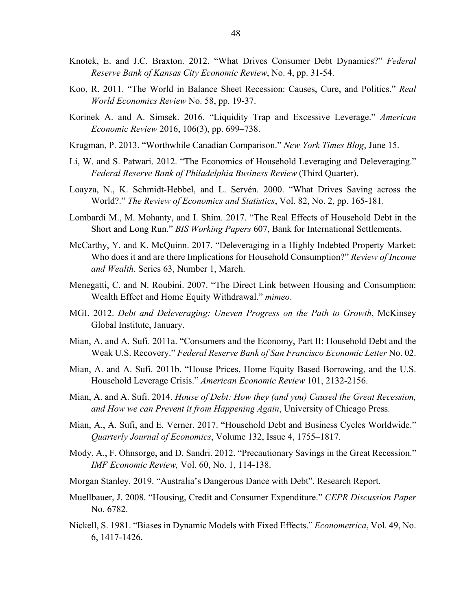- Knotek, E. and J.C. Braxton. 2012. "What Drives Consumer Debt Dynamics?" *Federal Reserve Bank of Kansas City Economic Review*, No. 4, pp. 31-54.
- Koo, R. 2011. "The World in Balance Sheet Recession: Causes, Cure, and Politics." *Real World Economics Review* No. 58, pp. 19-37.
- Korinek A. and A. Simsek. 2016. "Liquidity Trap and Excessive Leverage." *American Economic Review* 2016, 106(3), pp. 699–738.
- Krugman, P. 2013. "Worthwhile Canadian Comparison." *New York Times Blog*, June 15.
- Li, W. and S. Patwari. 2012. "The Economics of Household Leveraging and Deleveraging." *Federal Reserve Bank of Philadelphia Business Review* (Third Quarter).
- Loayza, N., K. Schmidt-Hebbel, and L. Servén. 2000. "What Drives Saving across the World?." *The Review of Economics and Statistics*, Vol. 82, No. 2, pp. 165-181.
- Lombardi M., M. Mohanty, and I. Shim. 2017. "The Real Effects of Household Debt in the Short and Long Run." *BIS Working Papers* 607, Bank for International Settlements.
- McCarthy, Y. and K. McQuinn. 2017. "Deleveraging in a Highly Indebted Property Market: Who does it and are there Implications for Household Consumption?" *Review of Income and Wealth*. Series 63, Number 1, March.
- Menegatti, C. and N. Roubini. 2007. "The Direct Link between Housing and Consumption: Wealth Effect and Home Equity Withdrawal." *mimeo*.
- MGI. 2012. *Debt and Deleveraging: Uneven Progress on the Path to Growth*, McKinsey Global Institute, January.
- Mian, A. and A. Sufi. 2011a. "Consumers and the Economy, Part II: Household Debt and the Weak U.S. Recovery." *Federal Reserve Bank of San Francisco Economic Letter* No. 02.
- Mian, A. and A. Sufi. 2011b. "House Prices, Home Equity Based Borrowing, and the U.S. Household Leverage Crisis." *American Economic Review* 101, 2132-2156.
- Mian, A. and A. Sufi. 2014. *House of Debt: How they (and you) Caused the Great Recession, and How we can Prevent it from Happening Again*, University of Chicago Press.
- Mian, A., A. Sufi, and E. Verner. 2017. "Household Debt and Business Cycles Worldwide." *Quarterly Journal of Economics*, Volume 132, Issue 4, 1755–1817.
- Mody, A., F. Ohnsorge, and D. Sandri. 2012. "Precautionary Savings in the Great Recession." *IMF Economic Review,* Vol. 60, No. 1, 114-138.
- Morgan Stanley. 2019. "Australia's Dangerous Dance with Debt". Research Report.
- Muellbauer, J. 2008. "Housing, Credit and Consumer Expenditure." *CEPR Discussion Paper* No. 6782.
- Nickell, S. 1981. "Biases in Dynamic Models with Fixed Effects." *Econometrica*, Vol. 49, No. 6, 1417-1426.